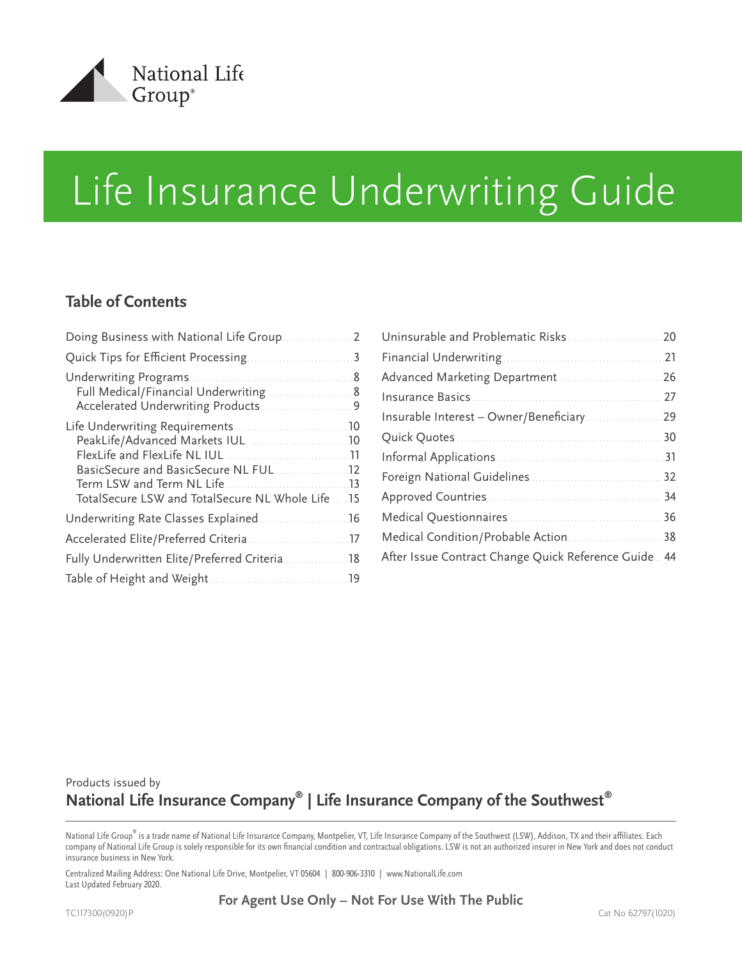

# **Table of Contents**

| TotalSecure LSW and TotalSecure NL Whole Life  15  |
|----------------------------------------------------|
|                                                    |
|                                                    |
| Fully Underwritten Elite/Preferred Criteria<br>.18 |
| .19                                                |
|                                                    |

| Advanced Marketing Department  26                     |  |
|-------------------------------------------------------|--|
|                                                       |  |
|                                                       |  |
|                                                       |  |
|                                                       |  |
|                                                       |  |
|                                                       |  |
|                                                       |  |
|                                                       |  |
| After Issue Contract Change Quick Reference Guide. 44 |  |

# Products issued by **National Life Insurance Company® | Life Insurance Company of the Southwest®**

National Life Group® is a trade name of National Life Insurance Company, Montpelier, VT, Life Insurance Company of the Southwest (LSW), Addison, TX and their affiliates. Each company of National Life Group is solely responsible for its own financial condition and contractual obligations. LSW is not an authorized insurer in New York and does not conduct insurance business in New York.

Centralized Mailing Address: One National Life Drive, Montpelier, VT 05604 | 800-906-3310 | www.NationalLife.com Last Updated February 2020.

**For Agent Use Only – Not For Use With The Public**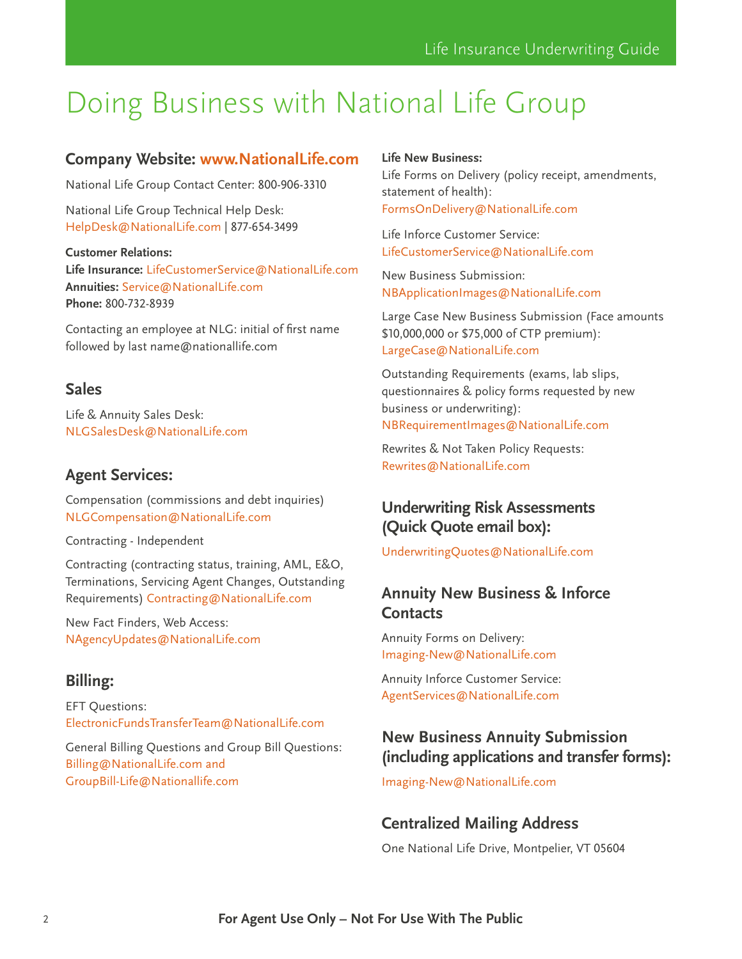# <span id="page-1-0"></span>Doing Business with National Life Group

## **Company Website: [www.NationalLife.com](http://www.NationalLife.com)**

National Life Group Contact Center: 800-906-3310

National Life Group Technical Help Desk: [HelpDesk@NationalLife.com](mailto:HelpDesk%40NationalLife.com?subject=) | 877-654-3499

#### **Customer Relations:**

**Life Insurance:** [LifeCustomerService@NationalLife.com](mailto:LifeCustomerService%40NationalLife.com%20?subject=) **Annuities:** [Service@NationalLife.com](mailto:Service%40NationalLife.com?subject=) **Phone:** 800-732-8939

Contacting an employee at NLG: initial of first name followed by last name@nationallife.com

### **Sales**

Life & Annuity Sales Desk: NLGSalesDesk@NationalLife.com

### **Agent Services:**

Compensation (commissions and debt inquiries) [NLGCompensation@NationalLife.com](mailto:NLGCompensation%40NationalLife.com?subject=)

Contracting - Independent

Contracting (contracting status, training, AML, E&O, Terminations, Servicing Agent Changes, Outstanding Requirements) [Contracting@NationalLife.com](mailto:Contracting%40NationalLife.com?subject=)

New Fact Finders, Web Access: NAgencyUpdates@NationalLife.com

# **Billing:**

EFT Questions: [ElectronicFundsTransferTeam@NationalLife.com](mailto:ElectronicFundsTransferTeam%40NationalLife.com?subject=)

General Billing Questions and Group Bill Questions: Billing@NationalLife.com and GroupBill-Life@Nationallife.com

#### **Life New Business:**

Life Forms on Delivery (policy receipt, amendments, statement of health): [FormsOnDelivery@NationalLife.com](mailto:FormsOnDelivery%40NationalLife.com?subject=)

Life Inforce Customer Service: [LifeCustomerService@NationalLife.com](mailto:LifeCustomerService%40NationalLife.com?subject=)

New Business Submission: [NBApplicationImages@NationalLife.com](mailto:NBApplicationImages%40NationalLife.com?subject=)

Large Case New Business Submission (Face amounts \$10,000,000 or \$75,000 of CTP premium): [LargeCase@NationalLife.com](mailto:LargeCase%40NationalLife.com?subject=)

Outstanding Requirements (exams, lab slips, questionnaires & policy forms requested by new business or underwriting): [NBRequirementImages@NationalLife.com](mailto:NBRequirementImages%40NationalLife.com?subject=)

Rewrites & Not Taken Policy Requests: [Rewrites@NationalLife.com](mailto:Rewrites%40NationalLife.com?subject=)

# **Underwriting Risk Assessments (Quick Quote email box):**

[UnderwritingQuotes@NationalLife.com](mailto:UnderwritingQuotes%40NationalLife.com?subject=)

# **Annuity New Business & Inforce Contacts**

Annuity Forms on Delivery: [Imaging-New@NationalLife.com](mailto:Imaging-New%40NationalLife.com?subject=)

Annuity Inforce Customer Service: [AgentServices@NationalLife.com](mailto:AgentServices%40NationalLife.com?subject=)

## **New Business Annuity Submission (including applications and transfer forms):**

[Imaging-New@NationalLife.com](mailto:Imaging-New%40NationalLife.com?subject=)

## **Centralized Mailing Address**

One National Life Drive, Montpelier, VT 05604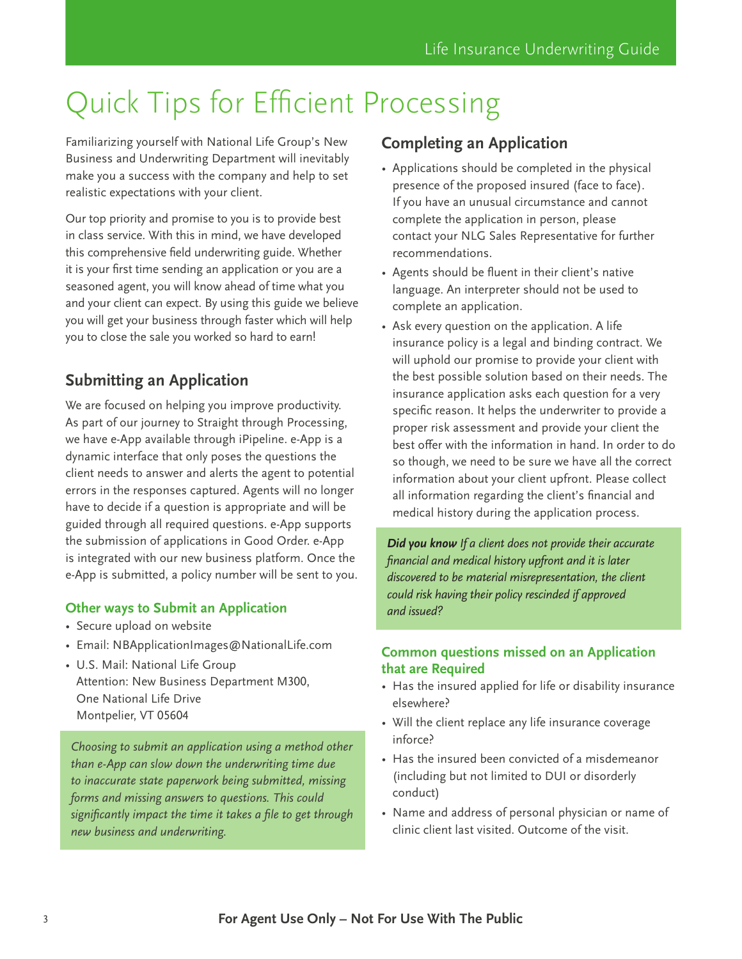# <span id="page-2-0"></span>Quick Tips for Efficient Processing

Familiarizing yourself with National Life Group's New Business and Underwriting Department will inevitably make you a success with the company and help to set realistic expectations with your client.

Our top priority and promise to you is to provide best in class service. With this in mind, we have developed this comprehensive field underwriting guide. Whether it is your first time sending an application or you are a seasoned agent, you will know ahead of time what you and your client can expect. By using this guide we believe you will get your business through faster which will help you to close the sale you worked so hard to earn!

# **Submitting an Application**

We are focused on helping you improve productivity. As part of our journey to Straight through Processing, we have e-App available through iPipeline. e-App is a dynamic interface that only poses the questions the client needs to answer and alerts the agent to potential errors in the responses captured. Agents will no longer have to decide if a question is appropriate and will be guided through all required questions. e-App supports the submission of applications in Good Order. e-App is integrated with our new business platform. Once the e-App is submitted, a policy number will be sent to you.

### **Other ways to Submit an Application**

- Secure upload on website
- Email: NBApplicationImages@NationalLife.com
- U.S. Mail: National Life Group Attention: New Business Department M300, One National Life Drive Montpelier, VT 05604

*Choosing to submit an application using a method other than e-App can slow down the underwriting time due to inaccurate state paperwork being submitted, missing forms and missing answers to questions. This could significantly impact the time it takes a file to get through new business and underwriting.*

# **Completing an Application**

- Applications should be completed in the physical presence of the proposed insured (face to face). If you have an unusual circumstance and cannot complete the application in person, please contact your NLG Sales Representative for further recommendations.
- Agents should be fluent in their client's native language. An interpreter should not be used to complete an application.
- Ask every question on the application. A life insurance policy is a legal and binding contract. We will uphold our promise to provide your client with the best possible solution based on their needs. The insurance application asks each question for a very specific reason. It helps the underwriter to provide a proper risk assessment and provide your client the best offer with the information in hand. In order to do so though, we need to be sure we have all the correct information about your client upfront. Please collect all information regarding the client's financial and medical history during the application process.

*Did you know If a client does not provide their accurate financial and medical history upfront and it is later discovered to be material misrepresentation, the client could risk having their policy rescinded if approved and issued?*

#### **Common questions missed on an Application that are Required**

- Has the insured applied for life or disability insurance elsewhere?
- Will the client replace any life insurance coverage inforce?
- Has the insured been convicted of a misdemeanor (including but not limited to DUI or disorderly conduct)
- Name and address of personal physician or name of clinic client last visited. Outcome of the visit.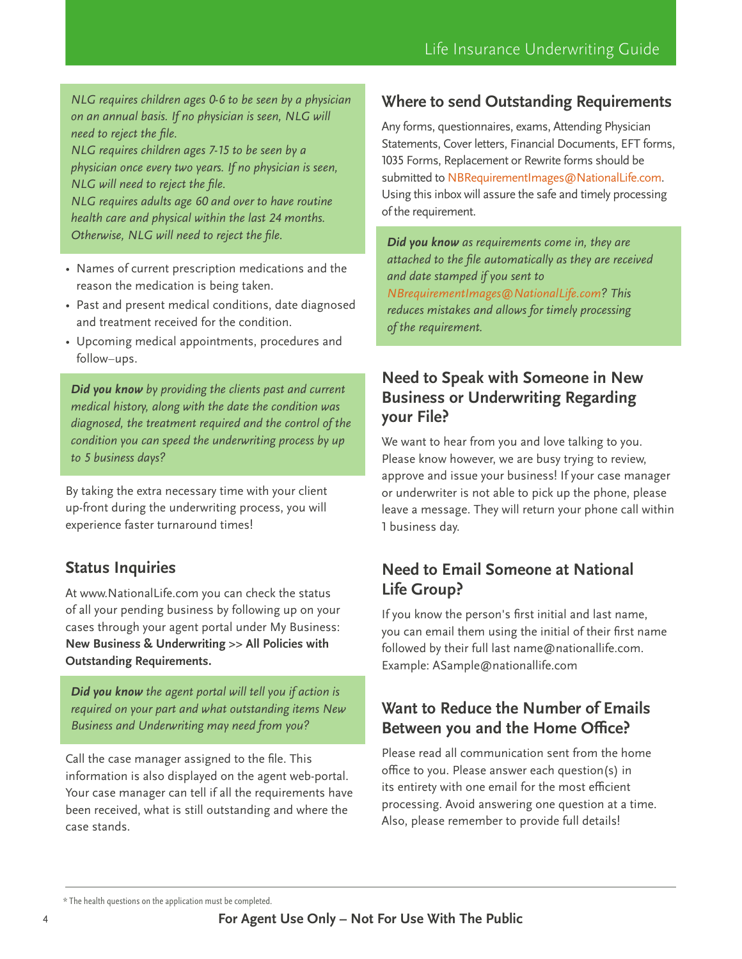*NLG requires children ages 0-6 to be seen by a physician on an annual basis. If no physician is seen, NLG will need to reject the file.* 

*NLG requires children ages 7-15 to be seen by a physician once every two years. If no physician is seen, NLG will need to reject the file.* 

*NLG requires adults age 60 and over to have routine health care and physical within the last 24 months. Otherwise, NLG will need to reject the file.*

- Names of current prescription medications and the reason the medication is being taken.
- Past and present medical conditions, date diagnosed and treatment received for the condition.
- Upcoming medical appointments, procedures and follow–ups.

*Did you know by providing the clients past and current medical history, along with the date the condition was diagnosed, the treatment required and the control of the condition you can speed the underwriting process by up to 5 business days?*

By taking the extra necessary time with your client up-front during the underwriting process, you will experience faster turnaround times!

# **Status Inquiries**

At www.NationalLife.com you can check the status of all your pending business by following up on your cases through your agent portal under My Business: **New Business & Underwriting >> All Policies with Outstanding Requirements.**

*Did you know the agent portal will tell you if action is required on your part and what outstanding items New Business and Underwriting may need from you?*

Call the case manager assigned to the file. This information is also displayed on the agent web-portal. Your case manager can tell if all the requirements have been received, what is still outstanding and where the case stands.

# **Where to send Outstanding Requirements**

Any forms, questionnaires, exams, Attending Physician Statements, Cover letters, Financial Documents, EFT forms, 1035 Forms, Replacement or Rewrite forms should be submitted to [NBRequirementImages@NationalLife.com.](NBRequirementImages@NationalLife.com) Using this inbox will assure the safe and timely processing of the requirement.

*Did you know as requirements come in, they are attached to the file automatically as they are received and date stamped if you sent to <NBrequirementImages@NationalLife.com>? This reduces mistakes and allows for timely processing of the requirement.*

## **Need to Speak with Someone in New Business or Underwriting Regarding your File?**

We want to hear from you and love talking to you. Please know however, we are busy trying to review, approve and issue your business! If your case manager or underwriter is not able to pick up the phone, please leave a message. They will return your phone call within 1 business day.

# **Need to Email Someone at National Life Group?**

If you know the person's first initial and last name, you can email them using the initial of their first name followed by their full last name@nationallife.com. Example: ASample@nationallife.com

# **Want to Reduce the Number of Emails Between you and the Home Office?**

Please read all communication sent from the home office to you. Please answer each question(s) in its entirety with one email for the most efficient processing. Avoid answering one question at a time. Also, please remember to provide full details!

<sup>\*</sup> The health questions on the application must be completed.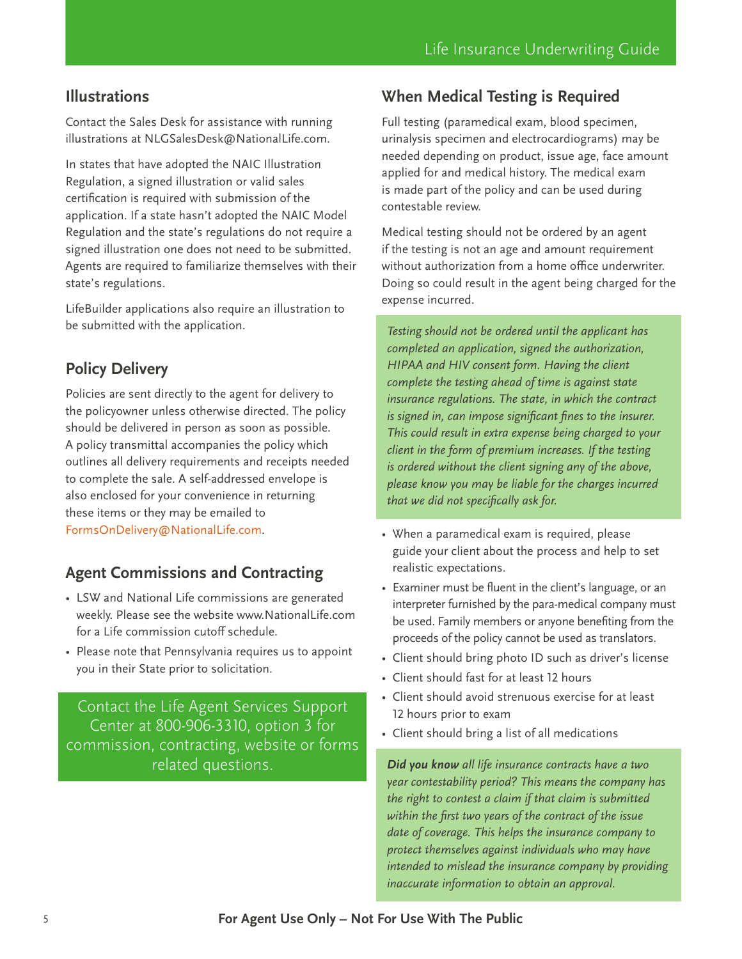# **Illustrations**

Contact the Sales Desk for assistance with running illustrations at NLGSalesDesk@NationalLife.com.

In states that have adopted the NAIC Illustration Regulation, a signed illustration or valid sales certification is required with submission of the application. If a state hasn't adopted the NAIC Model Regulation and the state's regulations do not require a signed illustration one does not need to be submitted. Agents are required to familiarize themselves with their state's regulations.

LifeBuilder applications also require an illustration to be submitted with the application.

# **Policy Delivery**

Policies are sent directly to the agent for delivery to the policyowner unless otherwise directed. The policy should be delivered in person as soon as possible. A policy transmittal accompanies the policy which outlines all delivery requirements and receipts needed to complete the sale. A self-addressed envelope is also enclosed for your convenience in returning these items or they may be emailed to [FormsOnDelivery@NationalLife.com](mailto:FormsOnDelivery@NationalLife.com).

## **Agent Commissions and Contracting**

- LSW and National Life commissions are generated weekly. Please see the website www.NationalLife.com for a Life commission cutoff schedule.
- Please note that Pennsylvania requires us to appoint you in their State prior to solicitation.

Contact the Life Agent Services Support Center at 800-906-3310, option 3 for commission, contracting, website or forms related questions.

# **When Medical Testing is Required**

Full testing (paramedical exam, blood specimen, urinalysis specimen and electrocardiograms) may be needed depending on product, issue age, face amount applied for and medical history. The medical exam is made part of the policy and can be used during contestable review.

Medical testing should not be ordered by an agent if the testing is not an age and amount requirement without authorization from a home office underwriter. Doing so could result in the agent being charged for the expense incurred.

*Testing should not be ordered until the applicant has completed an application, signed the authorization, HIPAA and HIV consent form. Having the client complete the testing ahead of time is against state insurance regulations. The state, in which the contract is signed in, can impose significant fines to the insurer. This could result in extra expense being charged to your client in the form of premium increases. If the testing is ordered without the client signing any of the above, please know you may be liable for the charges incurred that we did not specifically ask for.*

- When a paramedical exam is required, please guide your client about the process and help to set realistic expectations.
- Examiner must be fluent in the client's language, or an interpreter furnished by the para-medical company must be used. Family members or anyone benefiting from the proceeds of the policy cannot be used as translators.
- Client should bring photo ID such as driver's license
- Client should fast for at least 12 hours
- Client should avoid strenuous exercise for at least 12 hours prior to exam
- Client should bring a list of all medications

*Did you know all life insurance contracts have a two year contestability period? This means the company has the right to contest a claim if that claim is submitted within the first two years of the contract of the issue date of coverage. This helps the insurance company to protect themselves against individuals who may have intended to mislead the insurance company by providing inaccurate information to obtain an approval.*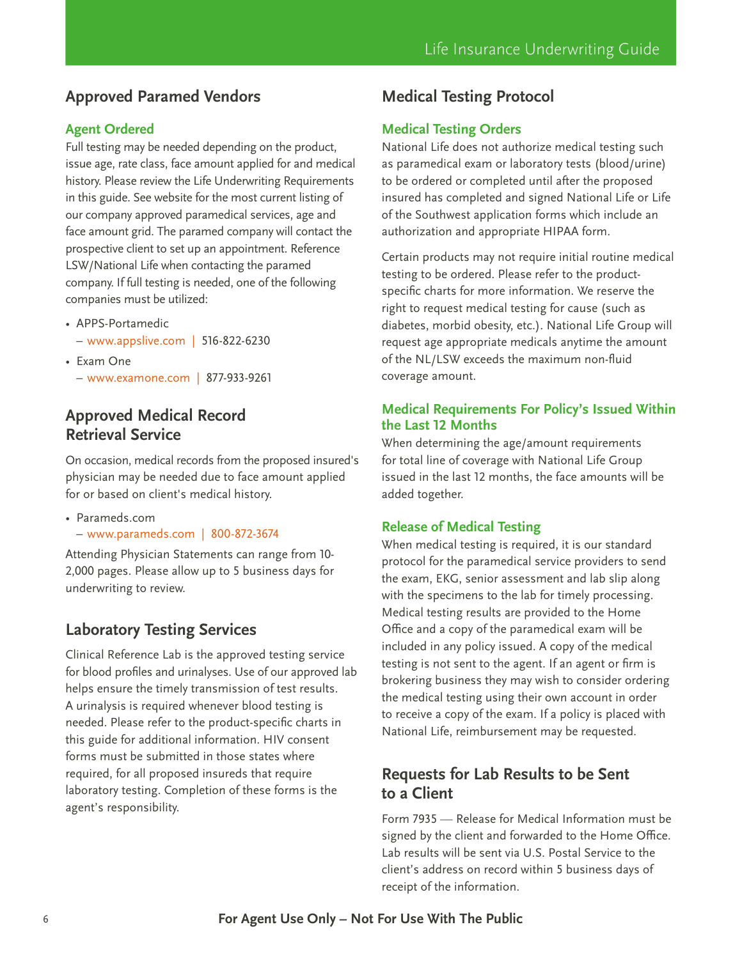# **Approved Paramed Vendors**

#### **Agent Ordered**

Full testing may be needed depending on the product, issue age, rate class, face amount applied for and medical history. Please review the Life Underwriting Requirements in this guide. See website for the most current listing of our company approved paramedical services, age and face amount grid. The paramed company will contact the prospective client to set up an appointment. Reference LSW/National Life when contacting the paramed company. If full testing is needed, one of the following companies must be utilized:

- APPS-Portamedic
	- [www.appslive.com](http://www.appslive.com) | 516-822-6230
- Exam One – [www.examone.com](http://www.examone.com) | 877-933-9261

## **Approved Medical Record Retrieval Service**

On occasion, medical records from the proposed insured's physician may be needed due to face amount applied for or based on client's medical history.

- Parameds.com
- [www.parameds.com](http://www.parameds.com) | 800-872-3674

Attending Physician Statements can range from 10- 2,000 pages. Please allow up to 5 business days for underwriting to review.

## **Laboratory Testing Services**

Clinical Reference Lab is the approved testing service for blood profiles and urinalyses. Use of our approved lab helps ensure the timely transmission of test results. A urinalysis is required whenever blood testing is needed. Please refer to the product-specific charts in this guide for additional information. HIV consent forms must be submitted in those states where required, for all proposed insureds that require laboratory testing. Completion of these forms is the agent's responsibility.

# **Medical Testing Protocol**

#### **Medical Testing Orders**

National Life does not authorize medical testing such as paramedical exam or laboratory tests (blood/urine) to be ordered or completed until after the proposed insured has completed and signed National Life or Life of the Southwest application forms which include an authorization and appropriate HIPAA form.

Certain products may not require initial routine medical testing to be ordered. Please refer to the productspecific charts for more information. We reserve the right to request medical testing for cause (such as diabetes, morbid obesity, etc.). National Life Group will request age appropriate medicals anytime the amount of the NL/LSW exceeds the maximum non-fluid coverage amount.

#### **Medical Requirements For Policy's Issued Within the Last 12 Months**

When determining the age/amount requirements for total line of coverage with National Life Group issued in the last 12 months, the face amounts will be added together.

#### **Release of Medical Testing**

When medical testing is required, it is our standard protocol for the paramedical service providers to send the exam, EKG, senior assessment and lab slip along with the specimens to the lab for timely processing. Medical testing results are provided to the Home Office and a copy of the paramedical exam will be included in any policy issued. A copy of the medical testing is not sent to the agent. If an agent or firm is brokering business they may wish to consider ordering the medical testing using their own account in order to receive a copy of the exam. If a policy is placed with National Life, reimbursement may be requested.

### **Requests for Lab Results to be Sent to a Client**

Form 7935 — Release for Medical Information must be signed by the client and forwarded to the Home Office. Lab results will be sent via U.S. Postal Service to the client's address on record within 5 business days of receipt of the information.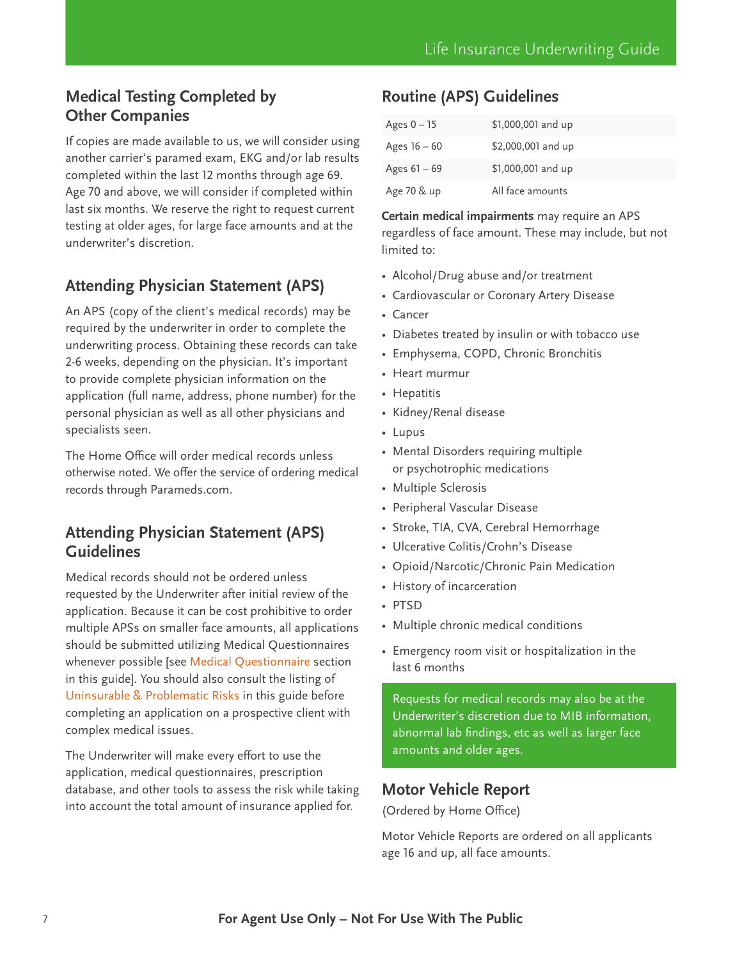# **Medical Testing Completed by Other Companies**

If copies are made available to us, we will consider using another carrier's paramed exam, EKG and/or lab results completed within the last 12 months through age 69. Age 70 and above, we will consider if completed within last six months. We reserve the right to request current testing at older ages, for large face amounts and at the underwriter's discretion.

# **Attending Physician Statement (APS)**

An APS (copy of the client's medical records) may be required by the underwriter in order to complete the underwriting process. Obtaining these records can take 2-6 weeks, depending on the physician. It's important to provide complete physician information on the application (full name, address, phone number) for the personal physician as well as all other physicians and specialists seen.

The Home Office will order medical records unless otherwise noted. We offer the service of ordering medical records through Parameds.com.

# **Attending Physician Statement (APS) Guidelines**

Medical records should not be ordered unless requested by the Underwriter after initial review of the application. Because it can be cost prohibitive to order multiple APSs on smaller face amounts, all applications should be submitted utilizing Medical Questionnaires whenever possible [see [Medical Questionnaire s](#page-35-0)ection in this guide]. You should also consult the listing of [Uninsurable & Problematic Risks](#page-19-0) in this guide before completing an application on a prospective client with complex medical issues.

The Underwriter will make every effort to use the application, medical questionnaires, prescription database, and other tools to assess the risk while taking into account the total amount of insurance applied for.

# **Routine (APS) Guidelines**

| Ages $0 - 15$  | \$1,000,001 and up |
|----------------|--------------------|
| Ages $16 - 60$ | \$2,000,001 and up |
| Ages $61 - 69$ | \$1,000,001 and up |
| Age 70 & up    | All face amounts   |

**Certain medical impairments** may require an APS regardless of face amount. These may include, but not limited to:

- Alcohol/Drug abuse and/or treatment
- Cardiovascular or Coronary Artery Disease
- Cancer
- Diabetes treated by insulin or with tobacco use
- Emphysema, COPD, Chronic Bronchitis
- Heart murmur
- Hepatitis
- Kidney/Renal disease
- Lupus
- Mental Disorders requiring multiple or psychotrophic medications
- Multiple Sclerosis
- Peripheral Vascular Disease
- Stroke, TIA, CVA, Cerebral Hemorrhage
- Ulcerative Colitis/Crohn's Disease
- Opioid/Narcotic/Chronic Pain Medication
- History of incarceration
- PTSD
- Multiple chronic medical conditions
- Emergency room visit or hospitalization in the last 6 months

Requests for medical records may also be at the Underwriter's discretion due to MIB information, abnormal lab findings, etc as well as larger face amounts and older ages.

### **Motor Vehicle Report**

(Ordered by Home Office)

Motor Vehicle Reports are ordered on all applicants age 16 and up, all face amounts.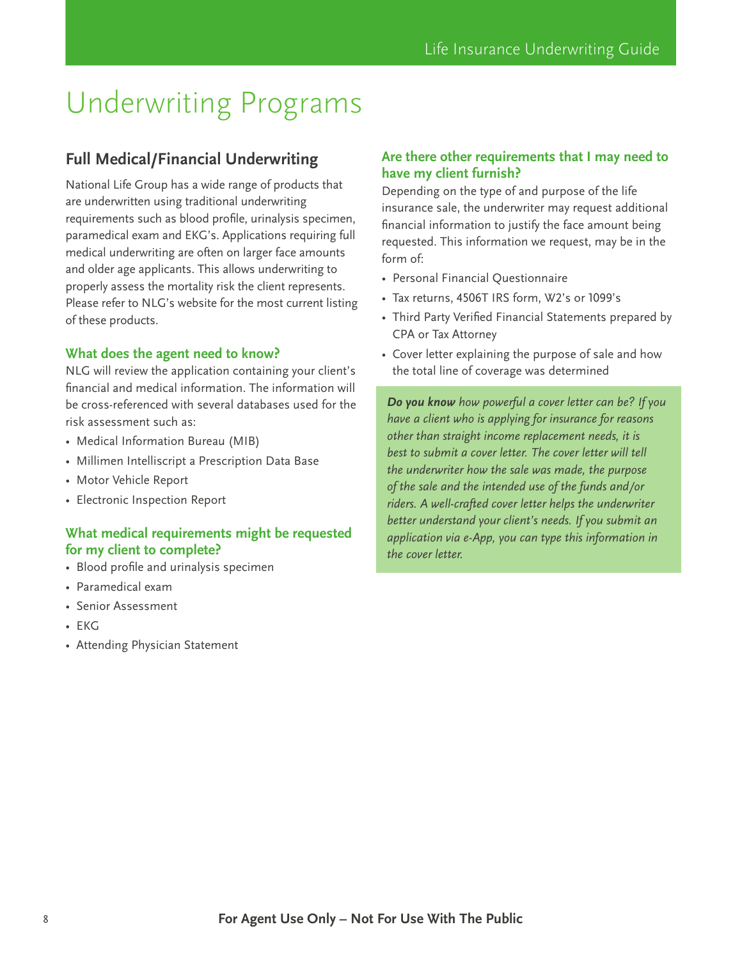# <span id="page-7-0"></span>Underwriting Programs

# **Full Medical/Financial Underwriting**

National Life Group has a wide range of products that are underwritten using traditional underwriting requirements such as blood profile, urinalysis specimen, paramedical exam and EKG's. Applications requiring full medical underwriting are often on larger face amounts and older age applicants. This allows underwriting to properly assess the mortality risk the client represents. Please refer to NLG's website for the most current listing of these products.

#### **What does the agent need to know?**

NLG will review the application containing your client's financial and medical information. The information will be cross-referenced with several databases used for the risk assessment such as:

- Medical Information Bureau (MIB)
- Millimen Intelliscript a Prescription Data Base
- Motor Vehicle Report
- Electronic Inspection Report

#### **What medical requirements might be requested for my client to complete?**

- Blood profile and urinalysis specimen
- Paramedical exam
- Senior Assessment
- EKG
- Attending Physician Statement

#### **Are there other requirements that I may need to have my client furnish?**

Depending on the type of and purpose of the life insurance sale, the underwriter may request additional financial information to justify the face amount being requested. This information we request, may be in the form of:

- Personal Financial Questionnaire
- Tax returns, 4506T IRS form, W2's or 1099's
- Third Party Verified Financial Statements prepared by CPA or Tax Attorney
- Cover letter explaining the purpose of sale and how the total line of coverage was determined

*Do you know how powerful a cover letter can be? If you have a client who is applying for insurance for reasons other than straight income replacement needs, it is best to submit a cover letter. The cover letter will tell the underwriter how the sale was made, the purpose of the sale and the intended use of the funds and/or riders. A well-crafted cover letter helps the underwriter better understand your client's needs. If you submit an application via e-App, you can type this information in the cover letter.*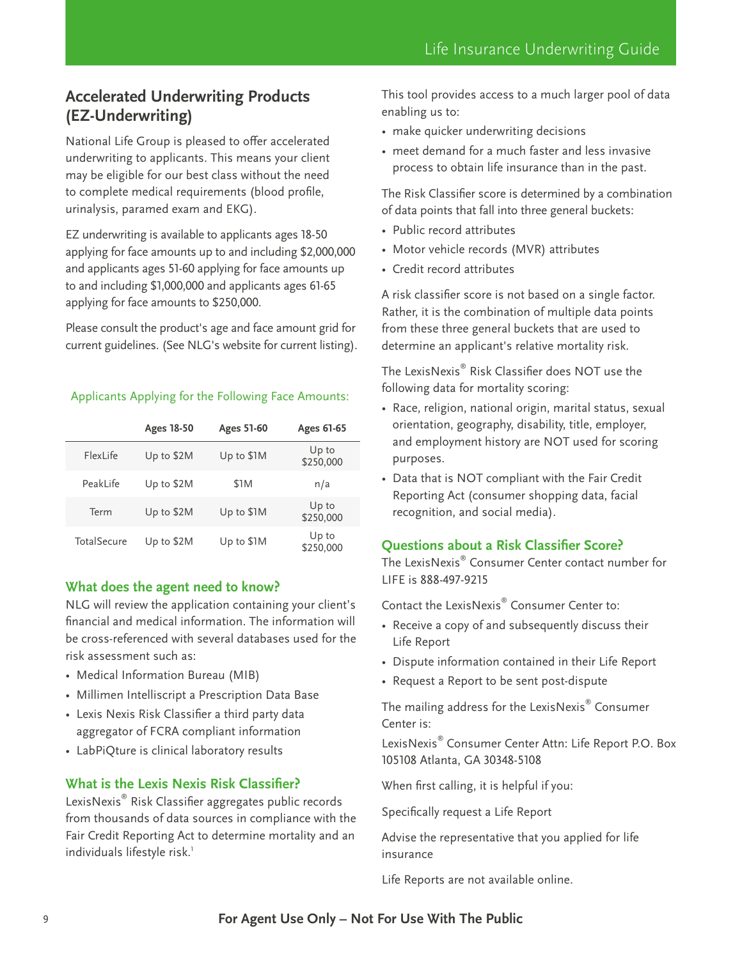# <span id="page-8-0"></span>**Accelerated Underwriting Products (EZ-Underwriting)**

National Life Group is pleased to offer accelerated underwriting to applicants. This means your client may be eligible for our best class without the need to complete medical requirements (blood profile, urinalysis, paramed exam and EKG).

EZ underwriting is available to applicants ages 18-50 applying for face amounts up to and including \$2,000,000 and applicants ages 51-60 applying for face amounts up to and including \$1,000,000 and applicants ages 61-65 applying for face amounts to \$250,000.

Please consult the product's age and face amount grid for current guidelines. (See NLG's website for current listing).

#### Applicants Applying for the Following Face Amounts:

|             | Ages 18-50 | Ages 51-60 | Ages 61-65         |
|-------------|------------|------------|--------------------|
| FlexLife    | Up to \$2M | Up to \$1M | Up to<br>\$250,000 |
| Peakl ife   | Up to \$2M | \$1M       | n/a                |
| Term        | Up to \$2M | Up to \$1M | Up to<br>\$250,000 |
| TotalSecure | Up to \$2M | Up to \$1M | Up to<br>\$250,000 |

#### **What does the agent need to know?**

NLG will review the application containing your client's financial and medical information. The information will be cross-referenced with several databases used for the risk assessment such as:

- Medical Information Bureau (MIB)
- Millimen Intelliscript a Prescription Data Base
- Lexis Nexis Risk Classifier a third party data aggregator of FCRA compliant information
- LabPiQture is clinical laboratory results

#### **What is the Lexis Nexis Risk Classifier?**

LexisNexis® Risk Classifier aggregates public records from thousands of data sources in compliance with the Fair Credit Reporting Act to determine mortality and an individuals lifestyle risk.<sup>1</sup>

This tool provides access to a much larger pool of data enabling us to:

- make quicker underwriting decisions
- meet demand for a much faster and less invasive process to obtain life insurance than in the past.

The Risk Classifier score is determined by a combination of data points that fall into three general buckets:

- Public record attributes
- Motor vehicle records (MVR) attributes
- Credit record attributes

A risk classifier score is not based on a single factor. Rather, it is the combination of multiple data points from these three general buckets that are used to determine an applicant's relative mortality risk.

The Lexis $\mathsf{Nexis}^\circ$  Risk Classifier does NOT use the following data for mortality scoring:

- Race, religion, national origin, marital status, sexual orientation, geography, disability, title, employer, and employment history are NOT used for scoring purposes.
- Data that is NOT compliant with the Fair Credit Reporting Act (consumer shopping data, facial recognition, and social media).

#### **Questions about a Risk Classifier Score?**

The LexisNexis® Consumer Center contact number for LIFE is 888-497-9215

Contact the LexisNexis® Consumer Center to:

- Receive a copy of and subsequently discuss their Life Report
- Dispute information contained in their Life Report
- Request a Report to be sent post-dispute

The mailing address for the LexisNexis $^\circ$  Consumer Center is:

LexisNexis® Consumer Center Attn: Life Report P.O. Box 105108 Atlanta, GA 30348-5108

When first calling, it is helpful if you:

Specifically request a Life Report

Advise the representative that you applied for life insurance

Life Reports are not available online.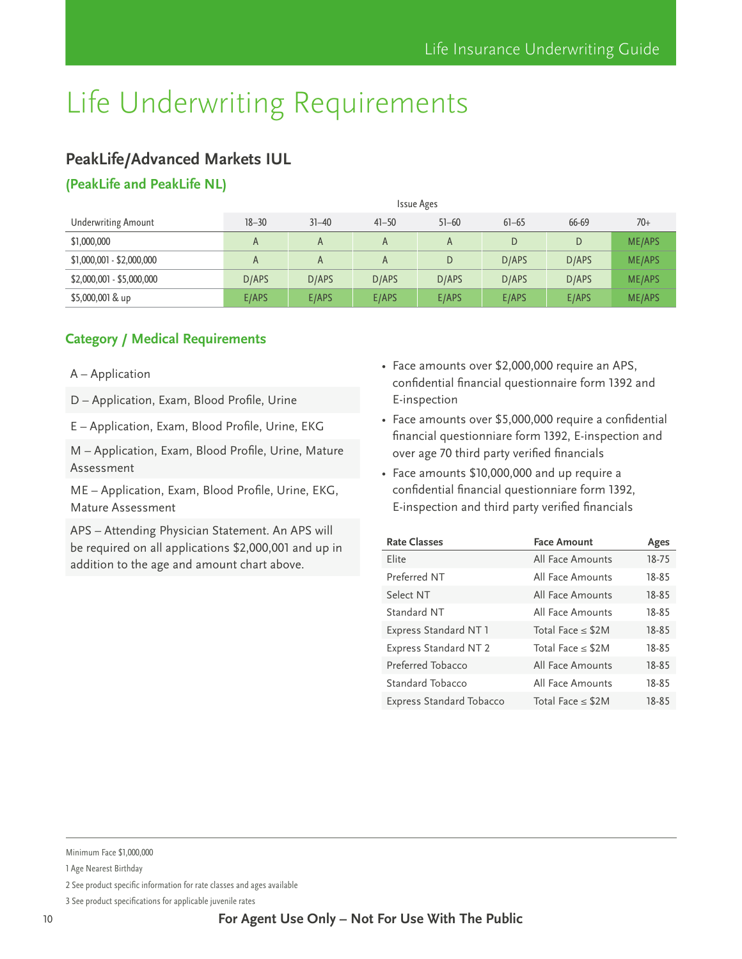# <span id="page-9-0"></span>**PeakLife/Advanced Markets IUL**

### **(PeakLife and PeakLife NL)**

|                            | <b>Issue Ages</b> |           |           |           |           |       |               |
|----------------------------|-------------------|-----------|-----------|-----------|-----------|-------|---------------|
| <b>Underwriting Amount</b> | $18 - 30$         | $31 - 40$ | $41 - 50$ | $51 - 60$ | $61 - 65$ | 66-69 | $70+$         |
| \$1,000,000                | A                 | A         | A         |           | D         | D     | <b>ME/APS</b> |
| $$1,000,001 - $2,000,000$  | A                 | A         | A         | D         | D/APS     | D/APS | <b>ME/APS</b> |
| $$2,000,001 - $5,000,000$  | D/APS             | D/APS     | D/APS     | D/APS     | D/APS     | D/APS | ME/APS        |
| $$5,000,001$ & up          | E/APS             | E/APS     | E/APS     | E/APS     | E/APS     | E/APS | <b>ME/APS</b> |

#### **Category / Medical Requirements**

#### A – Application

D – Application, Exam, Blood Profile, Urine

E – Application, Exam, Blood Profile, Urine, EKG

M – Application, Exam, Blood Profile, Urine, Mature Assessment

ME – Application, Exam, Blood Profile, Urine, EKG, Mature Assessment

APS – Attending Physician Statement. An APS will be required on all applications \$2,000,001 and up in addition to the age and amount chart above.

- Face amounts over \$2,000,000 require an APS, confidential financial questionnaire form 1392 and E-inspection
- Face amounts over \$5,000,000 require a confidential financial questionniare form 1392, E-inspection and over age 70 third party verified financials
- Face amounts \$10,000,000 and up require a confidential financial questionniare form 1392, E-inspection and third party verified financials

| <b>Rate Classes</b>      | <b>Face Amount</b>     | Ages  |
|--------------------------|------------------------|-------|
| Elite                    | All Face Amounts       | 18-75 |
| Preferred NT             | All Face Amounts       | 18-85 |
| Select NT                | All Face Amounts       | 18-85 |
| Standard NT              | All Face Amounts       | 18-85 |
| Express Standard NT 1    | Total Face $\leq$ \$2M | 18-85 |
| Express Standard NT 2    | Total Face $\leq$ \$2M | 18-85 |
| Preferred Tobacco        | All Face Amounts       | 18-85 |
| Standard Tobacco         | All Face Amounts       | 18-85 |
| Express Standard Tobacco | Total Face $\leq$ \$2M | 18-85 |

Minimum Face \$1,000,000

<sup>1</sup> Age Nearest Birthday

<sup>2</sup> See product specific information for rate classes and ages available

<sup>3</sup> See product specifications for applicable juvenile rates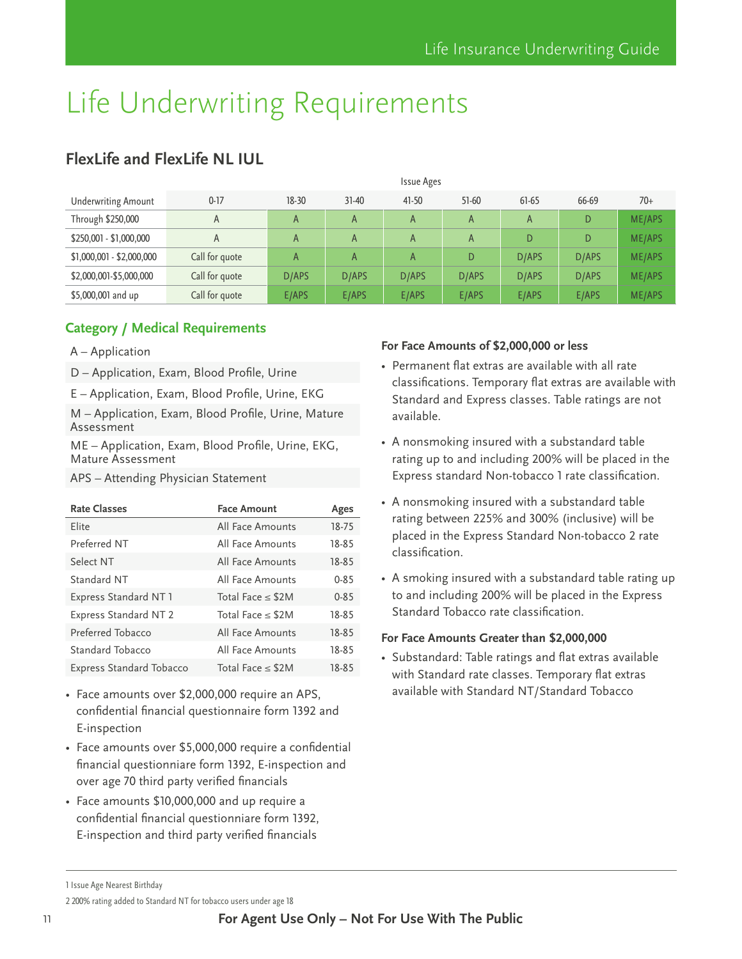|                            | <b>Issue Ages</b> |       |           |       |         |       |       |               |
|----------------------------|-------------------|-------|-----------|-------|---------|-------|-------|---------------|
| <b>Underwriting Amount</b> | $0-17$            | 18-30 | $31 - 40$ | 41-50 | $51-60$ | 61-65 | 66-69 | $70+$         |
| Through \$250,000          | A                 | A     | A         | A     | A       | A     | D     | <b>ME/APS</b> |
| \$250,001 - \$1,000,000    | A                 | A     | A         | A     | A       | D     | D     | ME/APS        |
| \$1,000,001 - \$2,000,000  | Call for quote    | A     | A         | A     | D       | D/APS | D/APS | ME/APS        |
| \$2,000,001-\$5,000,000    | Call for quote    | D/APS | D/APS     | D/APS | D/APS   | D/APS | D/APS | <b>ME/APS</b> |
| \$5,000,001 and up         | Call for quote    | E/APS | E/APS     | E/APS | E/APS   | E/APS | E/APS | <b>ME/APS</b> |

# <span id="page-10-0"></span>**FlexLife and FlexLife NL IUL**

#### **Category / Medical Requirements**

- A Application
- D Application, Exam, Blood Profile, Urine
- E Application, Exam, Blood Profile, Urine, EKG

M – Application, Exam, Blood Profile, Urine, Mature Assessment

ME – Application, Exam, Blood Profile, Urine, EKG, Mature Assessment

APS – Attending Physician Statement

| <b>Rate Classes</b>             | <b>Face Amount</b>     | Ages     |
|---------------------------------|------------------------|----------|
| Flite                           | All Face Amounts       | 18-75    |
| Preferred NT                    | All Face Amounts       | 18-85    |
| Select NT                       | All Face Amounts       | 18-85    |
| Standard NT                     | All Face Amounts       | $0 - 85$ |
| Express Standard NT 1           | Total Face $\leq$ \$2M | $0 - 85$ |
| Express Standard NT 2           | Total Face $\leq$ \$2M | 18-85    |
| Preferred Tobacco               | All Face Amounts       | 18-85    |
| Standard Tobacco                | All Face Amounts       | 18-85    |
| <b>Express Standard Tobacco</b> | Total Face $\leq$ \$2M | 18-85    |

- Face amounts over \$2,000,000 require an APS, confidential financial questionnaire form 1392 and E-inspection
- Face amounts over \$5,000,000 require a confidential financial questionniare form 1392, E-inspection and over age 70 third party verified financials
- Face amounts \$10,000,000 and up require a confidential financial questionniare form 1392, E-inspection and third party verified financials

#### **For Face Amounts of \$2,000,000 or less**

- Permanent flat extras are available with all rate classifications. Temporary flat extras are available with Standard and Express classes. Table ratings are not available.
- A nonsmoking insured with a substandard table rating up to and including 200% will be placed in the Express standard Non-tobacco 1 rate classification.
- A nonsmoking insured with a substandard table rating between 225% and 300% (inclusive) will be placed in the Express Standard Non-tobacco 2 rate classification.
- A smoking insured with a substandard table rating up to and including 200% will be placed in the Express Standard Tobacco rate classification.

#### **For Face Amounts Greater than \$2,000,000**

• Substandard: Table ratings and flat extras available with Standard rate classes. Temporary flat extras available with Standard NT/Standard Tobacco

2 200% rating added to Standard NT for tobacco users under age 18

<sup>1</sup> Issue Age Nearest Birthday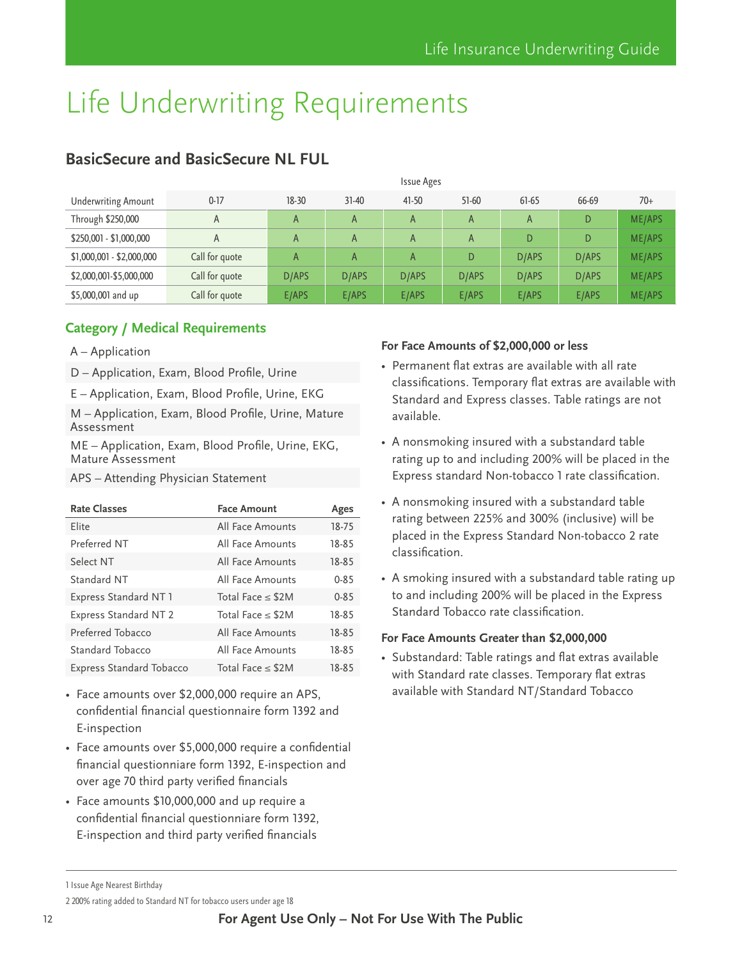|                            | Issue Ages     |       |              |           |              |       |       |               |
|----------------------------|----------------|-------|--------------|-----------|--------------|-------|-------|---------------|
| <b>Underwriting Amount</b> | $0-17$         | 18-30 | $31-40$      | $41 - 50$ | $51-60$      | 61-65 | 66-69 | $70+$         |
| Through \$250,000          | A              | A     | $\mathsf{A}$ | A         | $\mathsf{A}$ | A     | D     | <b>ME/APS</b> |
| \$250,001 - \$1,000,000    | A              | A     | A            | A         | A            |       | D     | <b>ME/APS</b> |
| \$1,000,001 - \$2,000,000  | Call for quote | A     | $\mathsf{A}$ | A         | D            | D/APS | D/APS | <b>ME/APS</b> |
| \$2,000,001-\$5,000,000    | Call for quote | D/APS | D/APS        | D/APS     | D/APS        | D/APS | D/APS | <b>ME/APS</b> |
| \$5,000,001 and up         | Call for quote | E/APS | E/APS        | E/APS     | E/APS        | E/APS | E/APS | <b>ME/APS</b> |

# <span id="page-11-0"></span>**BasicSecure and BasicSecure NL FUL**

#### **Category / Medical Requirements**

- A Application
- D Application, Exam, Blood Profile, Urine
- E Application, Exam, Blood Profile, Urine, EKG

M – Application, Exam, Blood Profile, Urine, Mature Assessment

ME – Application, Exam, Blood Profile, Urine, EKG, Mature Assessment

APS – Attending Physician Statement

| <b>Rate Classes</b>             | <b>Face Amount</b>     | Ages     |
|---------------------------------|------------------------|----------|
| Flite                           | All Face Amounts       | 18-75    |
| Preferred NT                    | All Face Amounts       | 18-85    |
| Select NT                       | All Face Amounts       | 18-85    |
| Standard NT                     | All Face Amounts       | $0 - 85$ |
| Express Standard NT 1           | Total Face $\leq$ \$2M | $0 - 85$ |
| <b>Express Standard NT 2</b>    | Total Face $\leq$ \$2M | 18-85    |
| Preferred Tobacco               | All Face Amounts       | 18-85    |
| Standard Tobacco                | All Face Amounts       | 18-85    |
| <b>Express Standard Tobacco</b> | Total Face $\leq$ \$2M | 18-85    |

- Face amounts over \$2,000,000 require an APS, confidential financial questionnaire form 1392 and E-inspection
- Face amounts over \$5,000,000 require a confidential financial questionniare form 1392, E-inspection and over age 70 third party verified financials
- Face amounts \$10,000,000 and up require a confidential financial questionniare form 1392, E-inspection and third party verified financials

#### **For Face Amounts of \$2,000,000 or less**

- Permanent flat extras are available with all rate classifications. Temporary flat extras are available with Standard and Express classes. Table ratings are not available.
- A nonsmoking insured with a substandard table rating up to and including 200% will be placed in the Express standard Non-tobacco 1 rate classification.
- A nonsmoking insured with a substandard table rating between 225% and 300% (inclusive) will be placed in the Express Standard Non-tobacco 2 rate classification.
- A smoking insured with a substandard table rating up to and including 200% will be placed in the Express Standard Tobacco rate classification.

#### **For Face Amounts Greater than \$2,000,000**

• Substandard: Table ratings and flat extras available with Standard rate classes. Temporary flat extras available with Standard NT/Standard Tobacco

2 200% rating added to Standard NT for tobacco users under age 18

<sup>1</sup> Issue Age Nearest Birthday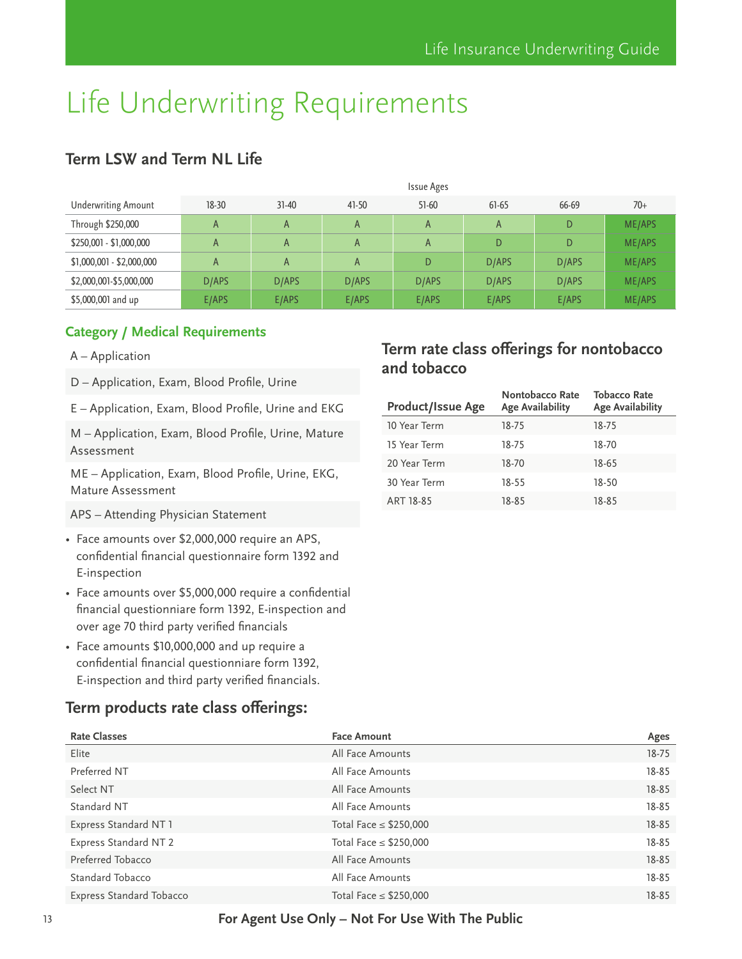# <span id="page-12-0"></span>**Term LSW and Term NL Life**

|                            |           |                |         | <b>Issue Ages</b> |         |       |               |
|----------------------------|-----------|----------------|---------|-------------------|---------|-------|---------------|
| <b>Underwriting Amount</b> | $18 - 30$ | $31 - 40$      | $41-50$ | $51-60$           | $61-65$ | 66-69 | $70+$         |
| Through \$250,000          | A         | A              | A       | A                 | A       | D     | ME/APS        |
| \$250,001 - \$1,000,000    | A         | A              | A       | A                 | D       | D     | <b>ME/APS</b> |
| \$1,000,001 - \$2,000,000  | A         | $\overline{A}$ | A       | D                 | D/APS   | D/APS | ME/APS        |
| \$2,000,001-\$5,000,000    | D/APS     | D/APS          | D/APS   | D/APS             | D/APS   | D/APS | <b>ME/APS</b> |
| \$5,000,001 and up         | E/APS     | E/APS          | E/APS   | E/APS             | E/APS   | E/APS | <b>ME/APS</b> |

#### **Category / Medical Requirements**

- A Application
- D Application, Exam, Blood Profile, Urine
- E Application, Exam, Blood Profile, Urine and EKG

M – Application, Exam, Blood Profile, Urine, Mature Assessment

ME – Application, Exam, Blood Profile, Urine, EKG, Mature Assessment

APS – Attending Physician Statement

- Face amounts over \$2,000,000 require an APS, confidential financial questionnaire form 1392 and E-inspection
- Face amounts over \$5,000,000 require a confidential financial questionniare form 1392, E-inspection and over age 70 third party verified financials
- Face amounts \$10,000,000 and up require a confidential financial questionniare form 1392, E-inspection and third party verified financials.

### **Term products rate class offerings:**

# **Term rate class offerings for nontobacco and tobacco**

| <b>Product/Issue Age</b> | Nontobacco Rate<br><b>Age Availability</b> | <b>Tobacco Rate</b><br><b>Age Availability</b> |
|--------------------------|--------------------------------------------|------------------------------------------------|
| 10 Year Term             | 18-75                                      | 18-75                                          |
| 15 Year Term             | 18-75                                      | 18-70                                          |
| 20 Year Term             | 18-70                                      | 18-65                                          |
| 30 Year Term             | 18-55                                      | 18-50                                          |
| ART 18-85                | 18-85                                      | 18-85                                          |

| <b>Rate Classes</b>      | <b>Face Amount</b>          | Ages      |
|--------------------------|-----------------------------|-----------|
| Elite                    | All Face Amounts            | $18 - 75$ |
| Preferred NT             | All Face Amounts            | 18-85     |
| Select NT                | All Face Amounts            | $18 - 85$ |
| Standard NT              | All Face Amounts            | 18-85     |
| Express Standard NT 1    | Total Face $\leq$ \$250,000 | 18-85     |
| Express Standard NT 2    | Total Face $\leq$ \$250,000 | 18-85     |
| Preferred Tobacco        | All Face Amounts            | $18 - 85$ |
| Standard Tobacco         | All Face Amounts            | $18 - 85$ |
| Express Standard Tobacco | Total Face $\leq$ \$250,000 | 18-85     |

#### 13 **For Agent Use Only – Not For Use With The Public**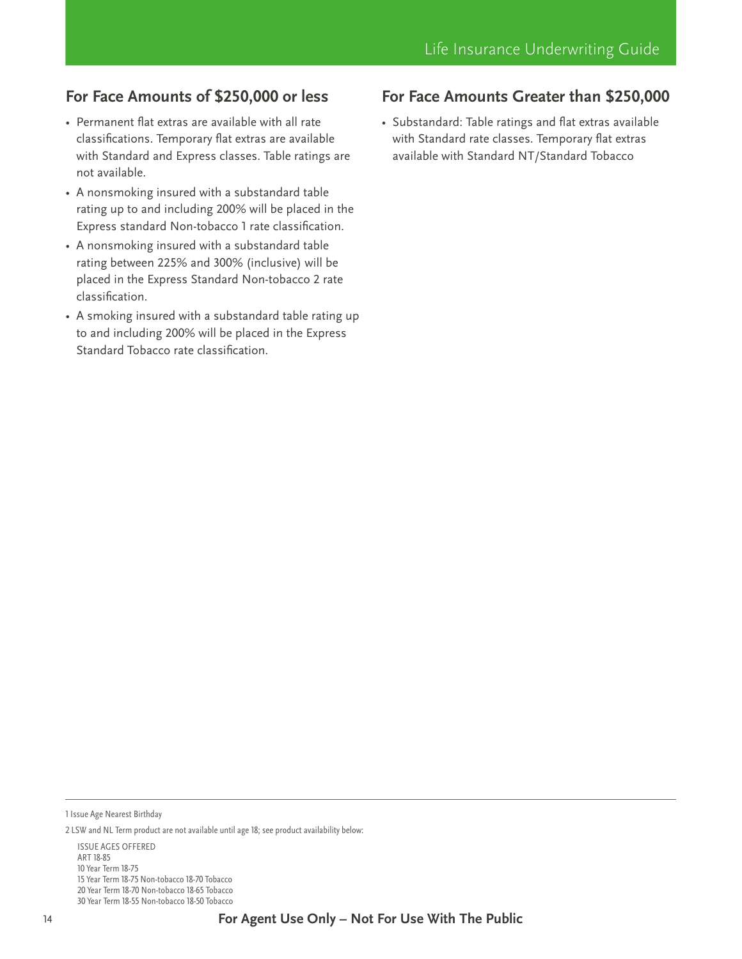# **For Face Amounts of \$250,000 or less**

- Permanent flat extras are available with all rate classifications. Temporary flat extras are available with Standard and Express classes. Table ratings are not available.
- A nonsmoking insured with a substandard table rating up to and including 200% will be placed in the Express standard Non-tobacco 1 rate classification.
- A nonsmoking insured with a substandard table rating between 225% and 300% (inclusive) will be placed in the Express Standard Non-tobacco 2 rate classification.
- A smoking insured with a substandard table rating up to and including 200% will be placed in the Express Standard Tobacco rate classification.

### **For Face Amounts Greater than \$250,000**

• Substandard: Table ratings and flat extras available with Standard rate classes. Temporary flat extras available with Standard NT/Standard Tobacco

1 Issue Age Nearest Birthday

ISSUE AGES OFFERED ART 18-85 10 Year Term 18-75 15 Year Term 18-75 Non-tobacco 18-70 Tobacco 20 Year Term 18-70 Non-tobacco 18-65 Tobacco 30 Year Term 18-55 Non-tobacco 18-50 Tobacco

<sup>2</sup> LSW and NL Term product are not available until age 18; see product availability below: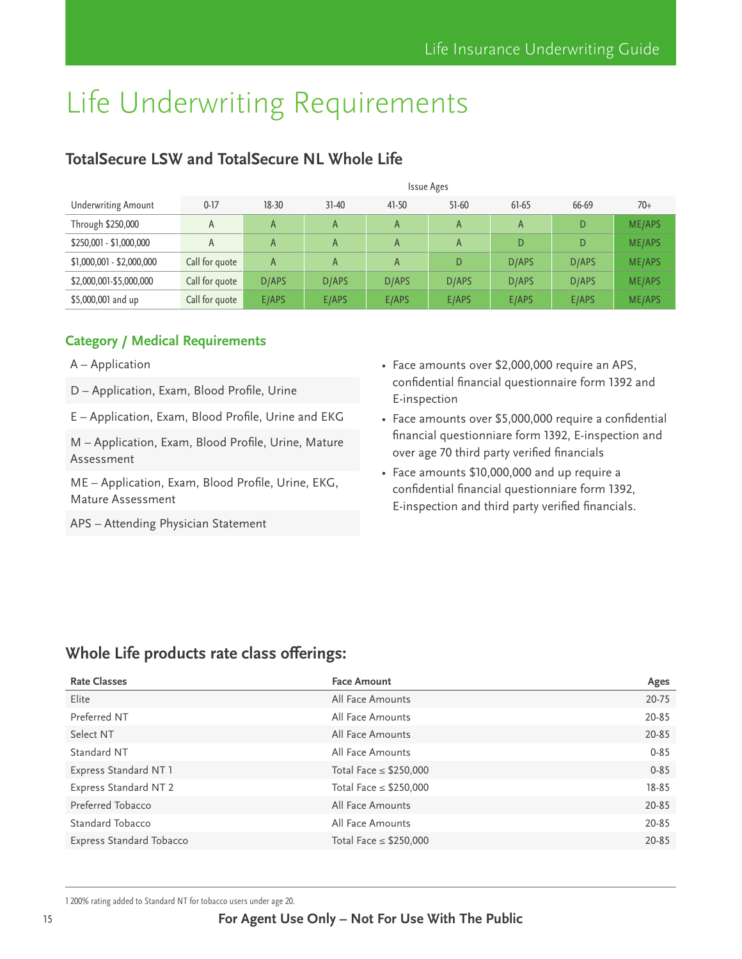# <span id="page-14-0"></span>**TotalSecure LSW and TotalSecure NL Whole Life**

|                            | <b>Issue Ages</b> |           |           |              |         |         |       |               |
|----------------------------|-------------------|-----------|-----------|--------------|---------|---------|-------|---------------|
| <b>Underwriting Amount</b> | $0-17$            | $18 - 30$ | $31 - 40$ | $41-50$      | $51-60$ | $61-65$ | 66-69 | $70+$         |
| Through \$250,000          | A                 | A         | A         | $\mathsf{A}$ | A       | A       | D     | <b>ME/APS</b> |
| \$250,001 - \$1,000,000    | A                 | A         | A         | $\mathsf{A}$ | A       | D       | D     | <b>ME/APS</b> |
| \$1,000,001 - \$2,000,000  | Call for quote    | A         | A         | $\mathsf{A}$ | D       | D/APS   | D/APS | <b>ME/APS</b> |
| \$2,000,001-\$5,000,000    | Call for quote    | D/APS     | D/APS     | D/APS        | D/APS   | D/APS   | D/APS | <b>ME/APS</b> |
| \$5,000,001 and up         | Call for quote    | E/APS     | E/APS     | E/APS        | E/APS   | E/APS   | E/APS | <b>ME/APS</b> |

#### **Category / Medical Requirements**

- A Application
- D Application, Exam, Blood Profile, Urine
- E Application, Exam, Blood Profile, Urine and EKG
- M Application, Exam, Blood Profile, Urine, Mature Assessment

ME – Application, Exam, Blood Profile, Urine, EKG, Mature Assessment

APS – Attending Physician Statement

- Face amounts over \$2,000,000 require an APS, confidential financial questionnaire form 1392 and E-inspection
- Face amounts over \$5,000,000 require a confidential financial questionniare form 1392, E-inspection and over age 70 third party verified financials
- Face amounts \$10,000,000 and up require a confidential financial questionniare form 1392, E-inspection and third party verified financials.

## **Whole Life products rate class offerings:**

| <b>Rate Classes</b>             | <b>Face Amount</b>          | Ages      |
|---------------------------------|-----------------------------|-----------|
| Elite                           | All Face Amounts            | 20-75     |
| Preferred NT                    | All Face Amounts            | 20-85     |
| Select NT                       | All Face Amounts            | 20-85     |
| Standard NT                     | All Face Amounts            | $0 - 85$  |
| Express Standard NT 1           | Total Face $\leq$ \$250,000 | $0 - 85$  |
| Express Standard NT 2           | Total Face $\leq$ \$250,000 | $18 - 85$ |
| Preferred Tobacco               | All Face Amounts            | 20-85     |
| Standard Tobacco                | All Face Amounts            | 20-85     |
| <b>Express Standard Tobacco</b> | Total Face $\leq$ \$250,000 | 20-85     |

<sup>1 200%</sup> rating added to Standard NT for tobacco users under age 20.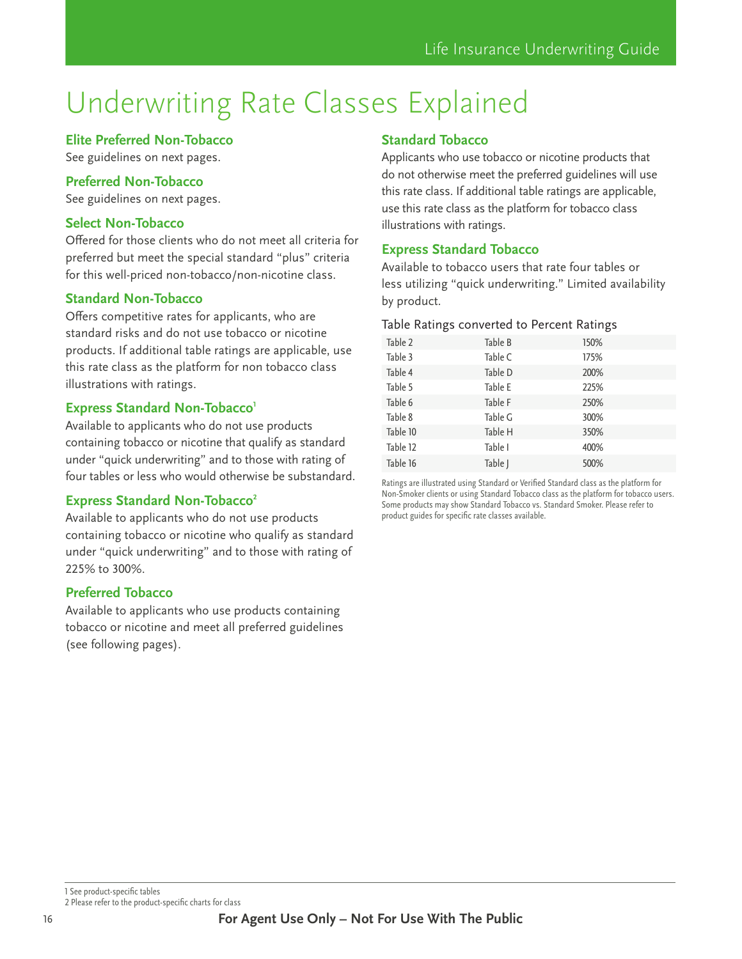# <span id="page-15-0"></span>Underwriting Rate Classes Explained

#### **Elite Preferred Non-Tobacco**

See guidelines on next pages.

#### **Preferred Non-Tobacco**

See guidelines on next pages.

#### **Select Non-Tobacco**

Offered for those clients who do not meet all criteria for preferred but meet the special standard "plus" criteria for this well-priced non-tobacco/non-nicotine class.

#### **Standard Non-Tobacco**

Offers competitive rates for applicants, who are standard risks and do not use tobacco or nicotine products. If additional table ratings are applicable, use this rate class as the platform for non tobacco class illustrations with ratings.

#### **Express Standard Non-Tobacco**<sup>1</sup>

Available to applicants who do not use products containing tobacco or nicotine that qualify as standard under "quick underwriting" and to those with rating of four tables or less who would otherwise be substandard.

#### **Express Standard Non-Tobacco<sup>2</sup>**

Available to applicants who do not use products containing tobacco or nicotine who qualify as standard under "quick underwriting" and to those with rating of 225% to 300%.

#### **Preferred Tobacco**

Available to applicants who use products containing tobacco or nicotine and meet all preferred guidelines (see following pages).

#### **Standard Tobacco**

Applicants who use tobacco or nicotine products that do not otherwise meet the preferred guidelines will use this rate class. If additional table ratings are applicable, use this rate class as the platform for tobacco class illustrations with ratings.

#### **Express Standard Tobacco**

Available to tobacco users that rate four tables or less utilizing "quick underwriting." Limited availability by product.

#### Table Ratings converted to Percent Ratings

| Table 2  | Table B | 150% |  |
|----------|---------|------|--|
| Table 3  | Table C | 175% |  |
| Table 4  | Table D | 200% |  |
| Table 5  | Table E | 225% |  |
| Table 6  | Table F | 250% |  |
| Table 8  | Table G | 300% |  |
| Table 10 | Table H | 350% |  |
| Table 12 | Table I | 400% |  |
| Table 16 | Table J | 500% |  |
|          |         |      |  |

Ratings are illustrated using Standard or Verified Standard class as the platform for Non-Smoker clients or using Standard Tobacco class as the platform for tobacco users. Some products may show Standard Tobacco vs. Standard Smoker. Please refer to product guides for specific rate classes available.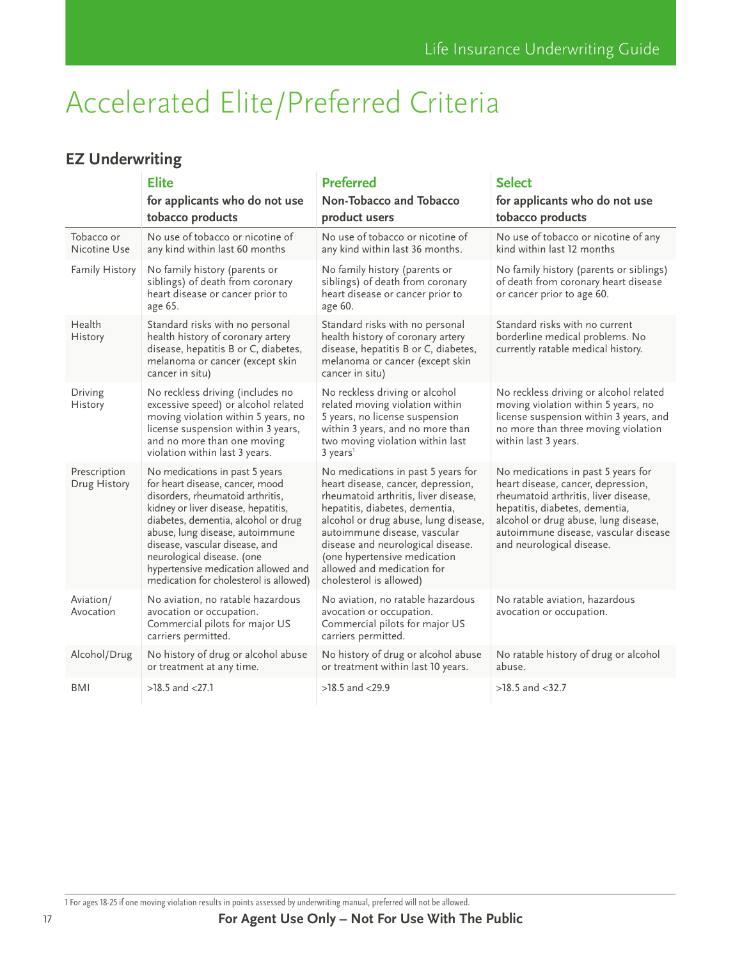# <span id="page-16-0"></span>Accelerated Elite/Preferred Criteria

# **EZ Underwriting**

|                              | <b>Elite</b><br>for applicants who do not use<br>tobacco products                                                                                                                                                                                                                                                                                                       | <b>Preferred</b><br>Non-Tobacco and Tobacco<br>product users                                                                                                                                                                                                                                                                                             | <b>Select</b><br>for applicants who do not use<br>tobacco products                                                                                                                                                                                              |
|------------------------------|-------------------------------------------------------------------------------------------------------------------------------------------------------------------------------------------------------------------------------------------------------------------------------------------------------------------------------------------------------------------------|----------------------------------------------------------------------------------------------------------------------------------------------------------------------------------------------------------------------------------------------------------------------------------------------------------------------------------------------------------|-----------------------------------------------------------------------------------------------------------------------------------------------------------------------------------------------------------------------------------------------------------------|
| Tobacco or<br>Nicotine Use   | No use of tobacco or nicotine of<br>any kind within last 60 months                                                                                                                                                                                                                                                                                                      | No use of tobacco or nicotine of<br>any kind within last 36 months.                                                                                                                                                                                                                                                                                      | No use of tobacco or nicotine of any<br>kind within last 12 months                                                                                                                                                                                              |
| Family History               | No family history (parents or<br>siblings) of death from coronary<br>heart disease or cancer prior to<br>age 65.                                                                                                                                                                                                                                                        | No family history (parents or<br>siblings) of death from coronary<br>heart disease or cancer prior to<br>age 60.                                                                                                                                                                                                                                         | No family history (parents or siblings)<br>of death from coronary heart disease<br>or cancer prior to age 60.                                                                                                                                                   |
| Health<br>History            | Standard risks with no personal<br>health history of coronary artery<br>disease, hepatitis B or C, diabetes,<br>melanoma or cancer (except skin<br>cancer in situ)                                                                                                                                                                                                      | Standard risks with no personal<br>health history of coronary artery<br>disease, hepatitis B or C, diabetes,<br>melanoma or cancer (except skin<br>cancer in situ)                                                                                                                                                                                       | Standard risks with no current<br>borderline medical problems. No<br>currently ratable medical history.                                                                                                                                                         |
| Driving<br>History           | No reckless driving (includes no<br>excessive speed) or alcohol related<br>moving violation within 5 years, no<br>license suspension within 3 years,<br>and no more than one moving<br>violation within last 3 years.                                                                                                                                                   | No reckless driving or alcohol<br>related moving violation within<br>5 years, no license suspension<br>within 3 years, and no more than<br>two moving violation within last<br>3 years <sup>1</sup>                                                                                                                                                      | No reckless driving or alcohol related<br>moving violation within 5 years, no<br>license suspension within 3 years, and<br>no more than three moving violation<br>within last 3 years.                                                                          |
| Prescription<br>Drug History | No medications in past 5 years<br>for heart disease, cancer, mood<br>disorders, rheumatoid arthritis,<br>kidney or liver disease, hepatitis,<br>diabetes, dementia, alcohol or drug<br>abuse, lung disease, autoimmune<br>disease, vascular disease, and<br>neurological disease. (one<br>hypertensive medication allowed and<br>medication for cholesterol is allowed) | No medications in past 5 years for<br>heart disease, cancer, depression,<br>rheumatoid arthritis, liver disease,<br>hepatitis, diabetes, dementia,<br>alcohol or drug abuse, lung disease,<br>autoimmune disease, vascular<br>disease and neurological disease.<br>(one hypertensive medication<br>allowed and medication for<br>cholesterol is allowed) | No medications in past 5 years for<br>heart disease, cancer, depression,<br>rheumatoid arthritis, liver disease,<br>hepatitis, diabetes, dementia,<br>alcohol or drug abuse, lung disease,<br>autoimmune disease, vascular disease<br>and neurological disease. |
| Aviation/<br>Avocation       | No aviation, no ratable hazardous<br>avocation or occupation.<br>Commercial pilots for major US<br>carriers permitted.                                                                                                                                                                                                                                                  | No aviation, no ratable hazardous<br>avocation or occupation.<br>Commercial pilots for major US<br>carriers permitted.                                                                                                                                                                                                                                   | No ratable aviation, hazardous<br>avocation or occupation.                                                                                                                                                                                                      |
| Alcohol/Drug                 | No history of drug or alcohol abuse<br>or treatment at any time.                                                                                                                                                                                                                                                                                                        | No history of drug or alcohol abuse<br>or treatment within last 10 years.                                                                                                                                                                                                                                                                                | No ratable history of drug or alcohol<br>abuse.                                                                                                                                                                                                                 |
| <b>BMI</b>                   | $>18.5$ and $< 27.1$                                                                                                                                                                                                                                                                                                                                                    | $>18.5$ and $<$ 29.9                                                                                                                                                                                                                                                                                                                                     | $>18.5$ and $< 32.7$                                                                                                                                                                                                                                            |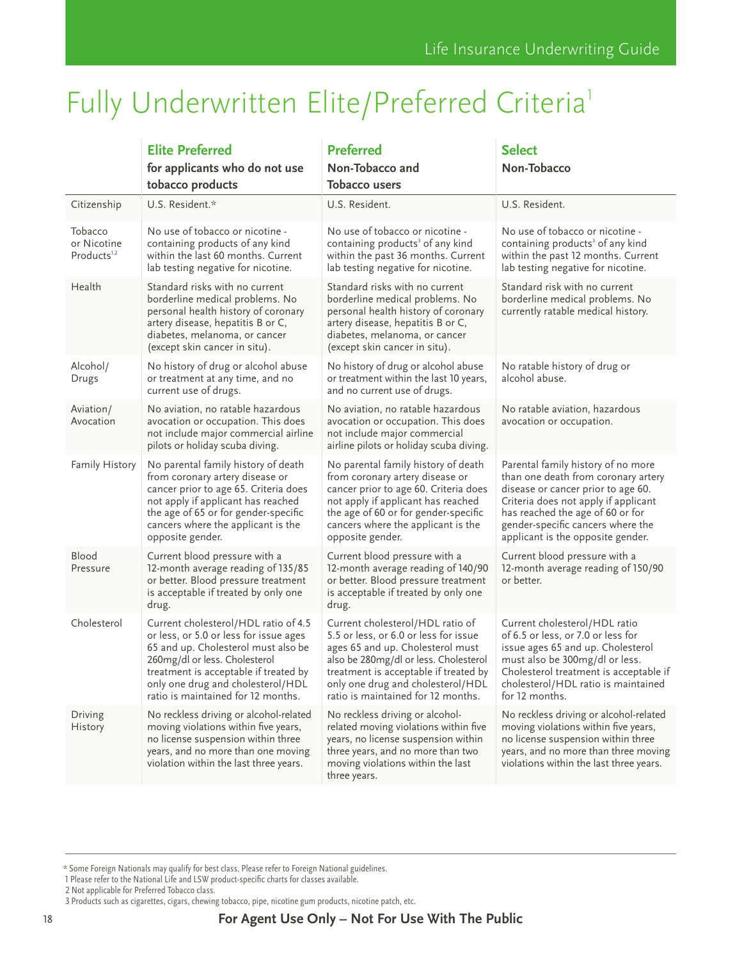# <span id="page-17-0"></span>Fully Underwritten Elite/Preferred Criteria<sup>1</sup>

|                                                   | <b>Elite Preferred</b><br>for applicants who do not use<br>tobacco products                                                                                                                                                                                                | <b>Preferred</b><br>Non-Tobacco and<br><b>Tobacco users</b>                                                                                                                                                                                                                | <b>Select</b><br>Non-Tobacco                                                                                                                                                                                                                                          |
|---------------------------------------------------|----------------------------------------------------------------------------------------------------------------------------------------------------------------------------------------------------------------------------------------------------------------------------|----------------------------------------------------------------------------------------------------------------------------------------------------------------------------------------------------------------------------------------------------------------------------|-----------------------------------------------------------------------------------------------------------------------------------------------------------------------------------------------------------------------------------------------------------------------|
| Citizenship                                       | U.S. Resident.*                                                                                                                                                                                                                                                            | U.S. Resident.                                                                                                                                                                                                                                                             | U.S. Resident.                                                                                                                                                                                                                                                        |
| Tobacco<br>or Nicotine<br>Products <sup>1,2</sup> | No use of tobacco or nicotine -<br>containing products of any kind<br>within the last 60 months. Current<br>lab testing negative for nicotine.                                                                                                                             | No use of tobacco or nicotine -<br>containing products <sup>3</sup> of any kind<br>within the past 36 months. Current<br>lab testing negative for nicotine.                                                                                                                | No use of tobacco or nicotine -<br>containing products <sup>3</sup> of any kind<br>within the past 12 months. Current<br>lab testing negative for nicotine.                                                                                                           |
| Health                                            | Standard risks with no current<br>borderline medical problems. No<br>personal health history of coronary<br>artery disease, hepatitis B or C,<br>diabetes, melanoma, or cancer<br>(except skin cancer in situ).                                                            | Standard risks with no current<br>borderline medical problems. No<br>personal health history of coronary<br>artery disease, hepatitis B or C,<br>diabetes, melanoma, or cancer<br>(except skin cancer in situ).                                                            | Standard risk with no current<br>borderline medical problems. No<br>currently ratable medical history.                                                                                                                                                                |
| Alcohol/<br>Drugs                                 | No history of drug or alcohol abuse<br>or treatment at any time, and no<br>current use of drugs.                                                                                                                                                                           | No history of drug or alcohol abuse<br>or treatment within the last 10 years,<br>and no current use of drugs.                                                                                                                                                              | No ratable history of drug or<br>alcohol abuse.                                                                                                                                                                                                                       |
| Aviation/<br>Avocation                            | No aviation, no ratable hazardous<br>avocation or occupation. This does<br>not include major commercial airline<br>pilots or holiday scuba diving.                                                                                                                         | No aviation, no ratable hazardous<br>avocation or occupation. This does<br>not include major commercial<br>airline pilots or holiday scuba diving.                                                                                                                         | No ratable aviation, hazardous<br>avocation or occupation.                                                                                                                                                                                                            |
| Family History                                    | No parental family history of death<br>from coronary artery disease or<br>cancer prior to age 65. Criteria does<br>not apply if applicant has reached<br>the age of 65 or for gender-specific<br>cancers where the applicant is the<br>opposite gender.                    | No parental family history of death<br>from coronary artery disease or<br>cancer prior to age 60. Criteria does<br>not apply if applicant has reached<br>the age of 60 or for gender-specific<br>cancers where the applicant is the<br>opposite gender.                    | Parental family history of no more<br>than one death from coronary artery<br>disease or cancer prior to age 60.<br>Criteria does not apply if applicant<br>has reached the age of 60 or for<br>gender-specific cancers where the<br>applicant is the opposite gender. |
| Blood<br>Pressure                                 | Current blood pressure with a<br>12-month average reading of 135/85<br>or better. Blood pressure treatment<br>is acceptable if treated by only one<br>drug.                                                                                                                | Current blood pressure with a<br>12-month average reading of 140/90<br>or better. Blood pressure treatment<br>is acceptable if treated by only one<br>drug.                                                                                                                | Current blood pressure with a<br>12-month average reading of 150/90<br>or better.                                                                                                                                                                                     |
| Cholesterol                                       | Current cholesterol/HDL ratio of 4.5<br>or less, or 5.0 or less for issue ages<br>65 and up. Cholesterol must also be<br>260mg/dl or less. Cholesterol<br>treatment is acceptable if treated by<br>only one drug and cholesterol/HDL<br>ratio is maintained for 12 months. | Current cholesterol/HDL ratio of<br>5.5 or less, or 6.0 or less for issue<br>ages 65 and up. Cholesterol must<br>also be 280mg/dl or less. Cholesterol<br>treatment is acceptable if treated by<br>only one drug and cholesterol/HDL<br>ratio is maintained for 12 months. | Current cholesterol/HDL ratio<br>of 6.5 or less, or 7.0 or less for<br>issue ages 65 and up. Cholesterol<br>must also be 300mg/dl or less.<br>Cholesterol treatment is acceptable if<br>cholesterol/HDL ratio is maintained<br>for 12 months.                         |
| Driving<br>History                                | No reckless driving or alcohol-related<br>moving violations within five years,<br>no license suspension within three<br>years, and no more than one moving<br>violation within the last three years.                                                                       | No reckless driving or alcohol-<br>related moving violations within five<br>years, no license suspension within<br>three years, and no more than two<br>moving violations within the last<br>three years.                                                                  | No reckless driving or alcohol-related<br>moving violations within five years,<br>no license suspension within three<br>years, and no more than three moving<br>violations within the last three years.                                                               |

<sup>\*</sup> Some Foreign Nationals may qualify for best class. Please refer to Foreign National guidelines.

<sup>1</sup> Please refer to the National Life and LSW product-specific charts for classes available.

<sup>2</sup> Not applicable for Preferred Tobacco class.

<sup>3</sup> Products such as cigarettes, cigars, chewing tobacco, pipe, nicotine gum products, nicotine patch, etc.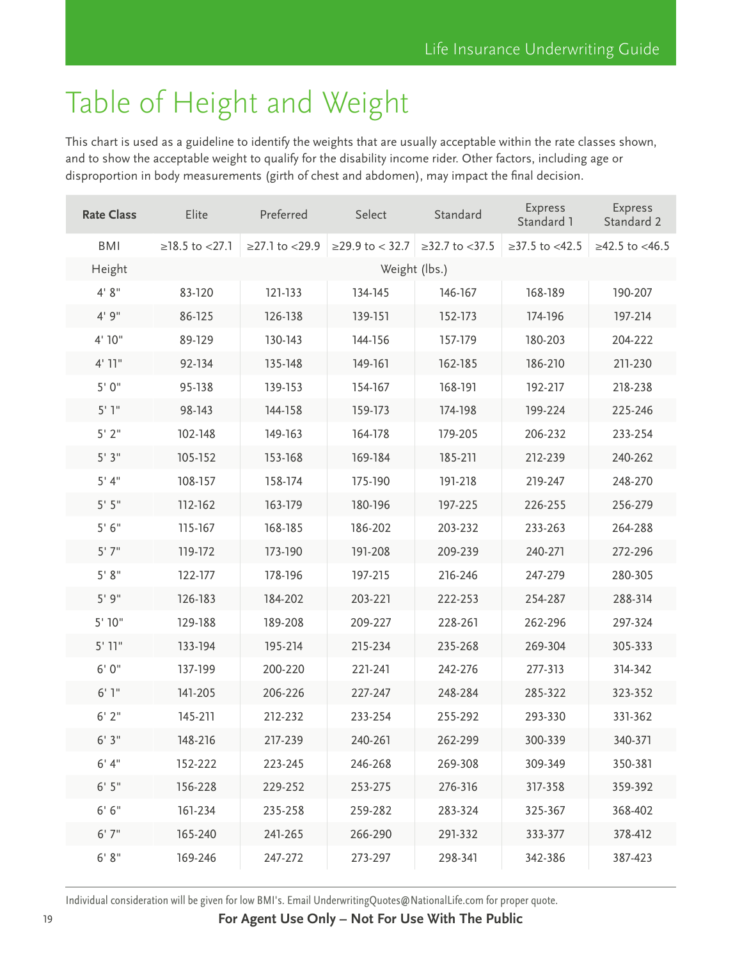# <span id="page-18-0"></span>Table of Height and Weight

This chart is used as a guideline to identify the weights that are usually acceptable within the rate classes shown, and to show the acceptable weight to qualify for the disability income rider. Other factors, including age or disproportion in body measurements (girth of chest and abdomen), may impact the final decision.

| <b>Rate Class</b> | Elite            | Preferred          | Select            | Standard           | <b>Express</b><br>Standard 1 | <b>Express</b><br>Standard 2 |
|-------------------|------------------|--------------------|-------------------|--------------------|------------------------------|------------------------------|
| <b>BMI</b>        | $≥18.5$ to <27.1 | $≥27.1$ to $<29.9$ | $≥29.9$ to < 32.7 | $≥32.7$ to $<37.5$ | $\geq$ 37.5 to <42.5         | $≥42.5$ to <46.5             |
| Height            |                  |                    | Weight (lbs.)     |                    |                              |                              |
| 4' 8''            | 83-120           | 121-133            | 134-145           | 146-167            | 168-189                      | 190-207                      |
| 4'9''             | 86-125           | 126-138            | 139-151           | 152-173            | 174-196                      | 197-214                      |
| 4' 10"            | 89-129           | 130-143            | 144-156           | 157-179            | 180-203                      | 204-222                      |
| $4'$ 11"          | 92-134           | 135-148            | 149-161           | 162-185            | 186-210                      | 211-230                      |
| 5'0''             | 95-138           | 139-153            | 154-167           | 168-191            | 192-217                      | 218-238                      |
| 5'1''             | 98-143           | 144-158            | 159-173           | 174-198            | 199-224                      | 225-246                      |
| $5'$ 2"           | 102-148          | 149-163            | 164-178           | 179-205            | 206-232                      | 233-254                      |
| 5'3''             | 105-152          | 153-168            | 169-184           | 185-211            | 212-239                      | 240-262                      |
| 5'4''             | 108-157          | 158-174            | 175-190           | 191-218            | 219-247                      | 248-270                      |
| $5'$ $5''$        | 112-162          | 163-179            | 180-196           | 197-225            | 226-255                      | 256-279                      |
| 5'6''             | 115-167          | 168-185            | 186-202           | 203-232            | 233-263                      | 264-288                      |
| 5'7''             | 119-172          | 173-190            | 191-208           | 209-239            | 240-271                      | 272-296                      |
| 5' 8''            | 122-177          | 178-196            | 197-215           | 216-246            | 247-279                      | 280-305                      |
| 5'9''             | 126-183          | 184-202            | 203-221           | 222-253            | 254-287                      | 288-314                      |
| 5'10''            | 129-188          | 189-208            | 209-227           | 228-261            | 262-296                      | 297-324                      |
| 5'11"             | 133-194          | 195-214            | 215-234           | 235-268            | 269-304                      | 305-333                      |
| 6'0''             | 137-199          | 200-220            | 221-241           | 242-276            | 277-313                      | 314-342                      |
| 6'1''             | 141-205          | 206-226            | 227-247           | 248-284            | 285-322                      | 323-352                      |
| 6'2''             | 145-211          | 212-232            | 233-254           | 255-292            | 293-330                      | 331-362                      |
| 6'3''             | 148-216          | 217-239            | 240-261           | 262-299            | 300-339                      | 340-371                      |
| 6' 4''            | 152-222          | 223-245            | 246-268           | 269-308            | 309-349                      | 350-381                      |
| 6'5''             | 156-228          | 229-252            | 253-275           | 276-316            | 317-358                      | 359-392                      |
| 6' 6''            | 161-234          | 235-258            | 259-282           | 283-324            | 325-367                      | 368-402                      |
| 6'7''             | 165-240          | 241-265            | 266-290           | 291-332            | 333-377                      | 378-412                      |
| 6' 8''            | 169-246          | 247-272            | 273-297           | 298-341            | 342-386                      | 387-423                      |

Individual consideration will be given for low BMI's. Email UnderwritingQuotes@NationalLife.com for proper quote.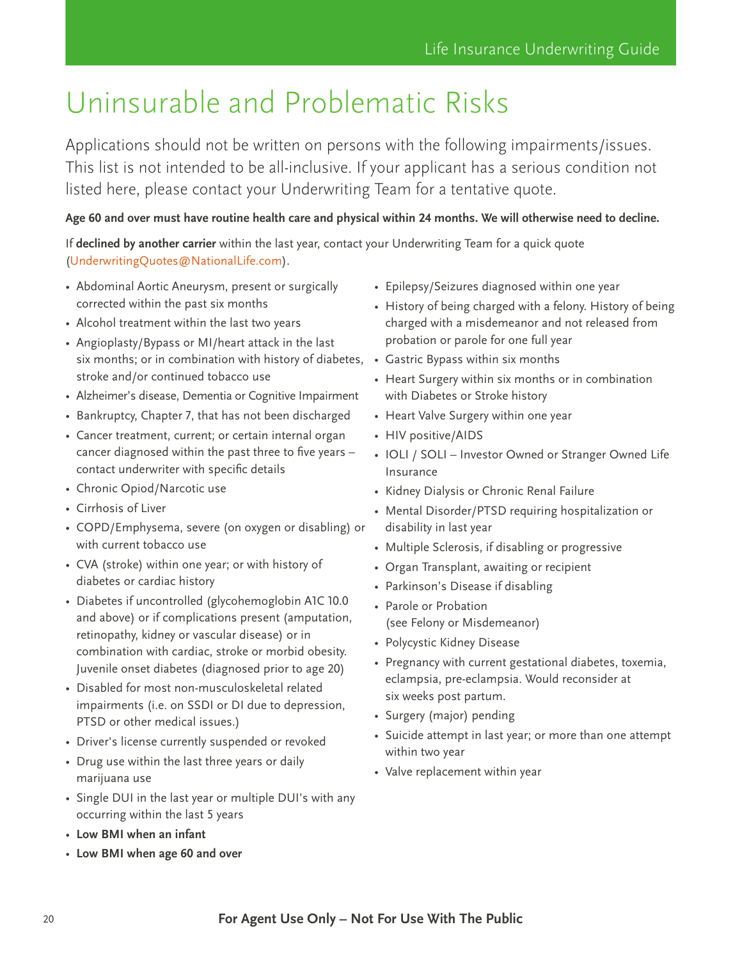# <span id="page-19-0"></span>Uninsurable and Problematic Risks

Applications should not be written on persons with the following impairments/issues. This list is not intended to be all-inclusive. If your applicant has a serious condition not listed here, please contact your Underwriting Team for a tentative quote.

**Age 60 and over must have routine health care and physical within 24 months. We will otherwise need to decline.**

If **declined by another carrier** within the last year, contact your Underwriting Team for a quick quote ([UnderwritingQuotes@NationalLife.com\)](UnderwritingQuotes@NationalLife.com).

- Abdominal Aortic Aneurysm, present or surgically corrected within the past six months
- Alcohol treatment within the last two years
- Angioplasty/Bypass or MI/heart attack in the last six months; or in combination with history of diabetes, stroke and/or continued tobacco use
- Alzheimer's disease, Dementia or Cognitive Impairment
- Bankruptcy, Chapter 7, that has not been discharged
- Cancer treatment, current; or certain internal organ cancer diagnosed within the past three to five years – contact underwriter with specific details
- Chronic Opiod/Narcotic use
- Cirrhosis of Liver
- COPD/Emphysema, severe (on oxygen or disabling) or with current tobacco use
- CVA (stroke) within one year; or with history of diabetes or cardiac history
- Diabetes if uncontrolled (glycohemoglobin A1C 10.0 and above) or if complications present (amputation, retinopathy, kidney or vascular disease) or in combination with cardiac, stroke or morbid obesity. Juvenile onset diabetes (diagnosed prior to age 20)
- Disabled for most non-musculoskeletal related impairments (i.e. on SSDI or DI due to depression, PTSD or other medical issues.)
- Driver's license currently suspended or revoked
- Drug use within the last three years or daily marijuana use
- Single DUI in the last year or multiple DUI's with any occurring within the last 5 years
- **Low BMI when an infant**
- **Low BMI when age 60 and over**
- Epilepsy/Seizures diagnosed within one year
- History of being charged with a felony. History of being charged with a misdemeanor and not released from probation or parole for one full year
- Gastric Bypass within six months
- Heart Surgery within six months or in combination with Diabetes or Stroke history
- Heart Valve Surgery within one year
- HIV positive/AIDS
- IOLI / SOLI Investor Owned or Stranger Owned Life Insurance
- Kidney Dialysis or Chronic Renal Failure
- Mental Disorder/PTSD requiring hospitalization or disability in last year
- Multiple Sclerosis, if disabling or progressive
- Organ Transplant, awaiting or recipient
- Parkinson's Disease if disabling
- Parole or Probation (see Felony or Misdemeanor)
- Polycystic Kidney Disease
- Pregnancy with current gestational diabetes, toxemia, eclampsia, pre-eclampsia. Would reconsider at six weeks post partum.
- Surgery (major) pending
- Suicide attempt in last year; or more than one attempt within two year
- Valve replacement within year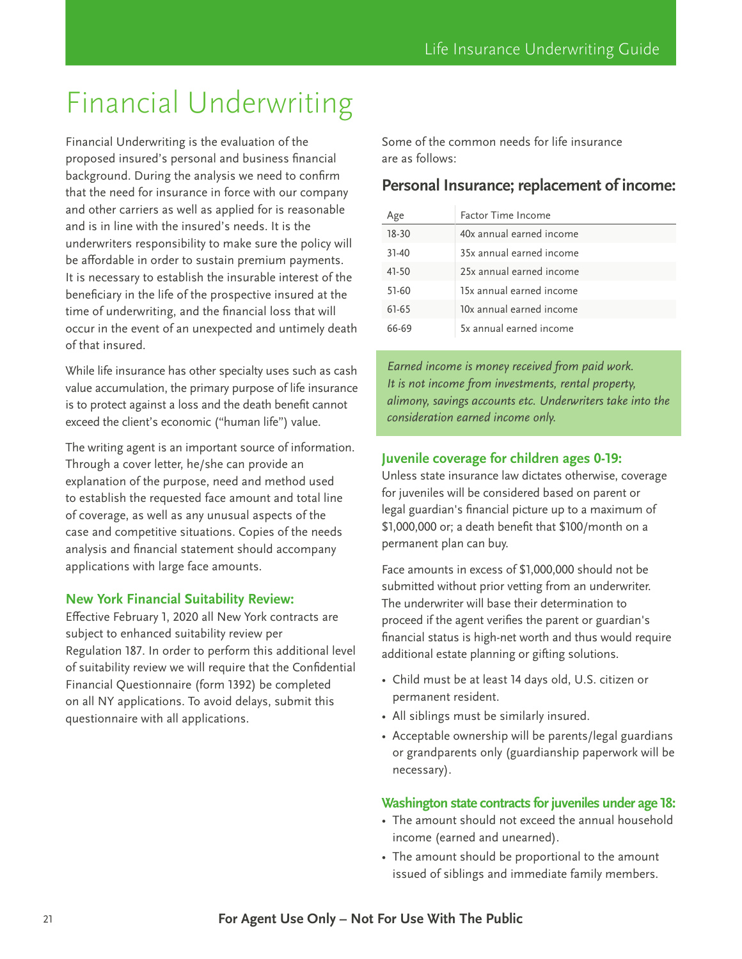# <span id="page-20-0"></span>Financial Underwriting

Financial Underwriting is the evaluation of the proposed insured's personal and business financial background. During the analysis we need to confirm that the need for insurance in force with our company and other carriers as well as applied for is reasonable and is in line with the insured's needs. It is the underwriters responsibility to make sure the policy will be affordable in order to sustain premium payments. It is necessary to establish the insurable interest of the beneficiary in the life of the prospective insured at the time of underwriting, and the financial loss that will occur in the event of an unexpected and untimely death of that insured.

While life insurance has other specialty uses such as cash value accumulation, the primary purpose of life insurance is to protect against a loss and the death benefit cannot exceed the client's economic ("human life") value.

The writing agent is an important source of information. Through a cover letter, he/she can provide an explanation of the purpose, need and method used to establish the requested face amount and total line of coverage, as well as any unusual aspects of the case and competitive situations. Copies of the needs analysis and financial statement should accompany applications with large face amounts.

#### **New York Financial Suitability Review:**

Effective February 1, 2020 all New York contracts are subject to enhanced suitability review per Regulation 187. In order to perform this additional level of suitability review we will require that the Confidential Financial Questionnaire (form 1392) be completed on all NY applications. To avoid delays, submit this questionnaire with all applications.

Some of the common needs for life insurance are as follows:

### **Personal Insurance; replacement of income:**

| Age       | Factor Time Income       |
|-----------|--------------------------|
| 18-30     | 40x annual earned income |
| $31 - 40$ | 35x annual earned income |
| 41-50     | 25x annual earned income |
| 51-60     | 15x annual earned income |
| 61-65     | 10x annual earned income |
| 66-69     | 5x annual earned income  |

*Earned income is money received from paid work. It is not income from investments, rental property, alimony, savings accounts etc. Underwriters take into the consideration earned income only.*

#### **Juvenile coverage for children ages 0-19:**

Unless state insurance law dictates otherwise, coverage for juveniles will be considered based on parent or legal guardian's financial picture up to a maximum of \$1,000,000 or; a death benefit that \$100/month on a permanent plan can buy.

Face amounts in excess of \$1,000,000 should not be submitted without prior vetting from an underwriter. The underwriter will base their determination to proceed if the agent verifies the parent or guardian's financial status is high-net worth and thus would require additional estate planning or gifting solutions.

- Child must be at least 14 days old, U.S. citizen or permanent resident.
- All siblings must be similarly insured.
- Acceptable ownership will be parents/legal guardians or grandparents only (guardianship paperwork will be necessary).

#### **Washington state contracts for juveniles under age 18:**

- The amount should not exceed the annual household income (earned and unearned).
- The amount should be proportional to the amount issued of siblings and immediate family members.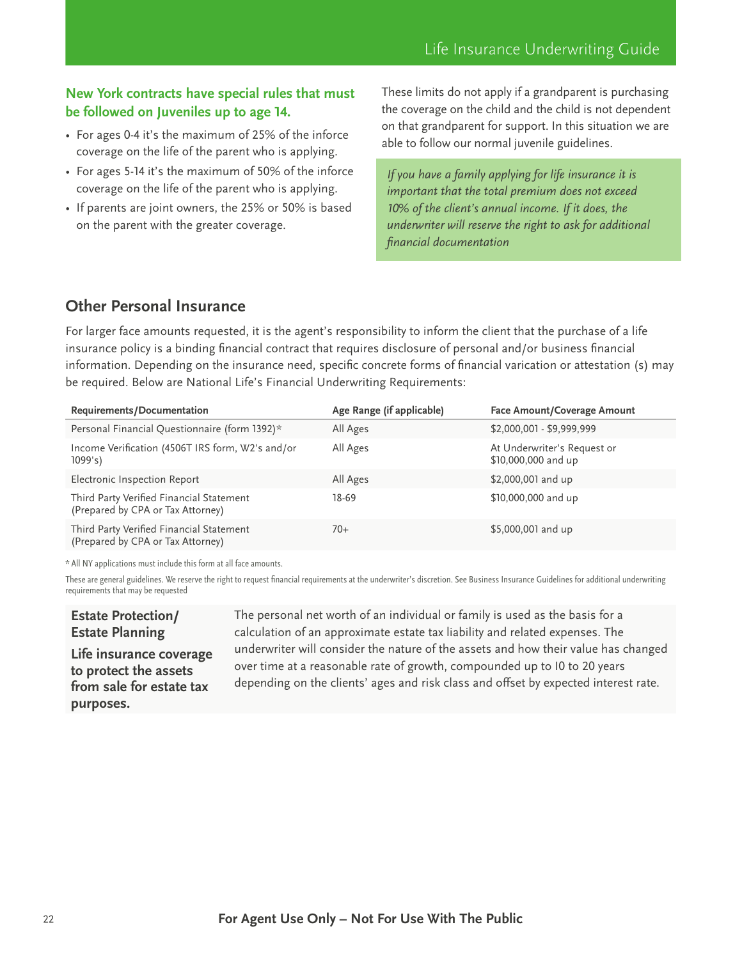#### **New York contracts have special rules that must be followed on Juveniles up to age 14.**

- For ages 0-4 it's the maximum of 25% of the inforce coverage on the life of the parent who is applying.
- For ages 5-14 it's the maximum of 50% of the inforce coverage on the life of the parent who is applying.
- If parents are joint owners, the 25% or 50% is based on the parent with the greater coverage.

These limits do not apply if a grandparent is purchasing the coverage on the child and the child is not dependent on that grandparent for support. In this situation we are able to follow our normal juvenile guidelines.

*If you have a family applying for life insurance it is important that the total premium does not exceed 10% of the client's annual income. If it does, the underwriter will reserve the right to ask for additional financial documentation*

# **Other Personal Insurance**

For larger face amounts requested, it is the agent's responsibility to inform the client that the purchase of a life insurance policy is a binding financial contract that requires disclosure of personal and/or business financial information. Depending on the insurance need, specific concrete forms of financial varication or attestation (s) may be required. Below are National Life's Financial Underwriting Requirements:

| Requirements/Documentation                                                    | Age Range (if applicable) | <b>Face Amount/Coverage Amount</b>                 |
|-------------------------------------------------------------------------------|---------------------------|----------------------------------------------------|
| Personal Financial Questionnaire (form 1392)*                                 | All Ages                  | \$2,000,001 - \$9,999,999                          |
| Income Verification (4506T IRS form, W2's and/or<br>1099's                    | All Ages                  | At Underwriter's Request or<br>\$10,000,000 and up |
| Electronic Inspection Report                                                  | All Ages                  | \$2,000,001 and up                                 |
| Third Party Verified Financial Statement<br>(Prepared by CPA or Tax Attorney) | 18-69                     | \$10,000,000 and up                                |
| Third Party Verified Financial Statement<br>(Prepared by CPA or Tax Attorney) | $70+$                     | \$5,000,001 and up                                 |

\* All NY applications must include this form at all face amounts.

These are general guidelines. We reserve the right to request financial requirements at the underwriter's discretion. See Business Insurance Guidelines for additional underwriting requirements that may be requested

#### **Estate Protection/ Estate Planning**

**Life insurance coverage to protect the assets from sale for estate tax purposes.**

The personal net worth of an individual or family is used as the basis for a calculation of an approximate estate tax liability and related expenses. The underwriter will consider the nature of the assets and how their value has changed over time at a reasonable rate of growth, compounded up to I0 to 20 years depending on the clients' ages and risk class and offset by expected interest rate.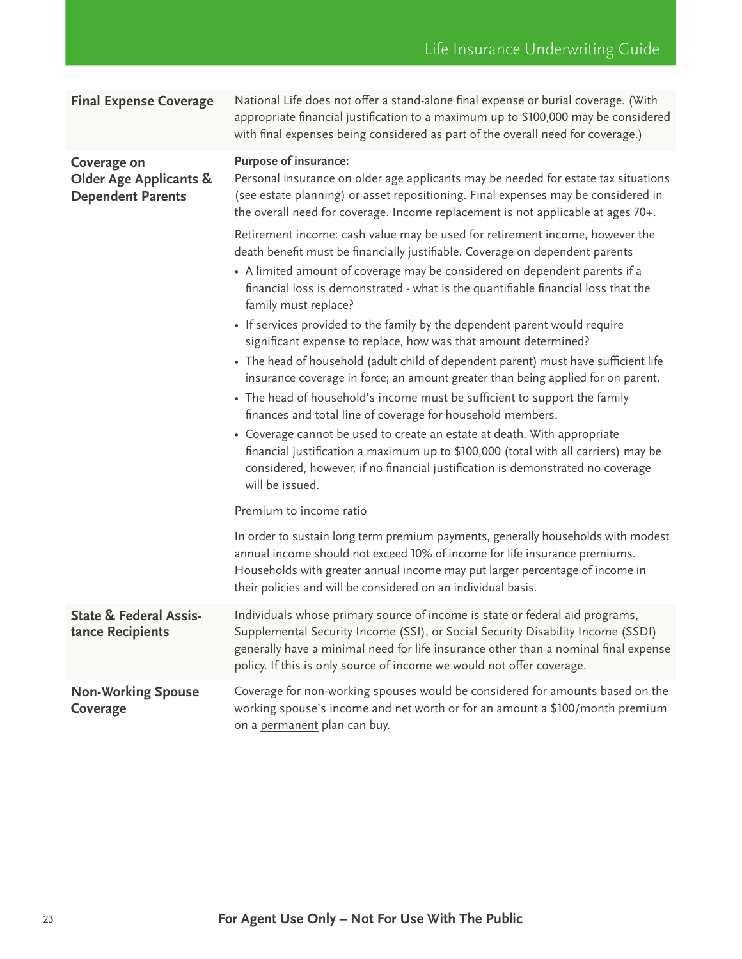| <b>Final Expense Coverage</b>                                                | National Life does not offer a stand-alone final expense or burial coverage. (With<br>appropriate financial justification to a maximum up to \$100,000 may be considered<br>with final expenses being considered as part of the overall need for coverage.)                                                                       |
|------------------------------------------------------------------------------|-----------------------------------------------------------------------------------------------------------------------------------------------------------------------------------------------------------------------------------------------------------------------------------------------------------------------------------|
| Coverage on<br><b>Older Age Applicants &amp;</b><br><b>Dependent Parents</b> | <b>Purpose of insurance:</b><br>Personal insurance on older age applicants may be needed for estate tax situations<br>(see estate planning) or asset repositioning. Final expenses may be considered in<br>the overall need for coverage. Income replacement is not applicable at ages 70+.                                       |
|                                                                              | Retirement income: cash value may be used for retirement income, however the<br>death benefit must be financially justifiable. Coverage on dependent parents<br>• A limited amount of coverage may be considered on dependent parents if a<br>financial loss is demonstrated - what is the quantifiable financial loss that the   |
|                                                                              | family must replace?<br>• If services provided to the family by the dependent parent would require<br>significant expense to replace, how was that amount determined?                                                                                                                                                             |
|                                                                              | • The head of household (adult child of dependent parent) must have sufficient life<br>insurance coverage in force; an amount greater than being applied for on parent.<br>• The head of household's income must be sufficient to support the family                                                                              |
|                                                                              | finances and total line of coverage for household members.<br>• Coverage cannot be used to create an estate at death. With appropriate<br>financial justification a maximum up to \$100,000 (total with all carriers) may be<br>considered, however, if no financial justification is demonstrated no coverage<br>will be issued. |
|                                                                              | Premium to income ratio                                                                                                                                                                                                                                                                                                           |
|                                                                              | In order to sustain long term premium payments, generally households with modest<br>annual income should not exceed 10% of income for life insurance premiums.<br>Households with greater annual income may put larger percentage of income in<br>their policies and will be considered on an individual basis.                   |
| <b>State &amp; Federal Assis-</b><br>tance Recipients                        | Individuals whose primary source of income is state or federal aid programs,<br>Supplemental Security Income (SSI), or Social Security Disability Income (SSDI)<br>generally have a minimal need for life insurance other than a nominal final expense<br>policy. If this is only source of income we would not offer coverage.   |
| <b>Non-Working Spouse</b><br>Coverage                                        | Coverage for non-working spouses would be considered for amounts based on the<br>working spouse's income and net worth or for an amount a \$100/month premium<br>on a permanent plan can buy.                                                                                                                                     |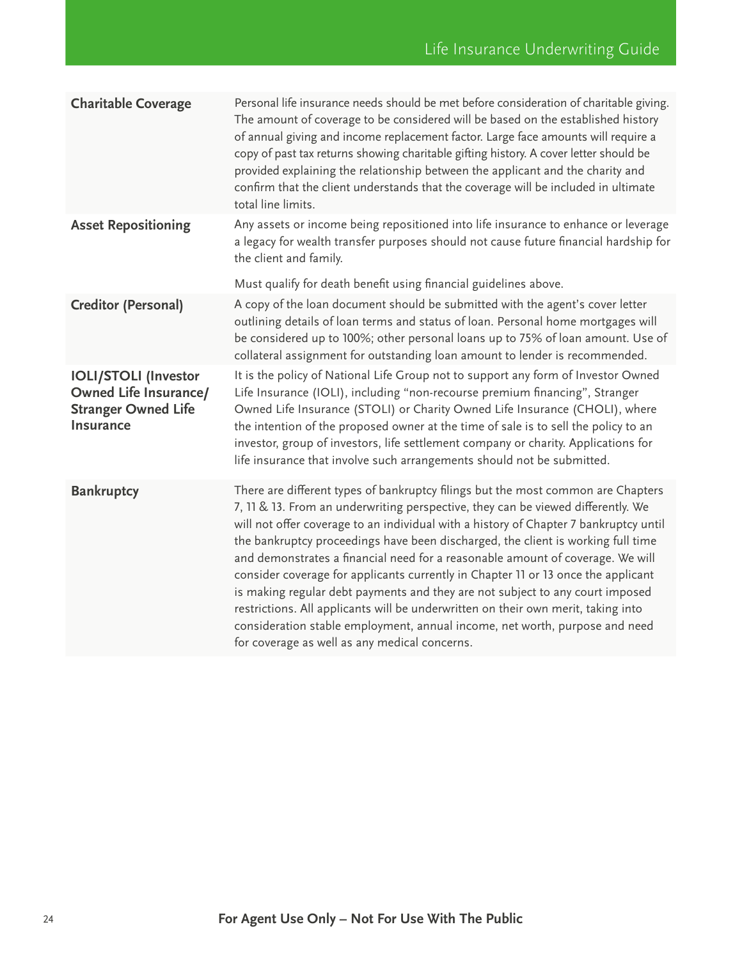| <b>Charitable Coverage</b>                                                                                    | Personal life insurance needs should be met before consideration of charitable giving.<br>The amount of coverage to be considered will be based on the established history<br>of annual giving and income replacement factor. Large face amounts will require a<br>copy of past tax returns showing charitable gifting history. A cover letter should be<br>provided explaining the relationship between the applicant and the charity and<br>confirm that the client understands that the coverage will be included in ultimate<br>total line limits.                                                                                                                                                                                                                                                                         |
|---------------------------------------------------------------------------------------------------------------|--------------------------------------------------------------------------------------------------------------------------------------------------------------------------------------------------------------------------------------------------------------------------------------------------------------------------------------------------------------------------------------------------------------------------------------------------------------------------------------------------------------------------------------------------------------------------------------------------------------------------------------------------------------------------------------------------------------------------------------------------------------------------------------------------------------------------------|
| <b>Asset Repositioning</b>                                                                                    | Any assets or income being repositioned into life insurance to enhance or leverage<br>a legacy for wealth transfer purposes should not cause future financial hardship for<br>the client and family.<br>Must qualify for death benefit using financial guidelines above.                                                                                                                                                                                                                                                                                                                                                                                                                                                                                                                                                       |
| <b>Creditor (Personal)</b>                                                                                    | A copy of the loan document should be submitted with the agent's cover letter<br>outlining details of loan terms and status of loan. Personal home mortgages will<br>be considered up to 100%; other personal loans up to 75% of loan amount. Use of<br>collateral assignment for outstanding loan amount to lender is recommended.                                                                                                                                                                                                                                                                                                                                                                                                                                                                                            |
| <b>IOLI/STOLI (Investor</b><br><b>Owned Life Insurance/</b><br><b>Stranger Owned Life</b><br><b>Insurance</b> | It is the policy of National Life Group not to support any form of Investor Owned<br>Life Insurance (IOLI), including "non-recourse premium financing", Stranger<br>Owned Life Insurance (STOLI) or Charity Owned Life Insurance (CHOLI), where<br>the intention of the proposed owner at the time of sale is to sell the policy to an<br>investor, group of investors, life settlement company or charity. Applications for<br>life insurance that involve such arrangements should not be submitted.                                                                                                                                                                                                                                                                                                                         |
| <b>Bankruptcy</b>                                                                                             | There are different types of bankruptcy filings but the most common are Chapters<br>7, 11 & 13. From an underwriting perspective, they can be viewed differently. We<br>will not offer coverage to an individual with a history of Chapter 7 bankruptcy until<br>the bankruptcy proceedings have been discharged, the client is working full time<br>and demonstrates a financial need for a reasonable amount of coverage. We will<br>consider coverage for applicants currently in Chapter 11 or 13 once the applicant<br>is making regular debt payments and they are not subject to any court imposed<br>restrictions. All applicants will be underwritten on their own merit, taking into<br>consideration stable employment, annual income, net worth, purpose and need<br>for coverage as well as any medical concerns. |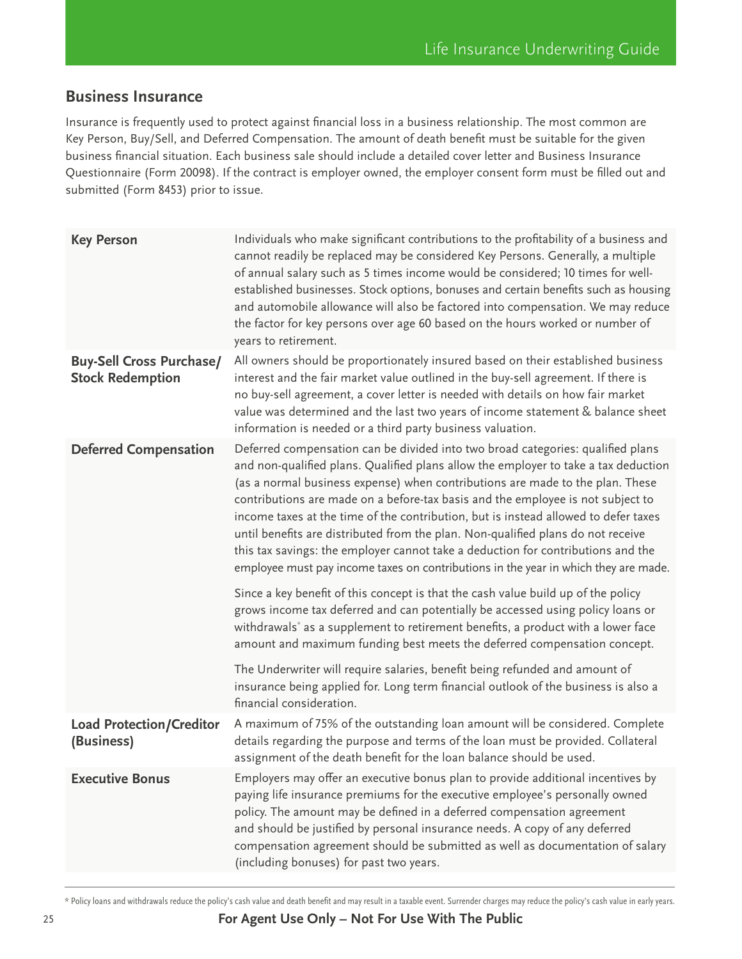# **Business Insurance**

Insurance is frequently used to protect against financial loss in a business relationship. The most common are Key Person, Buy/Sell, and Deferred Compensation. The amount of death benefit must be suitable for the given business financial situation. Each business sale should include a detailed cover letter and Business Insurance Questionnaire (Form 20098). If the contract is employer owned, the employer consent form must be filled out and submitted (Form 8453) prior to issue.

| <b>Key Person</b>                                          | Individuals who make significant contributions to the profitability of a business and<br>cannot readily be replaced may be considered Key Persons. Generally, a multiple<br>of annual salary such as 5 times income would be considered; 10 times for well-<br>established businesses. Stock options, bonuses and certain benefits such as housing<br>and automobile allowance will also be factored into compensation. We may reduce<br>the factor for key persons over age 60 based on the hours worked or number of<br>years to retirement.                                                                                                                                                   |
|------------------------------------------------------------|--------------------------------------------------------------------------------------------------------------------------------------------------------------------------------------------------------------------------------------------------------------------------------------------------------------------------------------------------------------------------------------------------------------------------------------------------------------------------------------------------------------------------------------------------------------------------------------------------------------------------------------------------------------------------------------------------|
| <b>Buy-Sell Cross Purchase/</b><br><b>Stock Redemption</b> | All owners should be proportionately insured based on their established business<br>interest and the fair market value outlined in the buy-sell agreement. If there is<br>no buy-sell agreement, a cover letter is needed with details on how fair market<br>value was determined and the last two years of income statement & balance sheet<br>information is needed or a third party business valuation.                                                                                                                                                                                                                                                                                       |
| <b>Deferred Compensation</b>                               | Deferred compensation can be divided into two broad categories: qualified plans<br>and non-qualified plans. Qualified plans allow the employer to take a tax deduction<br>(as a normal business expense) when contributions are made to the plan. These<br>contributions are made on a before-tax basis and the employee is not subject to<br>income taxes at the time of the contribution, but is instead allowed to defer taxes<br>until benefits are distributed from the plan. Non-qualified plans do not receive<br>this tax savings: the employer cannot take a deduction for contributions and the<br>employee must pay income taxes on contributions in the year in which they are made. |
|                                                            | Since a key benefit of this concept is that the cash value build up of the policy<br>grows income tax deferred and can potentially be accessed using policy loans or<br>withdrawals <sup>*</sup> as a supplement to retirement benefits, a product with a lower face<br>amount and maximum funding best meets the deferred compensation concept.                                                                                                                                                                                                                                                                                                                                                 |
|                                                            | The Underwriter will require salaries, benefit being refunded and amount of<br>insurance being applied for. Long term financial outlook of the business is also a<br>financial consideration.                                                                                                                                                                                                                                                                                                                                                                                                                                                                                                    |
| <b>Load Protection/Creditor</b><br>(Business)              | A maximum of 75% of the outstanding loan amount will be considered. Complete<br>details regarding the purpose and terms of the loan must be provided. Collateral<br>assignment of the death benefit for the loan balance should be used.                                                                                                                                                                                                                                                                                                                                                                                                                                                         |
| <b>Executive Bonus</b>                                     | Employers may offer an executive bonus plan to provide additional incentives by<br>paying life insurance premiums for the executive employee's personally owned<br>policy. The amount may be defined in a deferred compensation agreement<br>and should be justified by personal insurance needs. A copy of any deferred<br>compensation agreement should be submitted as well as documentation of salary<br>(including bonuses) for past two years.                                                                                                                                                                                                                                             |

<sup>\*</sup> Policy loans and withdrawals reduce the policy's cash value and death benefit and may result in a taxable event. Surrender charges may reduce the policy's cash value in early years.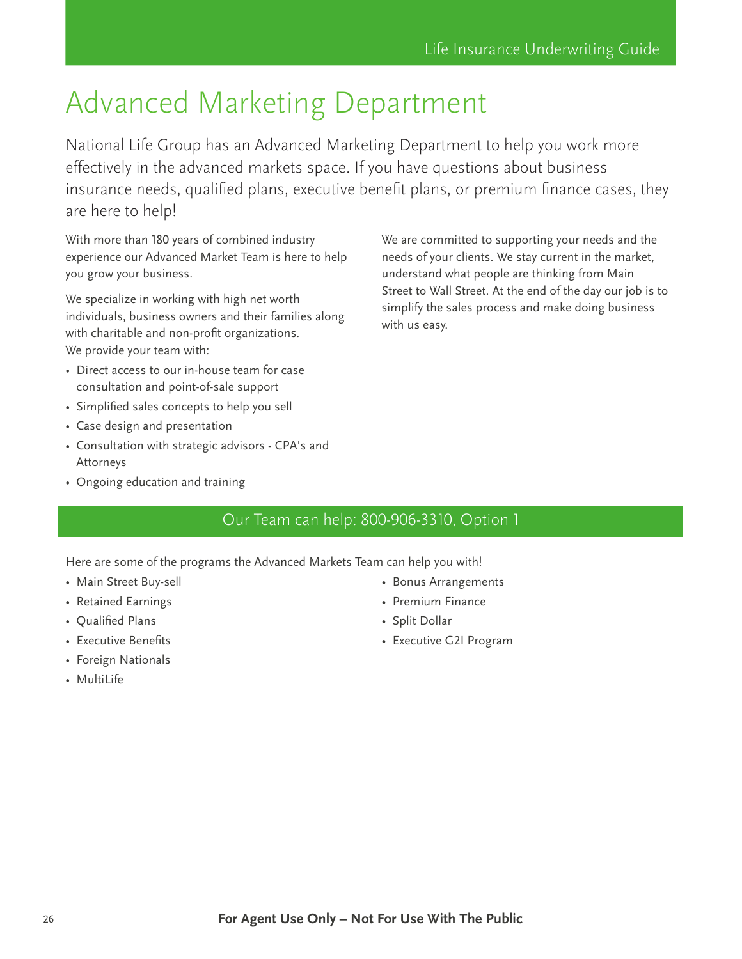# <span id="page-25-0"></span>Advanced Marketing Department

National Life Group has an Advanced Marketing Department to help you work more effectively in the advanced markets space. If you have questions about business insurance needs, qualified plans, executive benefit plans, or premium finance cases, they are here to help!

With more than 180 years of combined industry experience our Advanced Market Team is here to help you grow your business.

We specialize in working with high net worth individuals, business owners and their families along with charitable and non-profit organizations. We provide your team with:

- Direct access to our in-house team for case consultation and point-of-sale support
- Simplified sales concepts to help you sell
- Case design and presentation
- Consultation with strategic advisors CPA's and Attorneys
- Ongoing education and training

We are committed to supporting your needs and the needs of your clients. We stay current in the market, understand what people are thinking from Main Street to Wall Street. At the end of the day our job is to simplify the sales process and make doing business with us easy.

# Our Team can help: 800-906-3310, Option 1

Here are some of the programs the Advanced Markets Team can help you with!

- Main Street Buy-sell
- Retained Earnings
- Qualified Plans
- Executive Benefits
- Foreign Nationals
- MultiLife
- Bonus Arrangements
- Premium Finance
- Split Dollar
- Executive G2I Program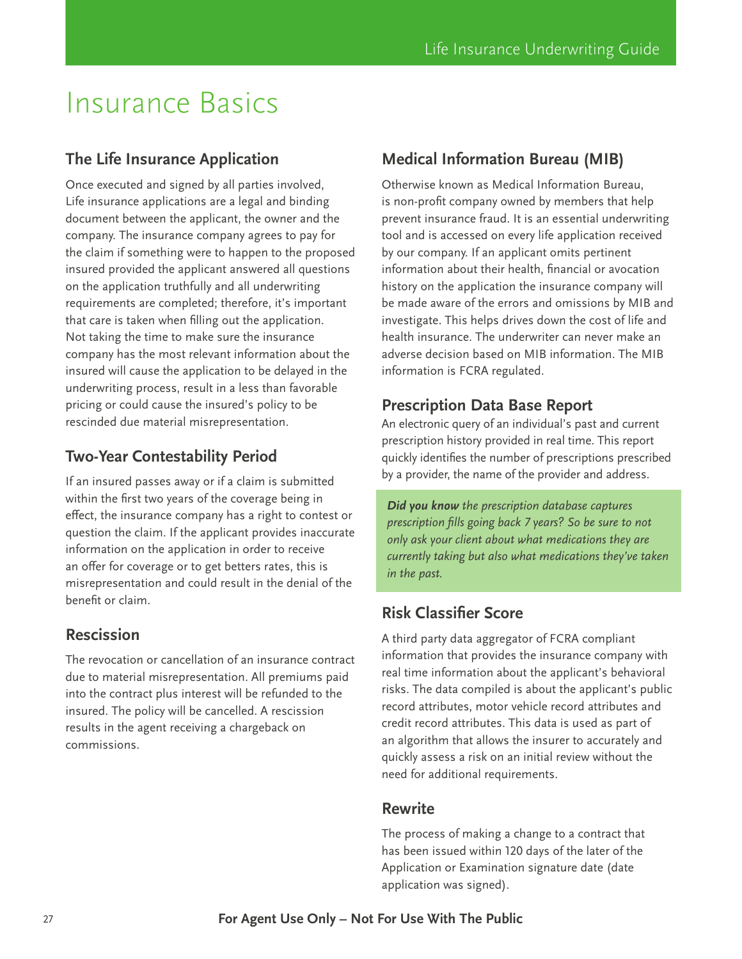# <span id="page-26-0"></span>Insurance Basics

# **The Life Insurance Application**

Once executed and signed by all parties involved, Life insurance applications are a legal and binding document between the applicant, the owner and the company. The insurance company agrees to pay for the claim if something were to happen to the proposed insured provided the applicant answered all questions on the application truthfully and all underwriting requirements are completed; therefore, it's important that care is taken when filling out the application. Not taking the time to make sure the insurance company has the most relevant information about the insured will cause the application to be delayed in the underwriting process, result in a less than favorable pricing or could cause the insured's policy to be rescinded due material misrepresentation.

# **Two-Year Contestability Period**

If an insured passes away or if a claim is submitted within the first two years of the coverage being in effect, the insurance company has a right to contest or question the claim. If the applicant provides inaccurate information on the application in order to receive an offer for coverage or to get betters rates, this is misrepresentation and could result in the denial of the benefit or claim.

## **Rescission**

The revocation or cancellation of an insurance contract due to material misrepresentation. All premiums paid into the contract plus interest will be refunded to the insured. The policy will be cancelled. A rescission results in the agent receiving a chargeback on commissions.

# **Medical Information Bureau (MIB)**

Otherwise known as Medical Information Bureau, is non-profit company owned by members that help prevent insurance fraud. It is an essential underwriting tool and is accessed on every life application received by our company. If an applicant omits pertinent information about their health, financial or avocation history on the application the insurance company will be made aware of the errors and omissions by MIB and investigate. This helps drives down the cost of life and health insurance. The underwriter can never make an adverse decision based on MIB information. The MIB information is FCRA regulated.

## **Prescription Data Base Report**

An electronic query of an individual's past and current prescription history provided in real time. This report quickly identifies the number of prescriptions prescribed by a provider, the name of the provider and address.

*Did you know the prescription database captures prescription fills going back 7 years? So be sure to not only ask your client about what medications they are currently taking but also what medications they've taken in the past.*

# **Risk Classifier Score**

A third party data aggregator of FCRA compliant information that provides the insurance company with real time information about the applicant's behavioral risks. The data compiled is about the applicant's public record attributes, motor vehicle record attributes and credit record attributes. This data is used as part of an algorithm that allows the insurer to accurately and quickly assess a risk on an initial review without the need for additional requirements.

## **Rewrite**

The process of making a change to a contract that has been issued within 120 days of the later of the Application or Examination signature date (date application was signed).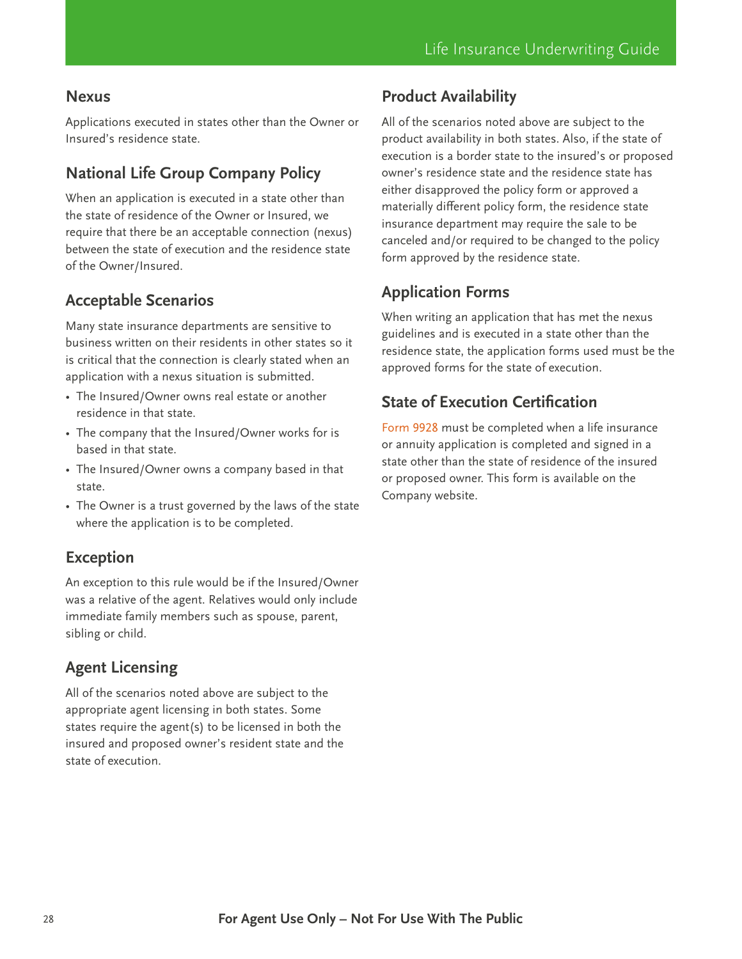#### **Nexus**

Applications executed in states other than the Owner or Insured's residence state.

# **National Life Group Company Policy**

When an application is executed in a state other than the state of residence of the Owner or Insured, we require that there be an acceptable connection (nexus) between the state of execution and the residence state of the Owner/Insured.

## **Acceptable Scenarios**

Many state insurance departments are sensitive to business written on their residents in other states so it is critical that the connection is clearly stated when an application with a nexus situation is submitted.

- The Insured/Owner owns real estate or another residence in that state.
- The company that the Insured/Owner works for is based in that state.
- The Insured/Owner owns a company based in that state.
- The Owner is a trust governed by the laws of the state where the application is to be completed.

### **Exception**

An exception to this rule would be if the Insured/Owner was a relative of the agent. Relatives would only include immediate family members such as spouse, parent, sibling or child.

## **Agent Licensing**

All of the scenarios noted above are subject to the appropriate agent licensing in both states. Some states require the agent(s) to be licensed in both the insured and proposed owner's resident state and the state of execution.

## **Product Availability**

All of the scenarios noted above are subject to the product availability in both states. Also, if the state of execution is a border state to the insured's or proposed owner's residence state and the residence state has either disapproved the policy form or approved a materially different policy form, the residence state insurance department may require the sale to be canceled and/or required to be changed to the policy form approved by the residence state.

# **Application Forms**

When writing an application that has met the nexus guidelines and is executed in a state other than the residence state, the application forms used must be the approved forms for the state of execution.

## **State of Execution Certification**

[Form](https://merrillconnect.iscorp.com/nlg/docservice/viewDocument?mcItemNbr=100638&fgid=) [9928](https://merrillconnect.iscorp.com/nlg/docservice/viewDocument?mcItemNbr=100638&fgid=) must be completed when a life insurance or annuity application is completed and signed in a state other than the state of residence of the insured or proposed owner. This form is available on the Company website.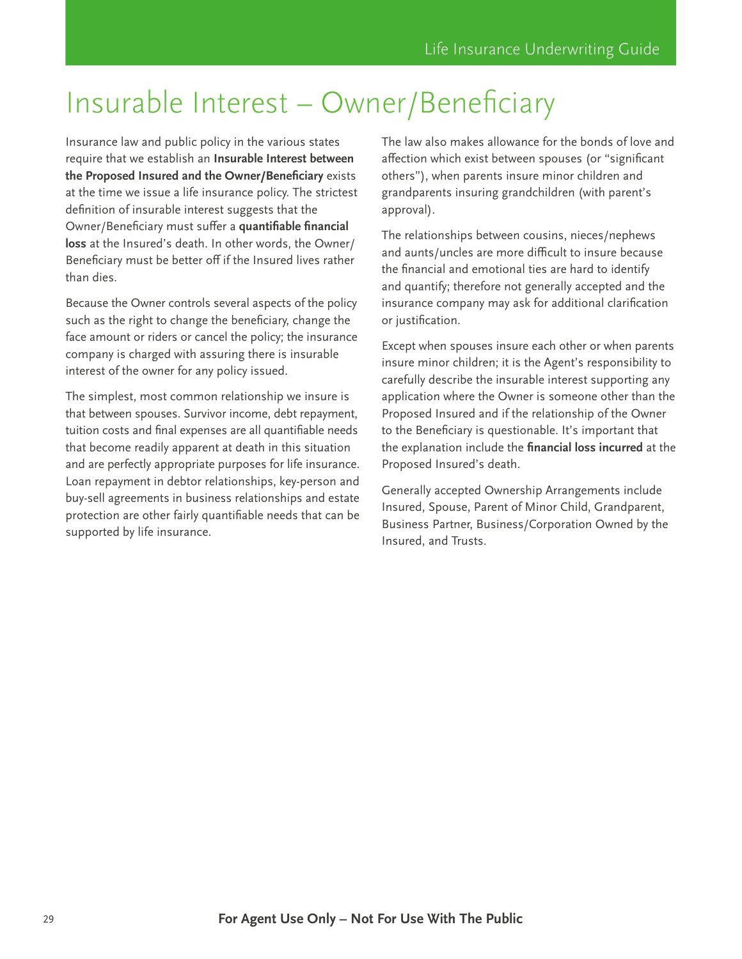# <span id="page-28-0"></span>Insurable Interest – Owner/Beneficiary

Insurance law and public policy in the various states require that we establish an **Insurable Interest between the Proposed Insured and the Owner/Beneficiary** exists at the time we issue a life insurance policy. The strictest definition of insurable interest suggests that the Owner/Beneficiary must suffer a **quantifiable financial loss** at the Insured's death. In other words, the Owner/ Beneficiary must be better off if the Insured lives rather than dies.

Because the Owner controls several aspects of the policy such as the right to change the beneficiary, change the face amount or riders or cancel the policy; the insurance company is charged with assuring there is insurable interest of the owner for any policy issued.

The simplest, most common relationship we insure is that between spouses. Survivor income, debt repayment, tuition costs and final expenses are all quantifiable needs that become readily apparent at death in this situation and are perfectly appropriate purposes for life insurance. Loan repayment in debtor relationships, key-person and buy-sell agreements in business relationships and estate protection are other fairly quantifiable needs that can be supported by life insurance.

The law also makes allowance for the bonds of love and affection which exist between spouses (or "significant others"), when parents insure minor children and grandparents insuring grandchildren (with parent's approval).

The relationships between cousins, nieces/nephews and aunts/uncles are more difficult to insure because the financial and emotional ties are hard to identify and quantify; therefore not generally accepted and the insurance company may ask for additional clarification or justification.

Except when spouses insure each other or when parents insure minor children; it is the Agent's responsibility to carefully describe the insurable interest supporting any application where the Owner is someone other than the Proposed Insured and if the relationship of the Owner to the Beneficiary is questionable. It's important that the explanation include the **financial loss incurred** at the Proposed Insured's death.

Generally accepted Ownership Arrangements include Insured, Spouse, Parent of Minor Child, Grandparent, Business Partner, Business/Corporation Owned by the Insured, and Trusts.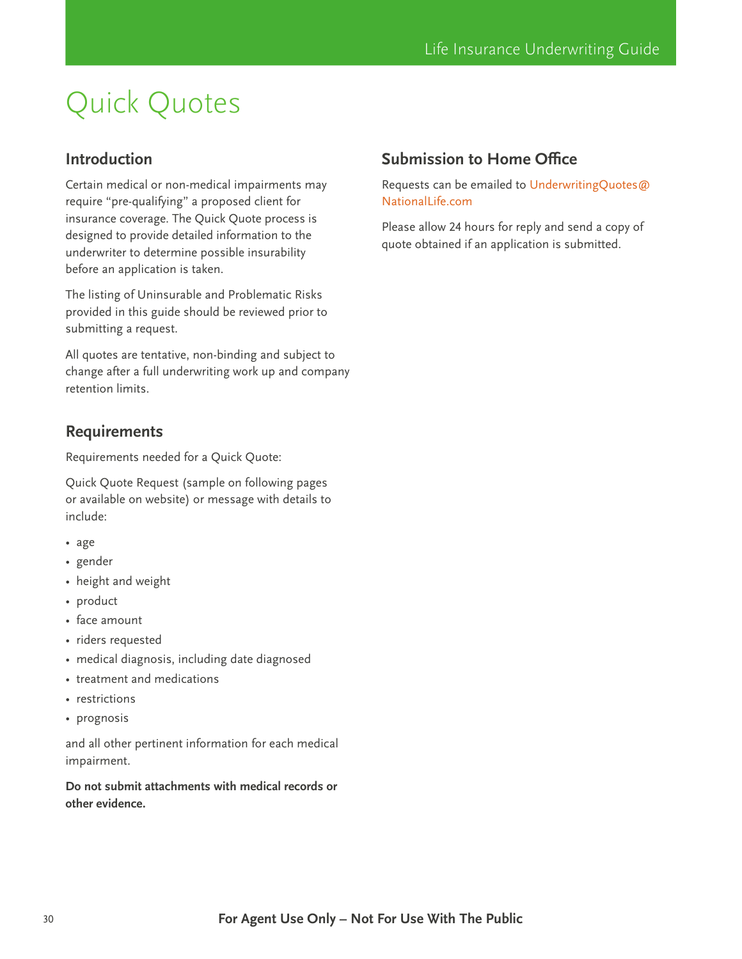# <span id="page-29-0"></span>Quick Quotes

## **Introduction**

Certain medical or non-medical impairments may require "pre-qualifying" a proposed client for insurance coverage. The Quick Quote process is designed to provide detailed information to the underwriter to determine possible insurability before an application is taken.

The listing of Uninsurable and Problematic Risks provided in this guide should be reviewed prior to submitting a request.

All quotes are tentative, non-binding and subject to change after a full underwriting work up and company retention limits.

## **Requirements**

Requirements needed for a Quick Quote:

Quick Quote Request (sample on following pages or available on website) or message with details to include:

- age
- gender
- height and weight
- product
- face amount
- riders requested
- medical diagnosis, including date diagnosed
- treatment and medications
- restrictions
- prognosis

and all other pertinent information for each medical impairment.

**Do not submit attachments with medical records or other evidence.**

## **Submission to Home Office**

Requests can be emailed to [UnderwritingQuotes@](mailto:UnderwritingQuotes%40NationalLife.com?subject=) [NationalLife.com](mailto:UnderwritingQuotes%40NationalLife.com?subject=)

Please allow 24 hours for reply and send a copy of quote obtained if an application is submitted.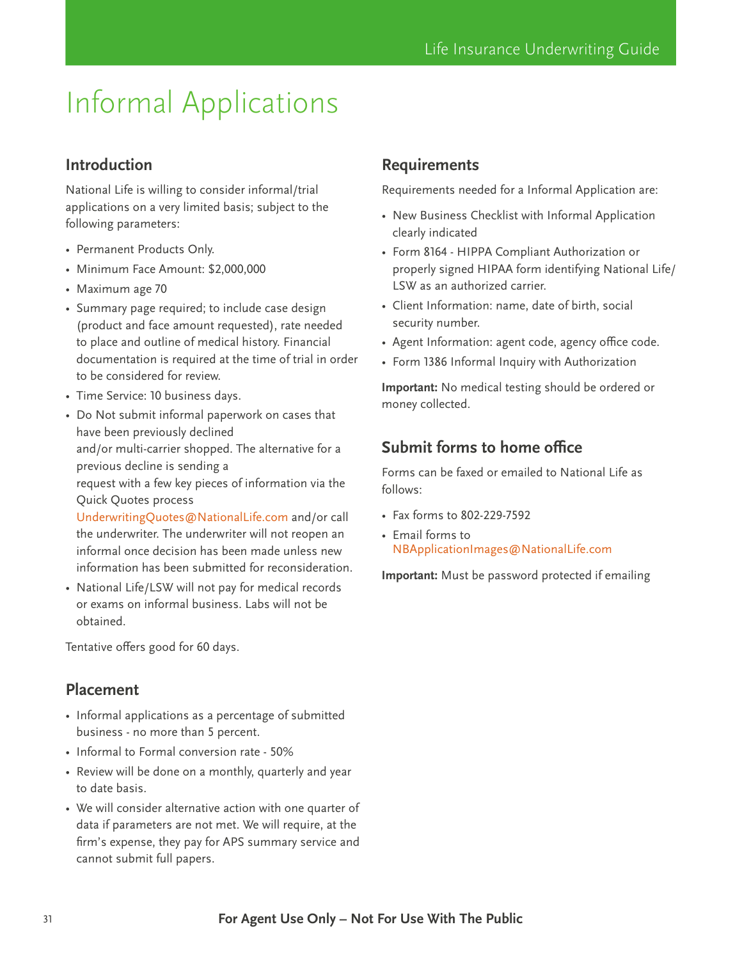# <span id="page-30-0"></span>Informal Applications

# **Introduction**

National Life is willing to consider informal/trial applications on a very limited basis; subject to the following parameters:

- Permanent Products Only.
- Minimum Face Amount: \$2,000,000
- Maximum age 70
- Summary page required; to include case design (product and face amount requested), rate needed to place and outline of medical history. Financial documentation is required at the time of trial in order to be considered for review.
- Time Service: 10 business days.
- Do Not submit informal paperwork on cases that have been previously declined and/or multi-carrier shopped. The alternative for a previous decline is sending a request with a few key pieces of information via the Quick Quotes process

[UnderwritingQuotes@NationalLife.com](mailto:UnderwritingQuotes%40NationalLife.com?subject=) and/or call the underwriter. The underwriter will not reopen an informal once decision has been made unless new information has been submitted for reconsideration.

• National Life/LSW will not pay for medical records or exams on informal business. Labs will not be obtained.

Tentative offers good for 60 days.

### **Placement**

- Informal applications as a percentage of submitted business - no more than 5 percent.
- Informal to Formal conversion rate 50%
- Review will be done on a monthly, quarterly and year to date basis.
- We will consider alternative action with one quarter of data if parameters are not met. We will require, at the firm's expense, they pay for APS summary service and cannot submit full papers.

## **Requirements**

Requirements needed for a Informal Application are:

- New Business Checklist with Informal Application clearly indicated
- Form 8164 HIPPA Compliant Authorization or properly signed HIPAA form identifying National Life/ LSW as an authorized carrier.
- Client Information: name, date of birth, social security number.
- Agent Information: agent code, agency office code.
- Form 1386 Informal Inquiry with Authorization

**Important:** No medical testing should be ordered or money collected.

# **Submit forms to home office**

Forms can be faxed or emailed to National Life as follows:

- Fax forms to 802-229-7592
- Email forms to [NBApplicationImages@NationalLife.com](mailto:NBApplicationImages%40NationalLife.com?subject=)

**Important:** Must be password protected if emailing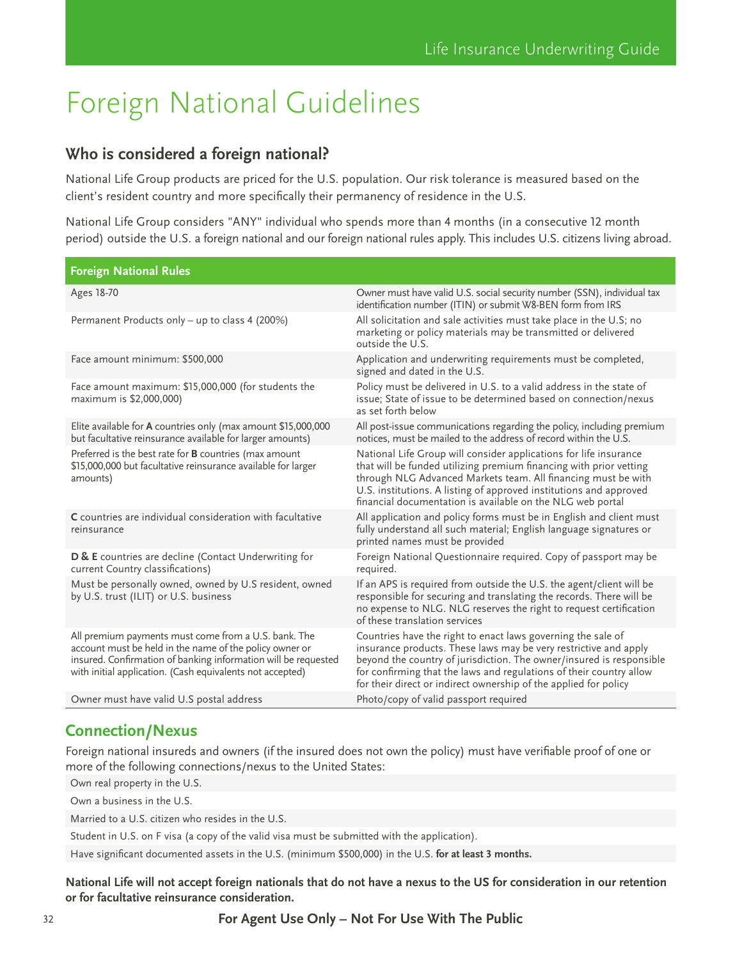# <span id="page-31-0"></span>Foreign National Guidelines

## **Who is considered a foreign national?**

National Life Group products are priced for the U.S. population. Our risk tolerance is measured based on the client's resident country and more specifically their permanency of residence in the U.S.

National Life Group considers "ANY" individual who spends more than 4 months (in a consecutive 12 month period) outside the U.S. a foreign national and our foreign national rules apply. This includes U.S. citizens living abroad.

| <b>Foreign National Rules</b>                                                                                                                                                                                                                  |                                                                                                                                                                                                                                                                                                                                                     |
|------------------------------------------------------------------------------------------------------------------------------------------------------------------------------------------------------------------------------------------------|-----------------------------------------------------------------------------------------------------------------------------------------------------------------------------------------------------------------------------------------------------------------------------------------------------------------------------------------------------|
| Ages 18-70                                                                                                                                                                                                                                     | Owner must have valid U.S. social security number (SSN), individual tax<br>identification number (ITIN) or submit W8-BEN form from IRS                                                                                                                                                                                                              |
| Permanent Products only - up to class 4 (200%)                                                                                                                                                                                                 | All solicitation and sale activities must take place in the U.S; no<br>marketing or policy materials may be transmitted or delivered<br>outside the U.S.                                                                                                                                                                                            |
| Face amount minimum: \$500,000                                                                                                                                                                                                                 | Application and underwriting requirements must be completed,<br>signed and dated in the U.S.                                                                                                                                                                                                                                                        |
| Face amount maximum: \$15,000,000 (for students the<br>maximum is \$2,000,000)                                                                                                                                                                 | Policy must be delivered in U.S. to a valid address in the state of<br>issue; State of issue to be determined based on connection/nexus<br>as set forth below                                                                                                                                                                                       |
| Elite available for A countries only (max amount \$15,000,000<br>but facultative reinsurance available for larger amounts)                                                                                                                     | All post-issue communications regarding the policy, including premium<br>notices, must be mailed to the address of record within the U.S.                                                                                                                                                                                                           |
| Preferred is the best rate for <b>B</b> countries (max amount<br>\$15,000,000 but facultative reinsurance available for larger<br>amounts)                                                                                                     | National Life Group will consider applications for life insurance<br>that will be funded utilizing premium financing with prior vetting<br>through NLG Advanced Markets team. All financing must be with<br>U.S. institutions. A listing of approved institutions and approved<br>financial documentation is available on the NLG web portal        |
| C countries are individual consideration with facultative<br>reinsurance                                                                                                                                                                       | All application and policy forms must be in English and client must<br>fully understand all such material; English language signatures or<br>printed names must be provided                                                                                                                                                                         |
| D & E countries are decline (Contact Underwriting for<br>current Country classifications)                                                                                                                                                      | Foreign National Questionnaire required. Copy of passport may be<br>required.                                                                                                                                                                                                                                                                       |
| Must be personally owned, owned by U.S resident, owned<br>by U.S. trust (ILIT) or U.S. business                                                                                                                                                | If an APS is required from outside the U.S. the agent/client will be<br>responsible for securing and translating the records. There will be<br>no expense to NLG. NLG reserves the right to request certification<br>of these translation services                                                                                                  |
| All premium payments must come from a U.S. bank. The<br>account must be held in the name of the policy owner or<br>insured. Confirmation of banking information will be requested<br>with initial application. (Cash equivalents not accepted) | Countries have the right to enact laws governing the sale of<br>insurance products. These laws may be very restrictive and apply<br>beyond the country of jurisdiction. The owner/insured is responsible<br>for confirming that the laws and regulations of their country allow<br>for their direct or indirect ownership of the applied for policy |
| Owner must have valid U.S postal address                                                                                                                                                                                                       | Photo/copy of valid passport required                                                                                                                                                                                                                                                                                                               |

# **Connection/Nexus**

Foreign national insureds and owners (if the insured does not own the policy) must have verifiable proof of one or more of the following connections/nexus to the United States:

Own real property in the U.S.

Own a business in the U.S.

Married to a U.S. citizen who resides in the U.S.

Student in U.S. on F visa (a copy of the valid visa must be submitted with the application).

Have significant documented assets in the U.S. (minimum \$500,000) in the U.S. **for at least 3 months.**

**National Life will not accept foreign nationals that do not have a nexus to the US for consideration in our retention or for facultative reinsurance consideration.**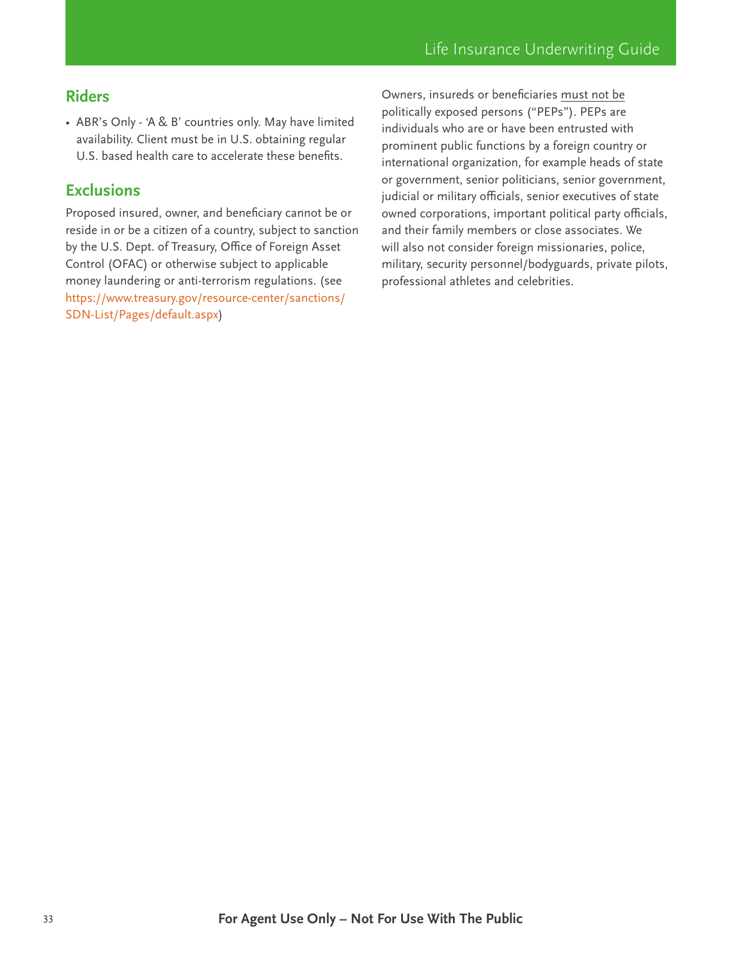# **Riders**

• ABR's Only - 'A & B' countries only. May have limited availability. Client must be in U.S. obtaining regular U.S. based health care to accelerate these benefits.

### **Exclusions**

Proposed insured, owner, and beneficiary cannot be or reside in or be a citizen of a country, subject to sanction by the U.S. Dept. of Treasury, Office of Foreign Asset Control (OFAC) or otherwise subject to applicable money laundering or anti-terrorism regulations. (see [https://www.treasury.gov/resource-center/sanctions/](https://www.treasury.gov/resource-center/sanctions/SDN-List/Pages/default.aspx) [SDN-List/Pages/default.aspx](https://www.treasury.gov/resource-center/sanctions/SDN-List/Pages/default.aspx))

Owners, insureds or beneficiaries must not be politically exposed persons ("PEPs"). PEPs are individuals who are or have been entrusted with prominent public functions by a foreign country or international organization, for example heads of state or government, senior politicians, senior government, judicial or military officials, senior executives of state owned corporations, important political party officials, and their family members or close associates. We will also not consider foreign missionaries, police, military, security personnel/bodyguards, private pilots, professional athletes and celebrities.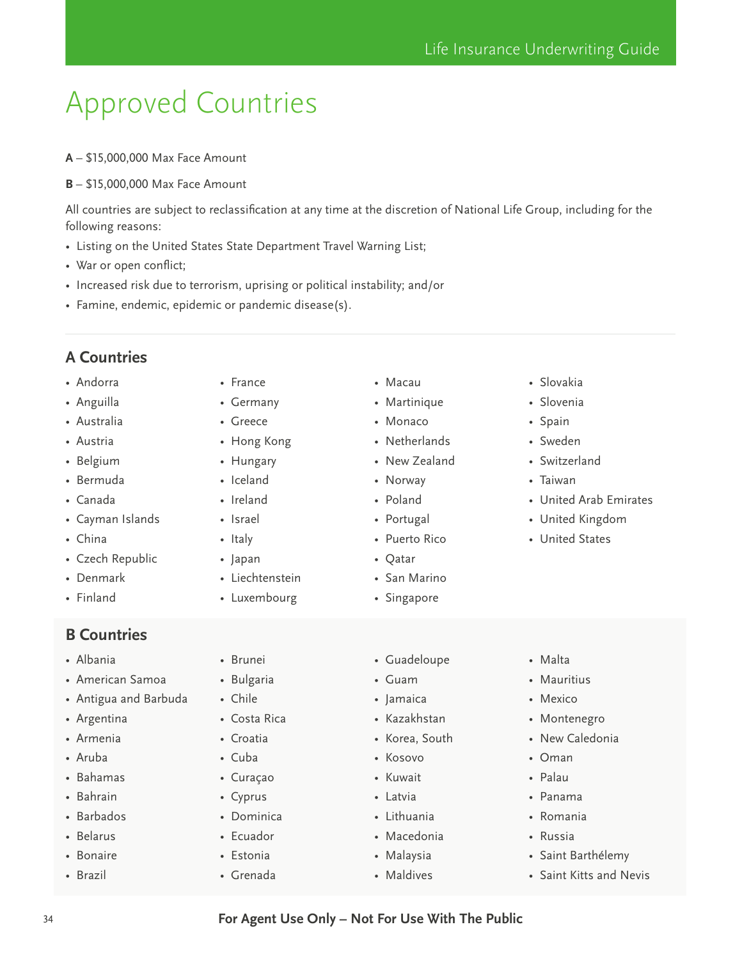# <span id="page-33-0"></span>Approved Countries

- **A** \$15,000,000 Max Face Amount
- **B** \$15,000,000 Max Face Amount

All countries are subject to reclassification at any time at the discretion of National Life Group, including for the following reasons:

• Listing on the United States State Department Travel Warning List;

• France • Germany • Greece • Hong Kong • Hungary • Iceland • Ireland • Israel • Italy • Japan

- War or open conflict;
- Increased risk due to terrorism, uprising or political instability; and/or
- Famine, endemic, epidemic or pandemic disease(s).

# **A Countries**

- Andorra
- Anguilla
- Australia
- Austria
- Belgium
- Bermuda
- Canada
- Cayman Islands
- China
- Czech Republic
- Denmark
- Finland

### **B Countries**

- Albania
- American Samoa
- Antigua and Barbuda
- Argentina
- Armenia
- Aruba
- Bahamas
- Bahrain
- Barbados
- Belarus
- Bonaire
- Brazil

• Brunei

• Liechtenstein • Luxembourg

- Bulgaria
- Chile
- Costa Rica
- Croatia
- Cuba
- Curaçao
- Cyprus
- Dominica
- Ecuador
- Estonia
- Grenada
- Macau
	- Martinique
	- Monaco
	- Netherlands
- New Zealand
- Poland
- Portugal
- Puerto Rico
- Qatar
- San Marino
- Singapore
- Guadeloupe
- Guam
- Jamaica
- Kazakhstan
- Korea, South
- Kosovo
- Kuwait
- Latvia
- Lithuania
- Macedonia
- Malaysia
- Maldives
- Slovakia
- Slovenia
- Spain
- Sweden
- Switzerland
- Taiwan
- United Arab Emirates
- United Kingdom
- United States

- Malta
- Mauritius
- Mexico
- Montenegro
- New Caledonia
- Oman
- Palau
- Panama
- Romania
- Russia
- Saint Barthélemy
- Saint Kitts and Nevis
- 34 **For Agent Use Only Not For Use With The Public**
- Norway
	-
	-
	-
	-
	-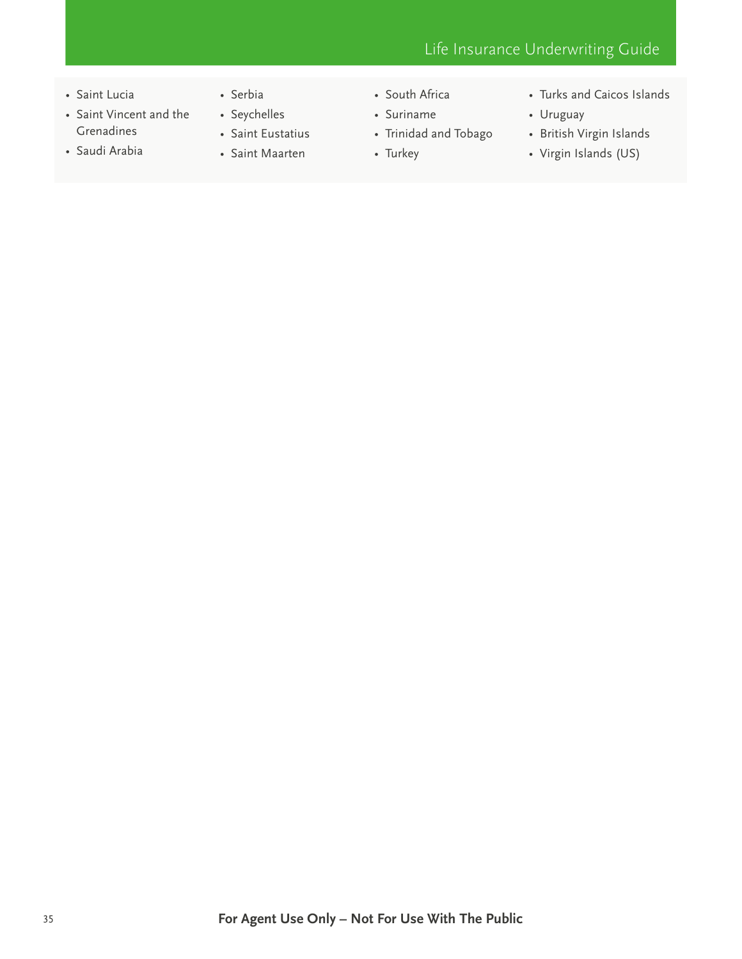- Saint Lucia
- Saint Vincent and the Grenadines
- Saudi Arabia
- Serbia
- Seychelles • Saint Eustatius
- Saint Maarten
- South Africa
- Suriname
- Trinidad and Tobago
- Turkey
- Turks and Caicos Islands
- Uruguay
- British Virgin Islands
- Virgin Islands (US)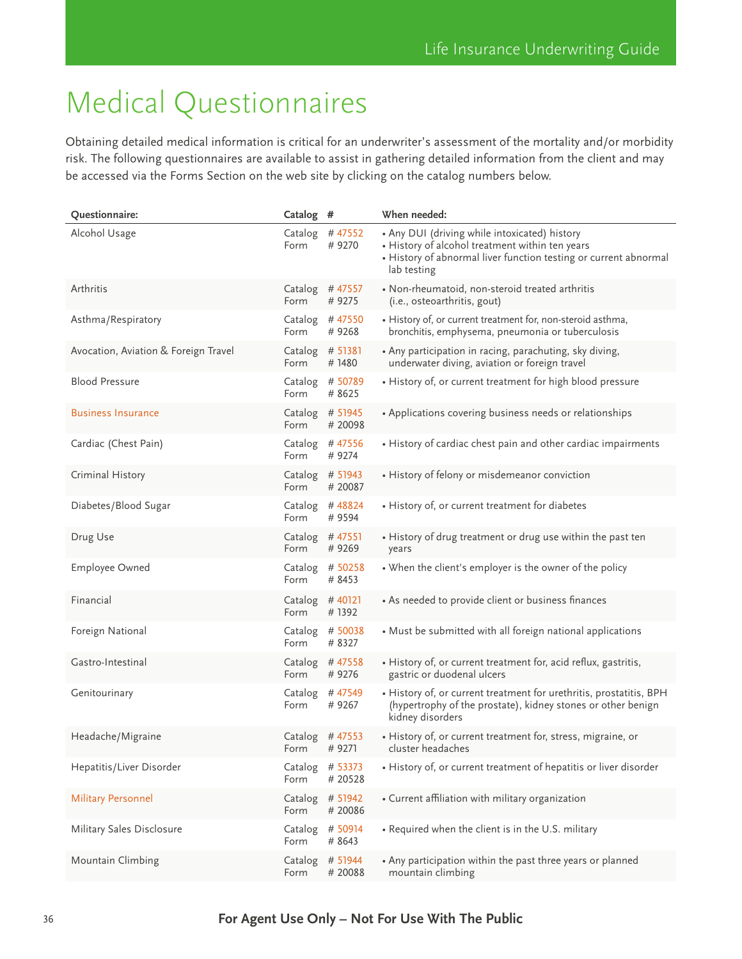# <span id="page-35-0"></span>Medical Questionnaires

Obtaining detailed medical information is critical for an underwriter's assessment of the mortality and/or morbidity risk. The following questionnaires are available to assist in gathering detailed information from the client and may be accessed via the Forms Section on the web site by clicking on the catalog numbers below.

| Questionnaire:                       | Catalog #       |                             | When needed:                                                                                                                                                                        |
|--------------------------------------|-----------------|-----------------------------|-------------------------------------------------------------------------------------------------------------------------------------------------------------------------------------|
| Alcohol Usage                        | Form            | Catalog $#47552$<br>#9270   | • Any DUI (driving while intoxicated) history<br>• History of alcohol treatment within ten years<br>• History of abnormal liver function testing or current abnormal<br>lab testing |
| Arthritis                            | Form            | Catalog #47557<br>#9275     | · Non-rheumatoid, non-steroid treated arthritis<br>(i.e., osteoarthritis, gout)                                                                                                     |
| Asthma/Respiratory                   | Form            | Catalog #47550<br>#9268     | • History of, or current treatment for, non-steroid asthma,<br>bronchitis, emphysema, pneumonia or tuberculosis                                                                     |
| Avocation, Aviation & Foreign Travel | Form            | Catalog # 51381<br>#1480    | • Any participation in racing, parachuting, sky diving,<br>underwater diving, aviation or foreign travel                                                                            |
| <b>Blood Pressure</b>                | Form            | Catalog # 50789<br># 8625   | • History of, or current treatment for high blood pressure                                                                                                                          |
| <b>Business Insurance</b>            | Form            | Catalog # 51945<br># 20098  | • Applications covering business needs or relationships                                                                                                                             |
| Cardiac (Chest Pain)                 | Form            | Catalog #47556<br>#9274     | • History of cardiac chest pain and other cardiac impairments                                                                                                                       |
| Criminal History                     | Form            | Catalog # 51943<br># 20087  | • History of felony or misdemeanor conviction                                                                                                                                       |
| Diabetes/Blood Sugar                 | Form            | Catalog #48824<br># 9594    | • History of, or current treatment for diabetes                                                                                                                                     |
| Drug Use                             | Form            | Catalog #47551<br>#9269     | • History of drug treatment or drug use within the past ten<br>years                                                                                                                |
| Employee Owned                       | Catalog<br>Form | # 50258<br># 8453           | • When the client's employer is the owner of the policy                                                                                                                             |
| Financial                            | Catalog<br>Form | #40121<br>#1392             | • As needed to provide client or business finances                                                                                                                                  |
| Foreign National                     | Form            | Catalog $# 50038$<br># 8327 | • Must be submitted with all foreign national applications                                                                                                                          |
| Gastro-Intestinal                    | Form            | Catalog $#47558$<br>#9276   | • History of, or current treatment for, acid reflux, gastritis,<br>gastric or duodenal ulcers                                                                                       |
| Genitourinary                        | Form            | Catalog #47549<br>#9267     | • History of, or current treatment for urethritis, prostatitis, BPH<br>(hypertrophy of the prostate), kidney stones or other benign<br>kidney disorders                             |
| Headache/Migraine                    | Form #9271      | Catalog # 47553             | • History of, or current treatment for, stress, migraine, or<br>cluster headaches                                                                                                   |
| Hepatitis/Liver Disorder             | Form            | Catalog # 53373<br># 20528  | • History of, or current treatment of hepatitis or liver disorder                                                                                                                   |
| <b>Military Personnel</b>            | Catalog<br>Form | # 51942<br># 20086          | • Current affiliation with military organization                                                                                                                                    |
| Military Sales Disclosure            | Catalog<br>Form | # 50914<br># 8643           | • Required when the client is in the U.S. military                                                                                                                                  |
| Mountain Climbing                    | Form            | Catalog # 51944<br># 20088  | • Any participation within the past three years or planned<br>mountain climbing                                                                                                     |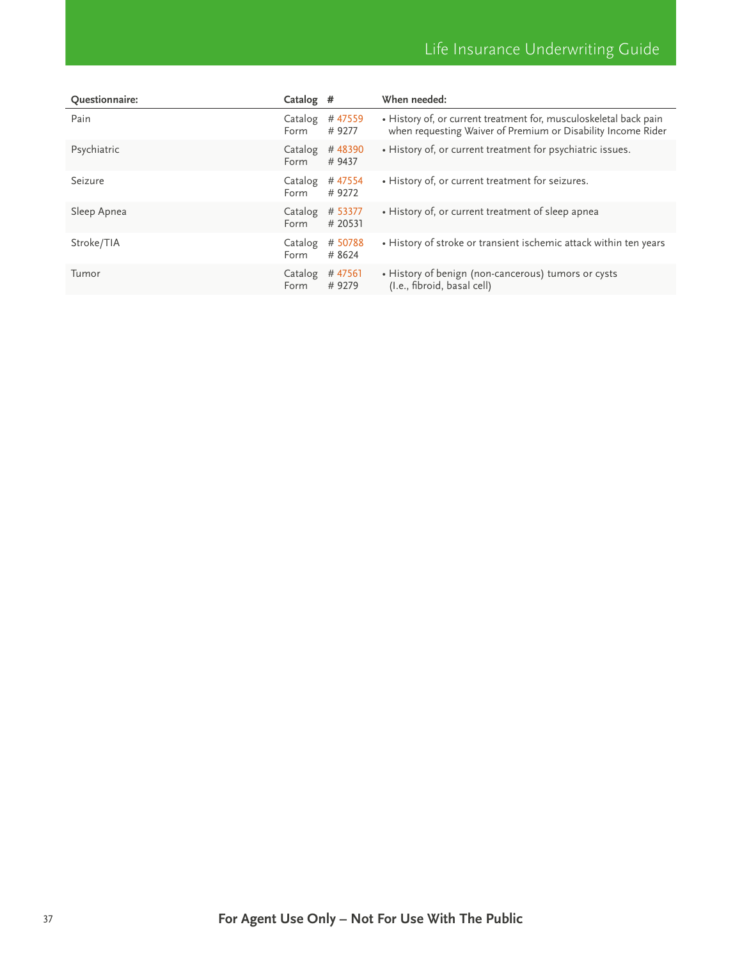| Questionnaire: | Catalog #       |                    | When needed:                                                                                                                      |
|----------------|-----------------|--------------------|-----------------------------------------------------------------------------------------------------------------------------------|
| Pain           | Catalog<br>Form | #47559<br>#9277    | • History of, or current treatment for, musculoskeletal back pain<br>when requesting Waiver of Premium or Disability Income Rider |
| Psychiatric    | Catalog<br>Form | #48390<br># 9437   | . History of, or current treatment for psychiatric issues.                                                                        |
| Seizure        | Catalog<br>Form | #47554<br>#9272    | • History of, or current treatment for seizures.                                                                                  |
| Sleep Apnea    | Catalog<br>Form | # 53377<br># 20531 | • History of, or current treatment of sleep apnea                                                                                 |
| Stroke/TIA     | Catalog<br>Form | # 50788<br># 8624  | • History of stroke or transient ischemic attack within ten years                                                                 |
| Tumor          | Catalog<br>Form | #47561<br>#9279    | • History of benign (non-cancerous) tumors or cysts<br>(I.e., fibroid, basal cell)                                                |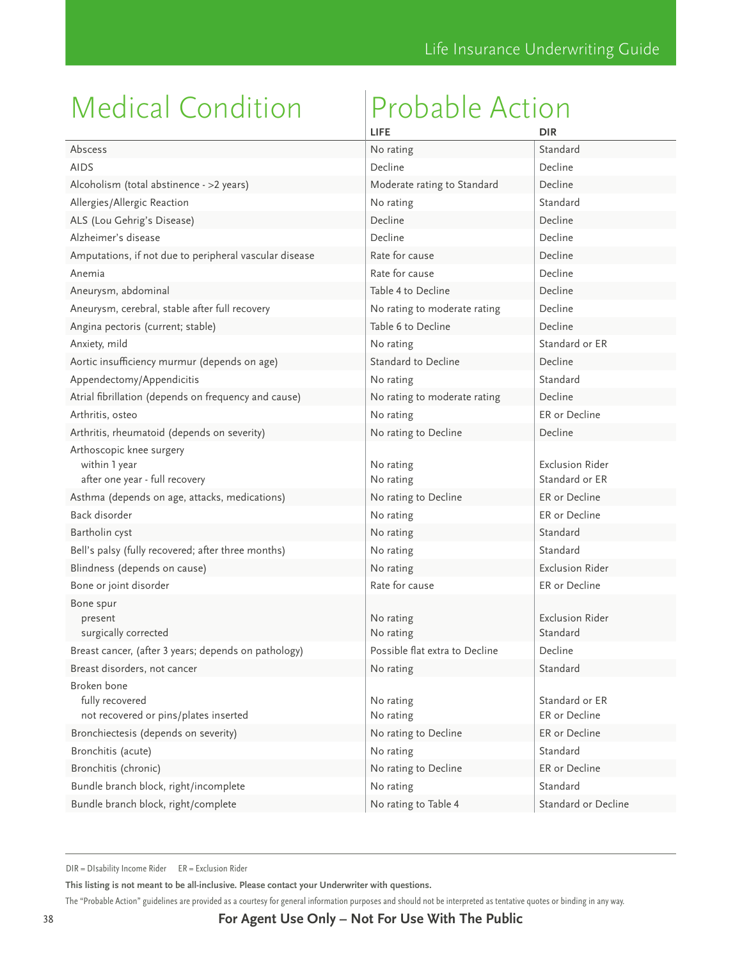<span id="page-37-0"></span>

|                                                                             | LIFE                           | <b>DIR</b>                               |
|-----------------------------------------------------------------------------|--------------------------------|------------------------------------------|
| Abscess                                                                     | No rating                      | Standard                                 |
| <b>AIDS</b>                                                                 | Decline                        | Decline                                  |
| Alcoholism (total abstinence - > 2 years)                                   | Moderate rating to Standard    | Decline                                  |
| Allergies/Allergic Reaction                                                 | No rating                      | Standard                                 |
| ALS (Lou Gehrig's Disease)                                                  | Decline                        | Decline                                  |
| Alzheimer's disease                                                         | Decline                        | Decline                                  |
| Amputations, if not due to peripheral vascular disease                      | Rate for cause                 | Decline                                  |
| Anemia                                                                      | Rate for cause                 | Decline                                  |
| Aneurysm, abdominal                                                         | Table 4 to Decline             | Decline                                  |
| Aneurysm, cerebral, stable after full recovery                              | No rating to moderate rating   | Decline                                  |
| Angina pectoris (current; stable)                                           | Table 6 to Decline             | Decline                                  |
| Anxiety, mild                                                               | No rating                      | Standard or ER                           |
| Aortic insufficiency murmur (depends on age)                                | Standard to Decline            | Decline                                  |
| Appendectomy/Appendicitis                                                   | No rating                      | Standard                                 |
| Atrial fibrillation (depends on frequency and cause)                        | No rating to moderate rating   | Decline                                  |
| Arthritis, osteo                                                            | No rating                      | ER or Decline                            |
| Arthritis, rheumatoid (depends on severity)                                 | No rating to Decline           | Decline                                  |
| Arthoscopic knee surgery<br>within 1 year<br>after one year - full recovery | No rating<br>No rating         | <b>Exclusion Rider</b><br>Standard or ER |
| Asthma (depends on age, attacks, medications)                               | No rating to Decline           | ER or Decline                            |
| Back disorder                                                               | No rating                      | ER or Decline                            |
| Bartholin cyst                                                              | No rating                      | Standard                                 |
| Bell's palsy (fully recovered; after three months)                          | No rating                      | Standard                                 |
| Blindness (depends on cause)                                                | No rating                      | <b>Exclusion Rider</b>                   |
| Bone or joint disorder                                                      | Rate for cause                 | ER or Decline                            |
| Bone spur<br>present<br>surgically corrected                                | No rating<br>No rating         | <b>Exclusion Rider</b><br>Standard       |
| Breast cancer, (after 3 years; depends on pathology)                        | Possible flat extra to Decline | Decline                                  |
| Breast disorders, not cancer                                                | No rating                      | Standard                                 |
| Broken bone<br>fully recovered<br>not recovered or pins/plates inserted     | No rating<br>No rating         | Standard or ER<br>ER or Decline          |
| Bronchiectesis (depends on severity)                                        | No rating to Decline           | ER or Decline                            |
| Bronchitis (acute)                                                          | No rating                      | Standard                                 |
| Bronchitis (chronic)                                                        | No rating to Decline           | ER or Decline                            |
| Bundle branch block, right/incomplete                                       | No rating                      | Standard                                 |
| Bundle branch block, right/complete                                         | No rating to Table 4           | Standard or Decline                      |

DIR = DIsability Income Rider ER = Exclusion Rider

**This listing is not meant to be all-inclusive. Please contact your Underwriter with questions.**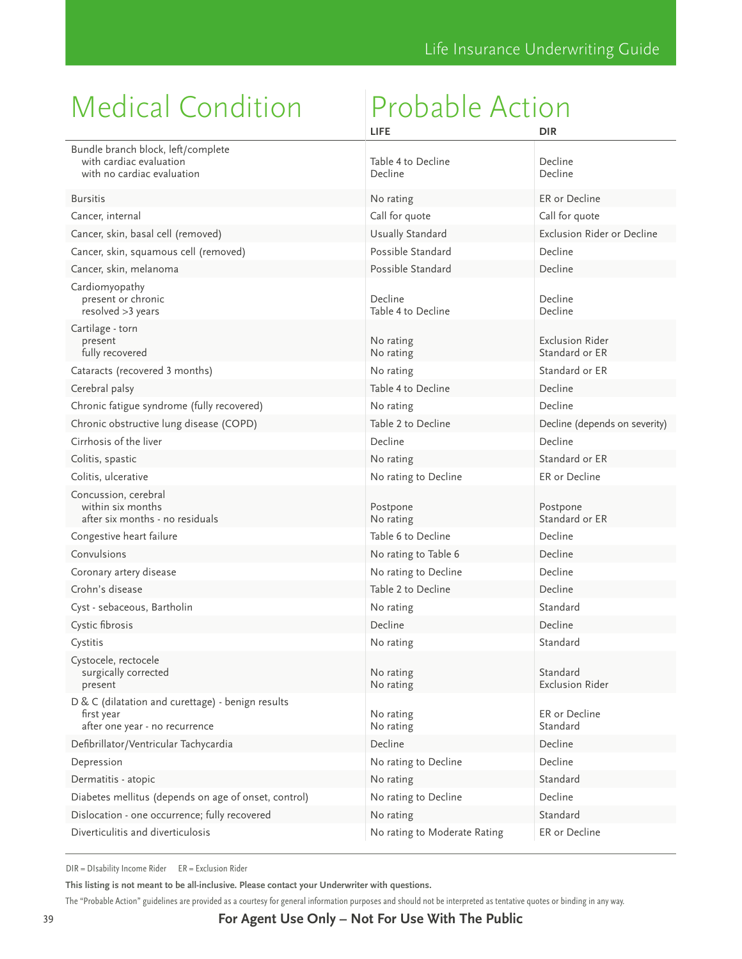|                                                                                                   | LIFE                          | <b>DIR</b>                               |
|---------------------------------------------------------------------------------------------------|-------------------------------|------------------------------------------|
| Bundle branch block, left/complete<br>with cardiac evaluation<br>with no cardiac evaluation       | Table 4 to Decline<br>Decline | Decline<br>Decline                       |
| <b>Bursitis</b>                                                                                   | No rating                     | ER or Decline                            |
| Cancer, internal                                                                                  | Call for quote                | Call for quote                           |
| Cancer, skin, basal cell (removed)                                                                | Usually Standard              | Exclusion Rider or Decline               |
| Cancer, skin, squamous cell (removed)                                                             | Possible Standard             | Decline                                  |
| Cancer, skin, melanoma                                                                            | Possible Standard             | Decline                                  |
| Cardiomyopathy<br>present or chronic<br>resolved > 3 years                                        | Decline<br>Table 4 to Decline | Decline<br>Decline                       |
| Cartilage - torn<br>present<br>fully recovered                                                    | No rating<br>No rating        | <b>Exclusion Rider</b><br>Standard or ER |
| Cataracts (recovered 3 months)                                                                    | No rating                     | Standard or ER                           |
| Cerebral palsy                                                                                    | Table 4 to Decline            | Decline                                  |
| Chronic fatigue syndrome (fully recovered)                                                        | No rating                     | Decline                                  |
| Chronic obstructive lung disease (COPD)                                                           | Table 2 to Decline            | Decline (depends on severity)            |
| Cirrhosis of the liver                                                                            | Decline                       | Decline                                  |
| Colitis, spastic                                                                                  | No rating                     | Standard or ER                           |
| Colitis, ulcerative                                                                               | No rating to Decline          | ER or Decline                            |
| Concussion, cerebral<br>within six months<br>after six months - no residuals                      | Postpone<br>No rating         | Postpone<br>Standard or ER               |
| Congestive heart failure                                                                          | Table 6 to Decline            | Decline                                  |
| Convulsions                                                                                       | No rating to Table 6          | Decline                                  |
| Coronary artery disease                                                                           | No rating to Decline          | Decline                                  |
| Crohn's disease                                                                                   | Table 2 to Decline            | Decline                                  |
| Cyst - sebaceous, Bartholin                                                                       | No rating                     | Standard                                 |
| Cystic fibrosis                                                                                   | Decline                       | Decline                                  |
| Cystitis                                                                                          | No rating                     | Standard                                 |
| Cystocele, rectocele<br>surgically corrected<br>present                                           | No rating<br>No rating        | Standard<br><b>Exclusion Rider</b>       |
| D & C (dilatation and curettage) - benign results<br>first year<br>after one year - no recurrence | No rating<br>No rating        | ER or Decline<br>Standard                |
| Defibrillator/Ventricular Tachycardia                                                             | Decline                       | Decline                                  |
| Depression                                                                                        | No rating to Decline          | Decline                                  |
| Dermatitis - atopic                                                                               | No rating                     | Standard                                 |
| Diabetes mellitus (depends on age of onset, control)                                              | No rating to Decline          | Decline                                  |
| Dislocation - one occurrence; fully recovered                                                     | No rating                     | Standard                                 |
| Diverticulitis and diverticulosis                                                                 | No rating to Moderate Rating  | ER or Decline                            |

DIR = DIsability Income Rider ER = Exclusion Rider

**This listing is not meant to be all-inclusive. Please contact your Underwriter with questions.**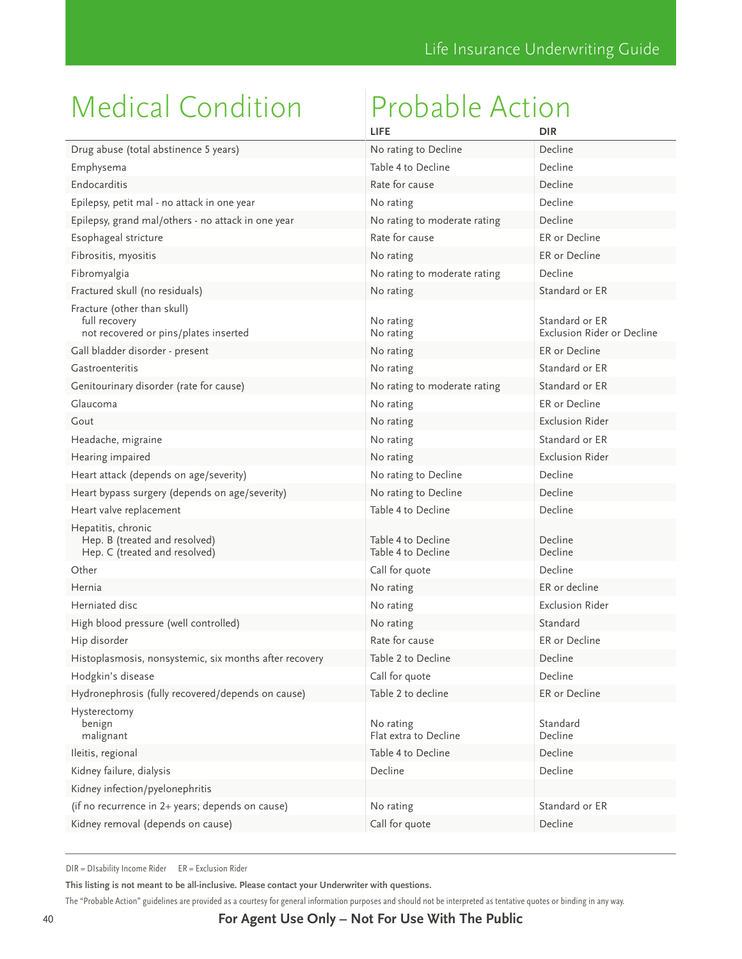|                                                                                       | LIFE                                     | <b>DIR</b>                                   |
|---------------------------------------------------------------------------------------|------------------------------------------|----------------------------------------------|
| Drug abuse (total abstinence 5 years)                                                 | No rating to Decline                     | Decline                                      |
| Emphysema                                                                             | Table 4 to Decline                       | Decline                                      |
| Endocarditis                                                                          | Rate for cause                           | Decline                                      |
| Epilepsy, petit mal - no attack in one year                                           | No rating                                | Decline                                      |
| Epilepsy, grand mal/others - no attack in one year                                    | No rating to moderate rating             | Decline                                      |
| Esophageal stricture                                                                  | Rate for cause                           | ER or Decline                                |
| Fibrositis, myositis                                                                  | No rating                                | ER or Decline                                |
| Fibromyalgia                                                                          | No rating to moderate rating             | Decline                                      |
| Fractured skull (no residuals)                                                        | No rating                                | Standard or ER                               |
| Fracture (other than skull)<br>full recovery<br>not recovered or pins/plates inserted | No rating<br>No rating                   | Standard or ER<br>Exclusion Rider or Decline |
| Gall bladder disorder - present                                                       | No rating                                | ER or Decline                                |
| Gastroenteritis                                                                       | No rating                                | Standard or ER                               |
| Genitourinary disorder (rate for cause)                                               | No rating to moderate rating             | Standard or ER                               |
| Glaucoma                                                                              | No rating                                | ER or Decline                                |
| Gout                                                                                  | No rating                                | Exclusion Rider                              |
| Headache, migraine                                                                    | No rating                                | Standard or ER                               |
| Hearing impaired                                                                      | No rating                                | <b>Exclusion Rider</b>                       |
| Heart attack (depends on age/severity)                                                | No rating to Decline                     | Decline                                      |
| Heart bypass surgery (depends on age/severity)                                        | No rating to Decline                     | Decline                                      |
| Heart valve replacement                                                               | Table 4 to Decline                       | Decline                                      |
| Hepatitis, chronic<br>Hep. B (treated and resolved)<br>Hep. C (treated and resolved)  | Table 4 to Decline<br>Table 4 to Decline | Decline<br>Decline                           |
| Other                                                                                 | Call for quote                           | Decline                                      |
| Hernia                                                                                | No rating                                | ER or decline                                |
| Herniated disc                                                                        | No rating                                | <b>Exclusion Rider</b>                       |
| High blood pressure (well controlled)                                                 | No rating                                | Standard                                     |
| Hip disorder                                                                          | Rate for cause                           | ER or Decline                                |
| Histoplasmosis, nonsystemic, six months after recovery                                | Table 2 to Decline                       | Decline                                      |
| Hodgkin's disease                                                                     | Call for quote                           | Decline                                      |
| Hydronephrosis (fully recovered/depends on cause)                                     | Table 2 to decline                       | ER or Decline                                |
| Hysterectomy<br>benign<br>malignant                                                   | No rating<br>Flat extra to Decline       | Standard<br>Decline                          |
| Ileitis, regional                                                                     | Table 4 to Decline                       | Decline                                      |
| Kidney failure, dialysis                                                              | Decline                                  | Decline                                      |
| Kidney infection/pyelonephritis                                                       |                                          |                                              |
| (if no recurrence in 2+ years; depends on cause)                                      | No rating                                | Standard or ER                               |
| Kidney removal (depends on cause)                                                     | Call for quote                           | Decline                                      |

DIR = DIsability Income Rider ER = Exclusion Rider

**This listing is not meant to be all-inclusive. Please contact your Underwriter with questions.**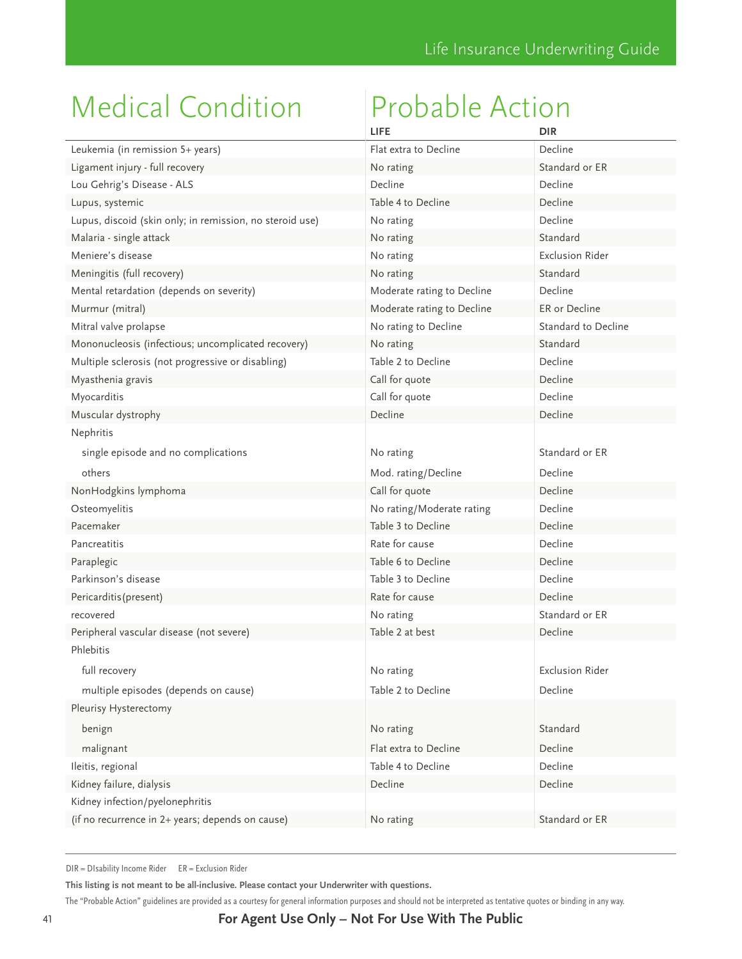|                                                          | LIFE                       | <b>DIR</b>             |
|----------------------------------------------------------|----------------------------|------------------------|
| Leukemia (in remission 5+ years)                         | Flat extra to Decline      | Decline                |
| Ligament injury - full recovery                          | No rating                  | Standard or ER         |
| Lou Gehrig's Disease - ALS                               | Decline                    | Decline                |
| Lupus, systemic                                          | Table 4 to Decline         | Decline                |
| Lupus, discoid (skin only; in remission, no steroid use) | No rating                  | Decline                |
| Malaria - single attack                                  | No rating                  | Standard               |
| Meniere's disease                                        | No rating                  | <b>Exclusion Rider</b> |
| Meningitis (full recovery)                               | No rating                  | Standard               |
| Mental retardation (depends on severity)                 | Moderate rating to Decline | Decline                |
| Murmur (mitral)                                          | Moderate rating to Decline | ER or Decline          |
| Mitral valve prolapse                                    | No rating to Decline       | Standard to Decline    |
| Mononucleosis (infectious; uncomplicated recovery)       | No rating                  | Standard               |
| Multiple sclerosis (not progressive or disabling)        | Table 2 to Decline         | Decline                |
| Myasthenia gravis                                        | Call for quote             | Decline                |
| Myocarditis                                              | Call for quote             | Decline                |
| Muscular dystrophy                                       | Decline                    | Decline                |
| Nephritis                                                |                            |                        |
| single episode and no complications                      | No rating                  | Standard or FR         |
| others                                                   | Mod. rating/Decline        | Decline                |
| NonHodgkins lymphoma                                     | Call for quote             | Decline                |
| Osteomyelitis                                            | No rating/Moderate rating  | Decline                |
| Pacemaker                                                | Table 3 to Decline         | Decline                |
| Pancreatitis                                             | Rate for cause             | Decline                |
| Paraplegic                                               | Table 6 to Decline         | Decline                |
| Parkinson's disease                                      | Table 3 to Decline         | Decline                |
| Pericarditis (present)                                   | Rate for cause             | Decline                |
| recovered                                                | No rating                  | Standard or ER         |
| Peripheral vascular disease (not severe)                 | Table 2 at best            | Decline                |
| Phlebitis                                                |                            |                        |
| full recovery                                            | No rating                  | <b>Exclusion Rider</b> |
| multiple episodes (depends on cause)                     | Table 2 to Decline         | Decline                |
| Pleurisy Hysterectomy                                    |                            |                        |
| benign                                                   | No rating                  | Standard               |
|                                                          |                            |                        |
| malignant                                                | Flat extra to Decline      | Decline                |
| Ileitis, regional                                        | Table 4 to Decline         | Decline                |
| Kidney failure, dialysis                                 | Decline                    | Decline                |
| Kidney infection/pyelonephritis                          |                            |                        |
| (if no recurrence in 2+ years; depends on cause)         | No rating                  | Standard or ER         |

DIR = DIsability Income Rider ER = Exclusion Rider

**This listing is not meant to be all-inclusive. Please contact your Underwriter with questions.**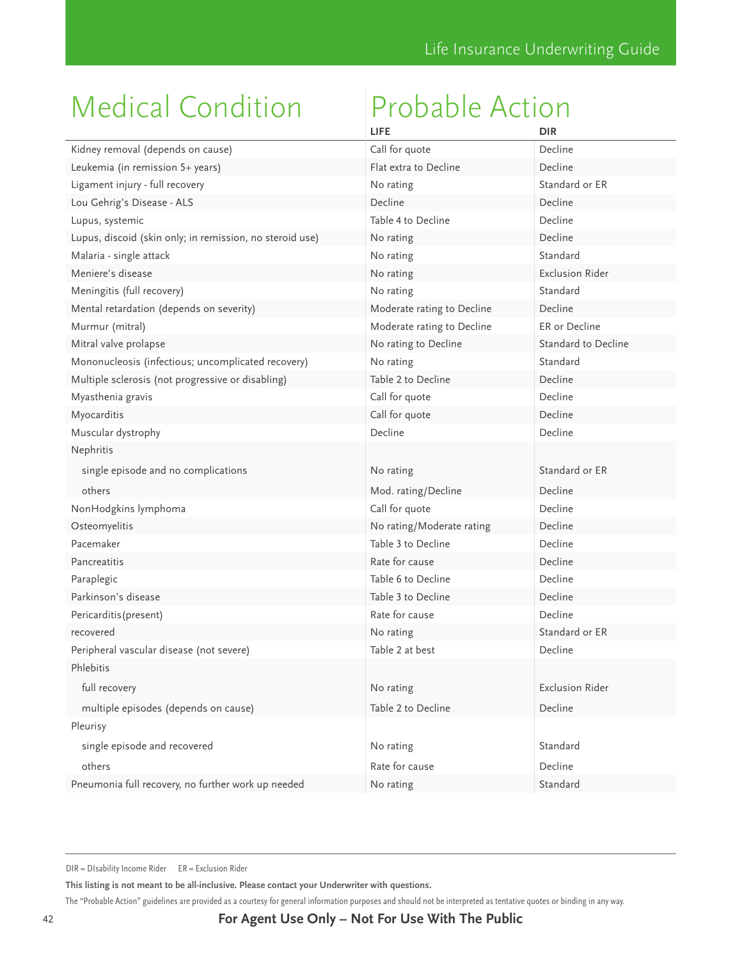|                                                          | <b>LIFE</b>                | <b>DIR</b>             |
|----------------------------------------------------------|----------------------------|------------------------|
| Kidney removal (depends on cause)                        | Call for quote             | Decline                |
| Leukemia (in remission 5+ years)                         | Flat extra to Decline      | Decline                |
| Ligament injury - full recovery                          | No rating                  | Standard or ER         |
| Lou Gehrig's Disease - ALS                               | Decline                    | Decline                |
| Lupus, systemic                                          | Table 4 to Decline         | Decline                |
| Lupus, discoid (skin only; in remission, no steroid use) | No rating                  | Decline                |
| Malaria - single attack                                  | No rating                  | Standard               |
| Meniere's disease                                        | No rating                  | <b>Exclusion Rider</b> |
| Meningitis (full recovery)                               | No rating                  | Standard               |
| Mental retardation (depends on severity)                 | Moderate rating to Decline | Decline                |
| Murmur (mitral)                                          | Moderate rating to Decline | ER or Decline          |
| Mitral valve prolapse                                    | No rating to Decline       | Standard to Decline    |
| Mononucleosis (infectious; uncomplicated recovery)       | No rating                  | Standard               |
| Multiple sclerosis (not progressive or disabling)        | Table 2 to Decline         | Decline                |
| Myasthenia gravis                                        | Call for quote             | Decline                |
| Myocarditis                                              | Call for quote             | Decline                |
| Muscular dystrophy                                       | Decline                    | Decline                |
| Nephritis                                                |                            |                        |
| single episode and no complications                      | No rating                  | Standard or ER         |
| others                                                   | Mod. rating/Decline        | Decline                |
| NonHodgkins lymphoma                                     | Call for quote             | Decline                |
| Osteomyelitis                                            | No rating/Moderate rating  | Decline                |
| Pacemaker                                                | Table 3 to Decline         | Decline                |
| Pancreatitis                                             | Rate for cause             | Decline                |
| Paraplegic                                               | Table 6 to Decline         | Decline                |
| Parkinson's disease                                      | Table 3 to Decline         | Decline                |
| Pericarditis (present)                                   | Rate for cause             | Decline                |
| recovered                                                | No rating                  | Standard or ER         |
| Peripheral vascular disease (not severe)                 | Table 2 at best            | Decline                |
| Phlebitis                                                |                            |                        |
| full recovery                                            | No rating                  | <b>Exclusion Rider</b> |
| multiple episodes (depends on cause)                     | Table 2 to Decline         | Decline                |
| Pleurisy                                                 |                            |                        |
| single episode and recovered                             |                            | Standard               |
|                                                          | No rating                  |                        |
| others                                                   | Rate for cause             | Decline                |
| Pneumonia full recovery, no further work up needed       | No rating                  | Standard               |

DIR = DIsability Income Rider ER = Exclusion Rider

**This listing is not meant to be all-inclusive. Please contact your Underwriter with questions.**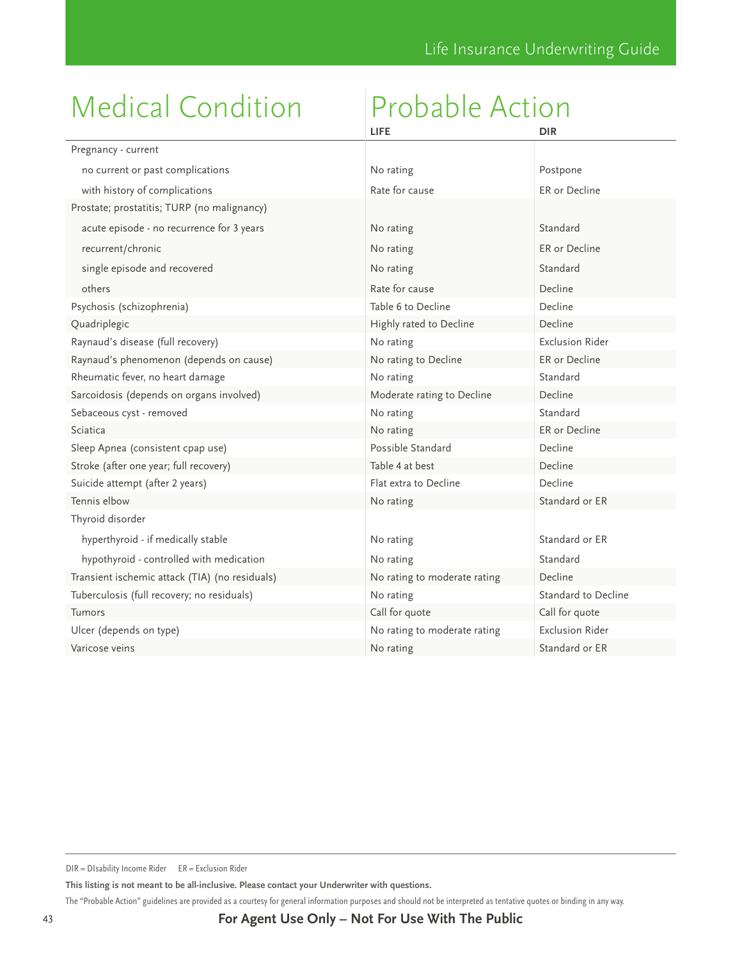|                                                | LIFE                         | <b>DIR</b>             |
|------------------------------------------------|------------------------------|------------------------|
| Pregnancy - current                            |                              |                        |
| no current or past complications               | No rating                    | Postpone               |
| with history of complications                  | Rate for cause               | ER or Decline          |
| Prostate; prostatitis; TURP (no malignancy)    |                              |                        |
| acute episode - no recurrence for 3 years      | No rating                    | Standard               |
| recurrent/chronic                              | No rating                    | ER or Decline          |
| single episode and recovered                   | No rating                    | Standard               |
| others                                         | Rate for cause               | Decline                |
| Psychosis (schizophrenia)                      | Table 6 to Decline           | Decline                |
| Quadriplegic                                   | Highly rated to Decline      | Decline                |
| Raynaud's disease (full recovery)              | No rating                    | <b>Exclusion Rider</b> |
| Raynaud's phenomenon (depends on cause)        | No rating to Decline         | ER or Decline          |
| Rheumatic fever, no heart damage               | No rating                    | Standard               |
| Sarcoidosis (depends on organs involved)       | Moderate rating to Decline   | Decline                |
| Sebaceous cyst - removed                       | No rating                    | Standard               |
| Sciatica                                       | No rating                    | ER or Decline          |
| Sleep Apnea (consistent cpap use)              | Possible Standard            | Decline                |
| Stroke (after one year; full recovery)         | Table 4 at best              | Decline                |
| Suicide attempt (after 2 years)                | Flat extra to Decline        | Decline                |
| Tennis elbow                                   | No rating                    | Standard or ER         |
| Thyroid disorder                               |                              |                        |
| hyperthyroid - if medically stable             | No rating                    | Standard or ER         |
| hypothyroid - controlled with medication       | No rating                    | Standard               |
| Transient ischemic attack (TIA) (no residuals) | No rating to moderate rating | Decline                |
| Tuberculosis (full recovery; no residuals)     | No rating                    | Standard to Decline    |
| Tumors                                         | Call for quote               | Call for quote         |
| Ulcer (depends on type)                        | No rating to moderate rating | <b>Exclusion Rider</b> |
| Varicose veins                                 | No rating                    | Standard or ER         |

**This listing is not meant to be all-inclusive. Please contact your Underwriter with questions.** 

DIR = DIsability Income Rider ER = Exclusion Rider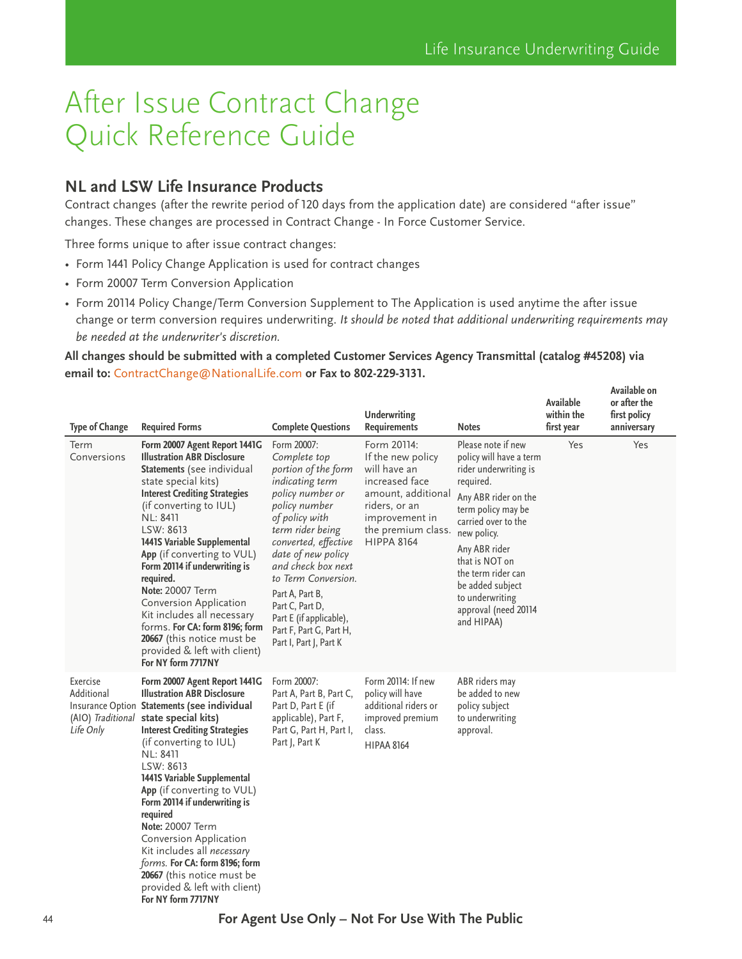**Available** 

**Available on** 

# <span id="page-43-0"></span>After Issue Contract Change Quick Reference Guide

## **NL and LSW Life Insurance Products**

Contract changes (after the rewrite period of 120 days from the application date) are considered "after issue" changes. These changes are processed in Contract Change - In Force Customer Service.

Three forms unique to after issue contract changes:

- Form 1441 Policy Change Application is used for contract changes
- Form 20007 Term Conversion Application
- Form 20114 Policy Change/Term Conversion Supplement to The Application is used anytime the after issue change or term conversion requires underwriting. *It should be noted that additional underwriting requirements may be needed at the underwriter's discretion.*

#### **All changes should be submitted with a completed Customer Services Agency Transmittal (catalog #45208) via email to:** [ContractChange@NationalLife.com](mailto:ContractChange%40NationalLife.com?subject=) **or Fax to 802-229-3131.**

| <b>Type of Change</b>               | <b>Required Forms</b>                                                                                                                                                                                                                                                                                                                                                                                                                                                                                                                                                     | <b>Complete Questions</b>                                                                                                                                                                                                                                                                                                                                         | <b>Underwriting</b><br><b>Requirements</b>                                                                                                                             | <b>Notes</b>                                                                                                                                                                                                                                                                                                  | Available<br>within the<br>first year | or after the<br>first policy<br>anniversary |
|-------------------------------------|---------------------------------------------------------------------------------------------------------------------------------------------------------------------------------------------------------------------------------------------------------------------------------------------------------------------------------------------------------------------------------------------------------------------------------------------------------------------------------------------------------------------------------------------------------------------------|-------------------------------------------------------------------------------------------------------------------------------------------------------------------------------------------------------------------------------------------------------------------------------------------------------------------------------------------------------------------|------------------------------------------------------------------------------------------------------------------------------------------------------------------------|---------------------------------------------------------------------------------------------------------------------------------------------------------------------------------------------------------------------------------------------------------------------------------------------------------------|---------------------------------------|---------------------------------------------|
| Term<br>Conversions                 | Form 20007 Agent Report 1441G<br><b>Illustration ABR Disclosure</b><br>Statements (see individual<br>state special kits)<br><b>Interest Crediting Strategies</b><br>(if converting to IUL)<br><b>NL: 8411</b><br>LSW: 8613<br>1441S Variable Supplemental<br>App (if converting to VUL)<br>Form 20114 if underwriting is<br>required.<br><b>Note: 20007 Term</b><br>Conversion Application<br>Kit includes all necessary<br>forms. For CA: form 8196; form<br>20667 (this notice must be<br>provided & left with client)<br>For NY form 7717NY                            | Form 20007:<br>Complete top<br>portion of the form<br>indicating term<br>policy number or<br>policy number<br>of policy with<br>term rider being<br>converted, effective<br>date of new policy<br>and check box next<br>to Term Conversion.<br>Part A, Part B,<br>Part C, Part D,<br>Part E (if applicable),<br>Part F, Part G, Part H,<br>Part I, Part J, Part K | Form 20114:<br>If the new policy<br>will have an<br>increased face<br>amount, additional<br>riders, or an<br>improvement in<br>the premium class.<br><b>HIPPA 8164</b> | Please note if new<br>policy will have a term<br>rider underwriting is<br>required.<br>Any ABR rider on the<br>term policy may be<br>carried over to the<br>new policy.<br>Any ABR rider<br>that is NOT on<br>the term rider can<br>be added subject<br>to underwriting<br>approval (need 20114<br>and HIPAA) | Yes                                   | Yes                                         |
| Exercise<br>Additional<br>Life Only | Form 20007 Agent Report 1441G<br><b>Illustration ABR Disclosure</b><br>Insurance Option Statements (see individual<br>(AIO) Traditional state special kits)<br><b>Interest Crediting Strategies</b><br>(if converting to IUL)<br>NL: 8411<br>LSW: 8613<br>1441S Variable Supplemental<br>App (if converting to VUL)<br>Form 20114 if underwriting is<br>required<br><b>Note: 20007 Term</b><br>Conversion Application<br>Kit includes all necessary<br>forms. For CA: form 8196; form<br>20667 (this notice must be<br>provided & left with client)<br>For NY form 7717NY | Form 20007:<br>Part A, Part B, Part C,<br>Part D, Part E (if<br>applicable), Part F,<br>Part G, Part H, Part I,<br>Part J, Part K                                                                                                                                                                                                                                 | Form 20114: If new<br>policy will have<br>additional riders or<br>improved premium<br>class.<br><b>HIPAA 8164</b>                                                      | ABR riders may<br>be added to new<br>policy subject<br>to underwriting<br>approval.                                                                                                                                                                                                                           |                                       |                                             |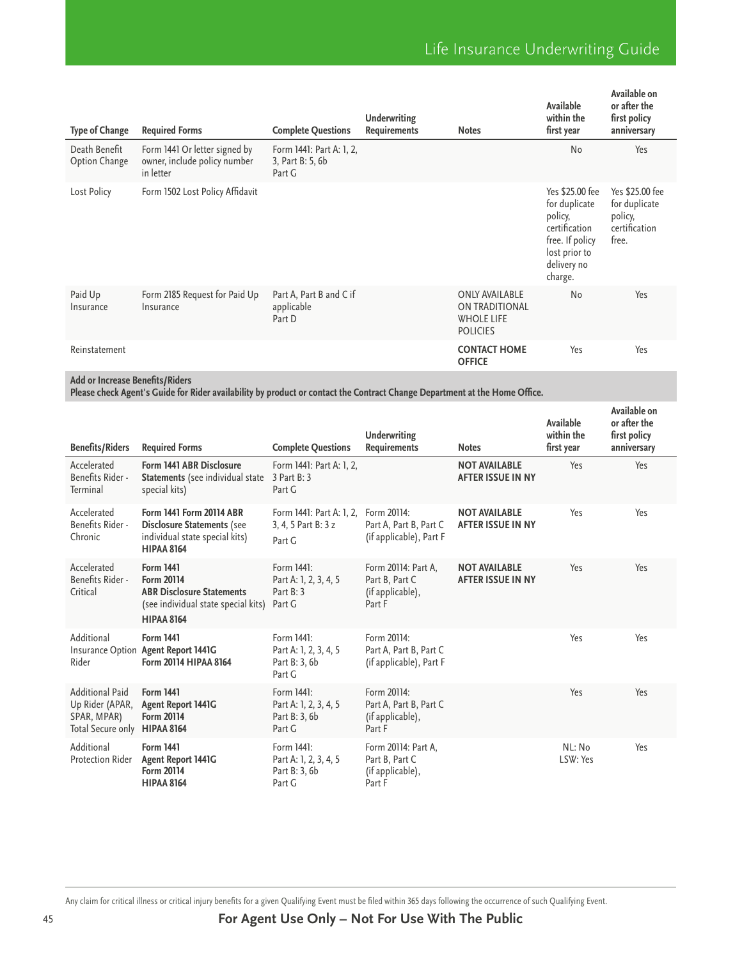| <b>Type of Change</b>          | <b>Required Forms</b>                                                      | <b>Complete Questions</b>                              | <b>Underwriting</b><br><b>Requirements</b> | <b>Notes</b>                                                                    | Available<br>within the<br>first year                                                                                      | Available on<br>or after the<br>first policy<br>anniversary           |
|--------------------------------|----------------------------------------------------------------------------|--------------------------------------------------------|--------------------------------------------|---------------------------------------------------------------------------------|----------------------------------------------------------------------------------------------------------------------------|-----------------------------------------------------------------------|
| Death Benefit<br>Option Change | Form 1441 Or letter signed by<br>owner, include policy number<br>in letter | Form 1441: Part A: 1, 2,<br>3, Part B: 5, 6b<br>Part G |                                            |                                                                                 | No                                                                                                                         | Yes                                                                   |
| Lost Policy                    | Form 1502 Lost Policy Affidavit                                            |                                                        |                                            |                                                                                 | Yes \$25.00 fee<br>for duplicate<br>policy,<br>certification<br>free. If policy<br>lost prior to<br>delivery no<br>charge. | Yes \$25.00 fee<br>for duplicate<br>policy,<br>certification<br>free. |
| Paid Up<br>Insurance           | Form 2185 Request for Paid Up<br>Insurance                                 | Part A, Part B and C if<br>applicable<br>Part D        |                                            | <b>ONLY AVAILABLE</b><br>ON TRADITIONAL<br><b>WHOLE LIFE</b><br><b>POLICIES</b> | No                                                                                                                         | Yes                                                                   |
| Reinstatement                  |                                                                            |                                                        |                                            | <b>CONTACT HOME</b><br><b>OFFICE</b>                                            | Yes                                                                                                                        | Yes                                                                   |

**Add or Increase Benefits/Riders** 

**Please check Agent's Guide for Rider availability by product or contact the Contract Change Department at the Home Office.**

| <b>Benefits/Riders</b>                                                        | <b>Required Forms</b>                                                                                                                 | <b>Complete Questions</b>                                      | Underwriting<br><b>Requirements</b>                                 | <b>Notes</b>                                     | Available<br>within the<br>first year | Available on<br>or after the<br>first policy<br>anniversary |
|-------------------------------------------------------------------------------|---------------------------------------------------------------------------------------------------------------------------------------|----------------------------------------------------------------|---------------------------------------------------------------------|--------------------------------------------------|---------------------------------------|-------------------------------------------------------------|
| Accelerated<br>Benefits Rider -<br>Terminal                                   | Form 1441 ABR Disclosure<br><b>Statements</b> (see individual state<br>special kits)                                                  | Form 1441: Part A: 1, 2,<br>3 Part B: 3<br>Part G              |                                                                     | <b>NOT AVAILABLE</b><br><b>AFTER ISSUE IN NY</b> | Yes                                   | Yes                                                         |
| Accelerated<br>Benefits Rider -<br>Chronic                                    | Form 1441 Form 20114 ABR<br><b>Disclosure Statements (see</b><br>individual state special kits)<br><b>HIPAA 8164</b>                  | Form 1441: Part A: 1, 2,<br>3, 4, 5 Part B: 3 z<br>Part G      | Form 20114:<br>Part A, Part B, Part C<br>(if applicable), Part F    | <b>NOT AVAILABLE</b><br><b>AFTER ISSUE IN NY</b> | Yes                                   | Yes                                                         |
| Accelerated<br>Benefits Rider -<br>Critical                                   | <b>Form 1441</b><br><b>Form 20114</b><br><b>ABR Disclosure Statements</b><br>(see individual state special kits)<br><b>HIPAA 8164</b> | Form 1441:<br>Part A: 1, 2, 3, 4, 5<br>Part B: 3<br>Part G     | Form 20114: Part A,<br>Part B, Part C<br>(if applicable),<br>Part F | <b>NOT AVAILABLE</b><br><b>AFTER ISSUE IN NY</b> | Yes                                   | Yes                                                         |
| Additional<br>Rider                                                           | <b>Form 1441</b><br>Insurance Option Agent Report 1441G<br>Form 20114 HIPAA 8164                                                      | Form 1441:<br>Part A: 1, 2, 3, 4, 5<br>Part B: 3, 6b<br>Part G | Form 20114:<br>Part A, Part B, Part C<br>(if applicable), Part F    |                                                  | Yes                                   | Yes                                                         |
| <b>Additional Paid</b><br>Up Rider (APAR,<br>SPAR, MPAR)<br>Total Secure only | <b>Form 1441</b><br><b>Agent Report 1441G</b><br><b>Form 20114</b><br><b>HIPAA 8164</b>                                               | Form 1441:<br>Part A: 1, 2, 3, 4, 5<br>Part B: 3, 6b<br>Part G | Form 20114:<br>Part A, Part B, Part C<br>(if applicable),<br>Part F |                                                  | Yes                                   | Yes                                                         |
| Additional<br>Protection Rider                                                | <b>Form 1441</b><br>Agent Report 1441G<br><b>Form 20114</b><br><b>HIPAA 8164</b>                                                      | Form 1441:<br>Part A: 1, 2, 3, 4, 5<br>Part B: 3, 6b<br>Part G | Form 20114: Part A,<br>Part B, Part C<br>(if applicable),<br>Part F |                                                  | NL: No<br>LSW: Yes                    | Yes                                                         |

Any claim for critical illness or critical injury benefits for a given Qualifying Event must be filed within 365 days following the occurrence of such Qualifying Event.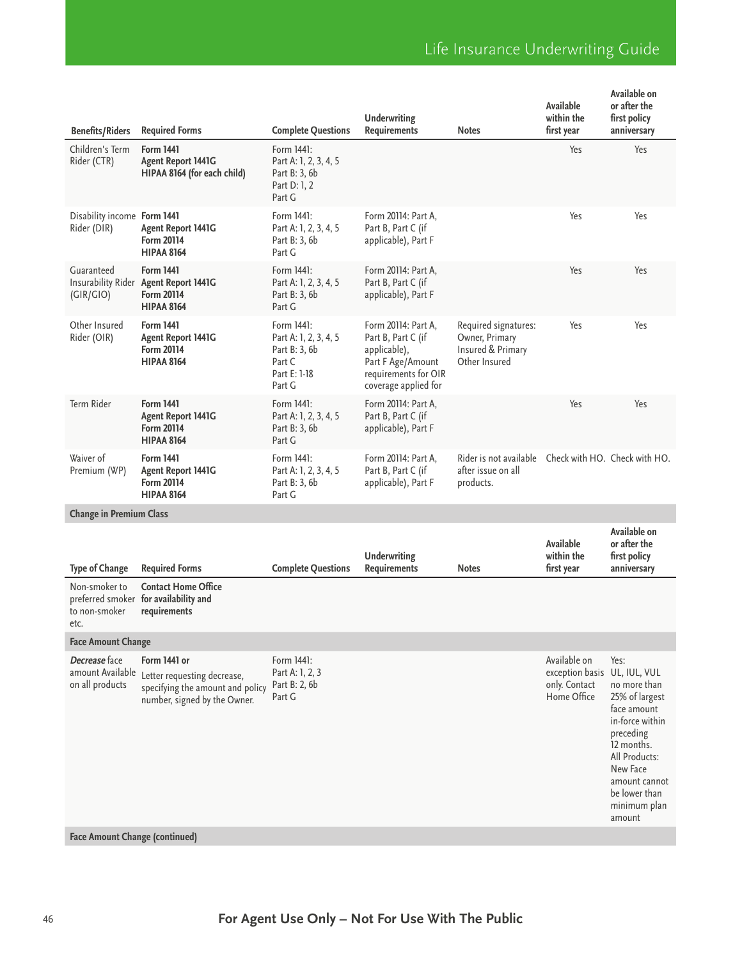|                                                      |                                                                                                                 |                                                                                          | <b>Underwriting</b>                                                                                                            |                                                                              | Available<br>within the                                         | Available on<br>or after the<br>first policy                                                                                                                                                                 |  |  |
|------------------------------------------------------|-----------------------------------------------------------------------------------------------------------------|------------------------------------------------------------------------------------------|--------------------------------------------------------------------------------------------------------------------------------|------------------------------------------------------------------------------|-----------------------------------------------------------------|--------------------------------------------------------------------------------------------------------------------------------------------------------------------------------------------------------------|--|--|
| <b>Benefits/Riders</b>                               | <b>Required Forms</b>                                                                                           | <b>Complete Questions</b>                                                                | <b>Requirements</b>                                                                                                            | <b>Notes</b>                                                                 | first year                                                      | anniversary                                                                                                                                                                                                  |  |  |
| Children's Term<br>Rider (CTR)                       | <b>Form 1441</b><br><b>Agent Report 1441G</b><br>HIPAA 8164 (for each child)                                    | Form 1441:<br>Part A: 1, 2, 3, 4, 5<br>Part B: 3, 6b<br>Part D: 1, 2<br>Part G           |                                                                                                                                |                                                                              | Yes                                                             | Yes                                                                                                                                                                                                          |  |  |
| Disability income Form 1441<br>Rider (DIR)           | <b>Agent Report 1441G</b><br><b>Form 20114</b><br><b>HIPAA 8164</b>                                             | Form 1441:<br>Part A: 1, 2, 3, 4, 5<br>Part B: 3, 6b<br>Part G                           | Form 20114: Part A,<br>Part B, Part C (if<br>applicable), Part F                                                               |                                                                              | Yes                                                             | Yes                                                                                                                                                                                                          |  |  |
| Guaranteed<br>(GIR/GIO)                              | <b>Form 1441</b><br>Insurability Rider Agent Report 1441G<br><b>Form 20114</b><br><b>HIPAA 8164</b>             | Form 1441:<br>Part A: 1, 2, 3, 4, 5<br>Part B: 3, 6b<br>Part G                           | Form 20114: Part A,<br>Part B, Part C (if<br>applicable), Part F                                                               |                                                                              | Yes                                                             | Yes                                                                                                                                                                                                          |  |  |
| Other Insured<br>Rider (OIR)                         | <b>Form 1441</b><br><b>Agent Report 1441G</b><br><b>Form 20114</b><br><b>HIPAA 8164</b>                         | Form 1441:<br>Part A: 1, 2, 3, 4, 5<br>Part B: 3, 6b<br>Part C<br>Part E: 1-18<br>Part G | Form 20114: Part A,<br>Part B, Part C (if<br>applicable),<br>Part F Age/Amount<br>requirements for OIR<br>coverage applied for | Required signatures:<br>Owner, Primary<br>Insured & Primary<br>Other Insured | Yes                                                             | Yes                                                                                                                                                                                                          |  |  |
| Term Rider                                           | <b>Form 1441</b><br><b>Agent Report 1441G</b><br><b>Form 20114</b><br><b>HIPAA 8164</b>                         | Form 1441:<br>Part A: 1, 2, 3, 4, 5<br>Part B: 3, 6b<br>Part G                           | Form 20114: Part A,<br>Part B, Part C (if<br>applicable), Part F                                                               |                                                                              | Yes                                                             | Yes                                                                                                                                                                                                          |  |  |
| Waiver of<br>Premium (WP)                            | <b>Form 1441</b><br><b>Agent Report 1441G</b><br><b>Form 20114</b><br><b>HIPAA 8164</b>                         | Form 1441:<br>Part A: 1, 2, 3, 4, 5<br>Part B: 3, 6b<br>Part G                           | Form 20114: Part A,<br>Part B, Part C (if<br>applicable), Part F                                                               | Rider is not available<br>after issue on all<br>products.                    |                                                                 | Check with HO. Check with HO.                                                                                                                                                                                |  |  |
| <b>Change in Premium Class</b>                       |                                                                                                                 |                                                                                          |                                                                                                                                |                                                                              |                                                                 |                                                                                                                                                                                                              |  |  |
| <b>Type of Change</b>                                | <b>Required Forms</b>                                                                                           | <b>Complete Questions</b>                                                                | <b>Underwriting</b><br><b>Requirements</b>                                                                                     | <b>Notes</b>                                                                 | Available<br>within the<br>first year                           | Available on<br>or after the<br>first policy<br>anniversary                                                                                                                                                  |  |  |
| Non-smoker to<br>to non-smoker<br>etc.               | <b>Contact Home Office</b><br>preferred smoker for availability and<br>requirements                             |                                                                                          |                                                                                                                                |                                                                              |                                                                 |                                                                                                                                                                                                              |  |  |
| <b>Face Amount Change</b>                            |                                                                                                                 |                                                                                          |                                                                                                                                |                                                                              |                                                                 |                                                                                                                                                                                                              |  |  |
| Decrease face<br>amount Available<br>on all products | Form 1441 or<br>Letter requesting decrease,<br>specifying the amount and policy<br>number, signed by the Owner. | Form 1441:<br>Part A: 1, 2, 3<br>Part B: 2, 6b<br>Part G                                 |                                                                                                                                |                                                                              | Available on<br>exception basis<br>only. Contact<br>Home Office | Yes:<br>UL, IUL, VUL<br>no more than<br>25% of largest<br>face amount<br>in-force within<br>preceding<br>12 months.<br>All Products:<br>New Face<br>amount cannot<br>be lower than<br>minimum plan<br>amount |  |  |
|                                                      |                                                                                                                 |                                                                                          |                                                                                                                                |                                                                              |                                                                 |                                                                                                                                                                                                              |  |  |